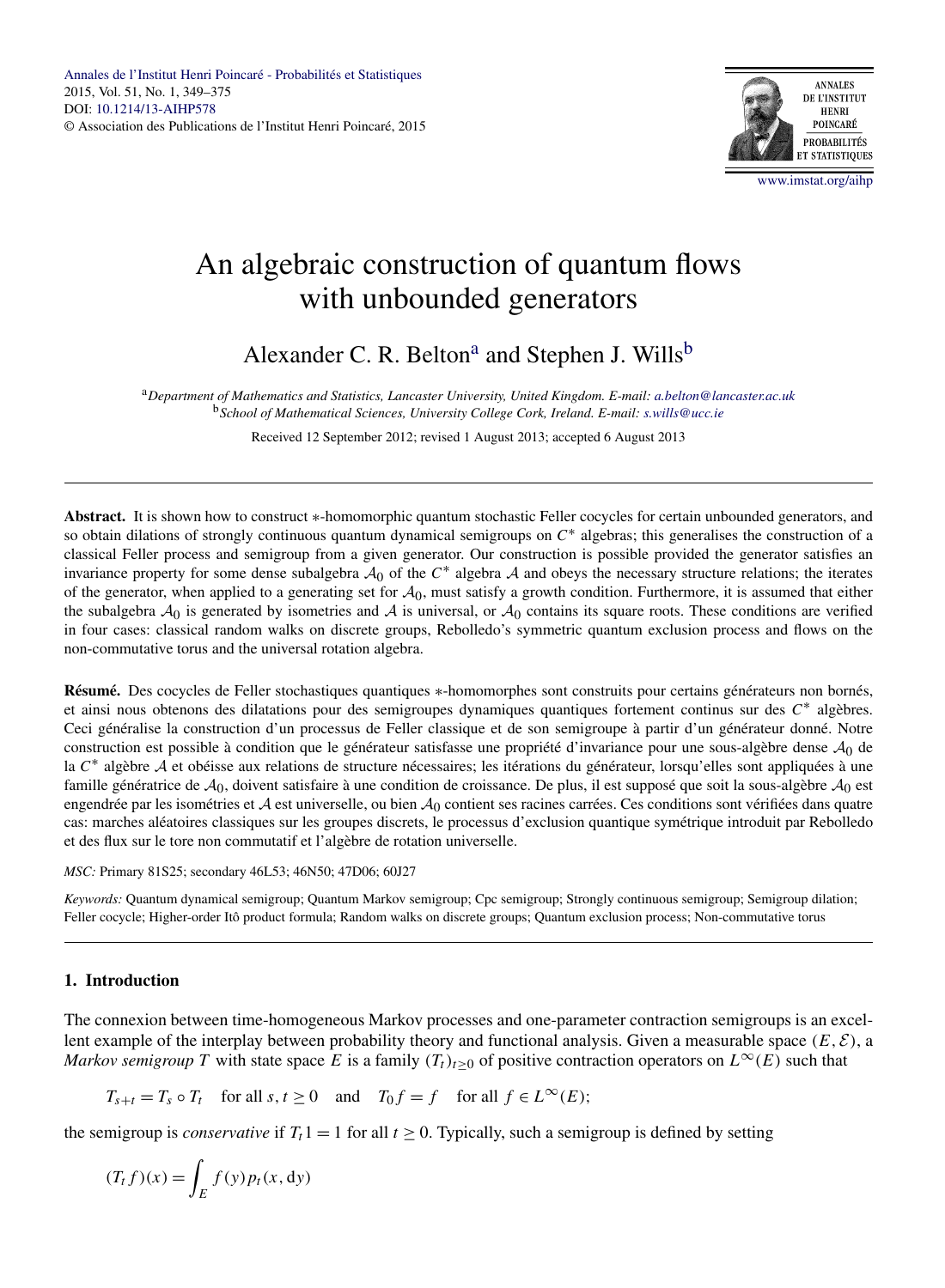

# An algebraic construction of quantum flows with unbounded generators

Alexander C. R. Belton<sup>a</sup> and Stephen J. Wills<sup>b</sup>

<sup>a</sup>*Department of Mathematics and Statistics, Lancaster University, United Kingdom. E-mail: [a.belton@lancaster.ac.uk](mailto:a.belton@lancaster.ac.uk)* <sup>b</sup>*School of Mathematical Sciences, University College Cork, Ireland. E-mail: [s.wills@ucc.ie](mailto:s.wills@ucc.ie)*

Received 12 September 2012; revised 1 August 2013; accepted 6 August 2013

**Abstract.** It is shown how to construct ∗-homomorphic quantum stochastic Feller cocycles for certain unbounded generators, and so obtain dilations of strongly continuous quantum dynamical semigroups on *C*<sup>∗</sup> algebras; this generalises the construction of a classical Feller process and semigroup from a given generator. Our construction is possible provided the generator satisfies an invariance property for some dense subalgebra  $A_0$  of the  $C^*$  algebra A and obeys the necessary structure relations; the iterates of the generator, when applied to a generating set for  $A_0$ , must satisfy a growth condition. Furthermore, it is assumed that either the subalgebra  $A_0$  is generated by isometries and A is universal, or  $A_0$  contains its square roots. These conditions are verified in four cases: classical random walks on discrete groups, Rebolledo's symmetric quantum exclusion process and flows on the non-commutative torus and the universal rotation algebra.

**Résumé.** Des cocycles de Feller stochastiques quantiques ∗-homomorphes sont construits pour certains générateurs non bornés, et ainsi nous obtenons des dilatations pour des semigroupes dynamiques quantiques fortement continus sur des *C*<sup>∗</sup> algèbres. Ceci généralise la construction d'un processus de Feller classique et de son semigroupe à partir d'un générateur donné. Notre construction est possible à condition que le générateur satisfasse une propriété d'invariance pour une sous-algèbre dense  $A_0$  de la *<sup>C</sup>*<sup>∗</sup> algèbre <sup>A</sup> et obéisse aux relations de structure nécessaires; les itérations du générateur, lorsqu'elles sont appliquées à une famille génératrice de  $A_0$ , doivent satisfaire à une condition de croissance. De plus, il est supposé que soit la sous-algèbre  $A_0$  est engendrée par les isométries et  $A$  est universelle, ou bien  $A_0$  contient ses racines carrées. Ces conditions sont vérifiées dans quatre cas: marches aléatoires classiques sur les groupes discrets, le processus d'exclusion quantique symétrique introduit par Rebolledo et des flux sur le tore non commutatif et l'algèbre de rotation universelle.

*MSC:* Primary 81S25; secondary 46L53; 46N50; 47D06; 60J27

*Keywords:* Quantum dynamical semigroup; Quantum Markov semigroup; Cpc semigroup; Strongly continuous semigroup; Semigroup dilation; Feller cocycle; Higher-order Itô product formula; Random walks on discrete groups; Quantum exclusion process; Non-commutative torus

# **1. Introduction**

The connexion between time-homogeneous Markov processes and one-parameter contraction semigroups is an excellent example of the interplay between probability theory and functional analysis. Given a measurable space  $(E, \mathcal{E})$ , a *Markov semigroup T* with state space *E* is a family  $(T_t)_{t>0}$  of positive contraction operators on  $L^{\infty}(E)$  such that

$$
T_{s+t} = T_s \circ T_t
$$
 for all  $s, t \ge 0$  and  $T_0 f = f$  for all  $f \in L^{\infty}(E)$ ;

the semigroup is *conservative* if  $T_t 1 = 1$  for all  $t \ge 0$ . Typically, such a semigroup is defined by setting

$$
(T_t f)(x) = \int_E f(y) p_t(x, dy)
$$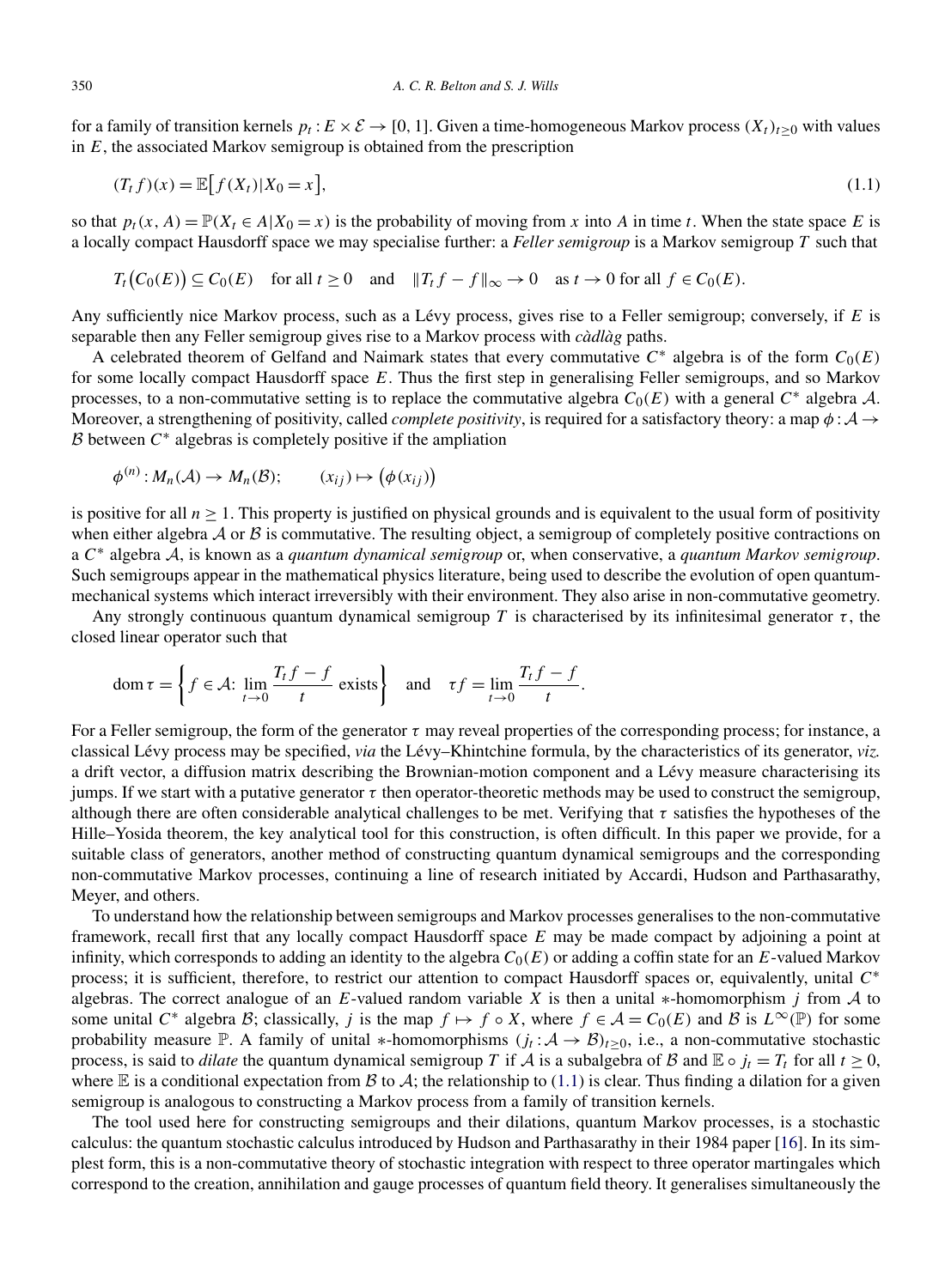for a family of transition kernels  $p_t$ :  $E \times \mathcal{E} \to [0, 1]$ . Given a time-homogeneous Markov process  $(X_t)_{t \geq 0}$  with values in *E*, the associated Markov semigroup is obtained from the prescription

$$
(T_t f)(x) = \mathbb{E}[f(X_t)|X_0 = x],
$$
\n
$$
(1.1)
$$

so that  $p_t(x, A) = \mathbb{P}(X_t \in A | X_0 = x)$  is the probability of moving from x into A in time t. When the state space E is a locally compact Hausdorff space we may specialise further: a *Feller semigroup* is a Markov semigroup *T* such that

$$
T_t(C_0(E)) \subseteq C_0(E) \quad \text{for all } t \ge 0 \quad \text{and} \quad \|T_t f - f\|_{\infty} \to 0 \quad \text{as } t \to 0 \text{ for all } f \in C_0(E).
$$

Any sufficiently nice Markov process, such as a Lévy process, gives rise to a Feller semigroup; conversely, if *E* is separable then any Feller semigroup gives rise to a Markov process with *càdlàg* paths.

A celebrated theorem of Gelfand and Naimark states that every commutative *C*<sup>∗</sup> algebra is of the form *C*0*(E)* for some locally compact Hausdorff space *E*. Thus the first step in generalising Feller semigroups, and so Markov processes, to a non-commutative setting is to replace the commutative algebra  $C_0(E)$  with a general  $C^*$  algebra A. Moreover, a strengthening of positivity, called *complete positivity*, is required for a satisfactory theory: a map  $\phi : A \rightarrow$ <sup>B</sup> between *<sup>C</sup>*<sup>∗</sup> algebras is completely positive if the ampliation

$$
\phi^{(n)}: M_n(\mathcal{A}) \to M_n(\mathcal{B}); \qquad (x_{ij}) \mapsto (\phi(x_{ij}))
$$

is positive for all  $n \geq 1$ . This property is justified on physical grounds and is equivalent to the usual form of positivity when either algebra  $A$  or  $B$  is commutative. The resulting object, a semigroup of completely positive contractions on <sup>a</sup> *<sup>C</sup>*<sup>∗</sup> algebra <sup>A</sup>, is known as a *quantum dynamical semigroup* or, when conservative, a *quantum Markov semigroup*. Such semigroups appear in the mathematical physics literature, being used to describe the evolution of open quantummechanical systems which interact irreversibly with their environment. They also arise in non-commutative geometry.

Any strongly continuous quantum dynamical semigroup *T* is characterised by its infinitesimal generator *τ* , the closed linear operator such that

$$
\operatorname{dom} \tau = \left\{ f \in \mathcal{A} : \lim_{t \to 0} \frac{T_t f - f}{t} \text{ exists} \right\} \quad \text{and} \quad \tau f = \lim_{t \to 0} \frac{T_t f - f}{t}.
$$

For a Feller semigroup, the form of the generator  $\tau$  may reveal properties of the corresponding process; for instance, a classical Lévy process may be specified, *via* the Lévy–Khintchine formula, by the characteristics of its generator, *viz.* a drift vector, a diffusion matrix describing the Brownian-motion component and a Lévy measure characterising its jumps. If we start with a putative generator *τ* then operator-theoretic methods may be used to construct the semigroup, although there are often considerable analytical challenges to be met. Verifying that *τ* satisfies the hypotheses of the Hille–Yosida theorem, the key analytical tool for this construction, is often difficult. In this paper we provide, for a suitable class of generators, another method of constructing quantum dynamical semigroups and the corresponding non-commutative Markov processes, continuing a line of research initiated by Accardi, Hudson and Parthasarathy, Meyer, and others.

To understand how the relationship between semigroups and Markov processes generalises to the non-commutative framework, recall first that any locally compact Hausdorff space *E* may be made compact by adjoining a point at infinity, which corresponds to adding an identity to the algebra *C*0*(E)* or adding a coffin state for an *E*-valued Markov process; it is sufficient, therefore, to restrict our attention to compact Hausdorff spaces or, equivalently, unital *C*<sup>∗</sup> algebras. The correct analogue of an *E*-valued random variable *X* is then a unital ∗-homomorphism *j* from A to some unital  $C^*$  algebra  $\mathcal{B}$ ; classically, *j* is the map  $f \mapsto f \circ X$ , where  $f \in \mathcal{A} = C_0(E)$  and  $\mathcal{B}$  is  $L^\infty(\mathbb{P})$  for some probability measure P. A family of unital \*-homomorphisms  $(j_t : A \to B)_{t>0}$ , i.e., a non-commutative stochastic process, is said to *dilate* the quantum dynamical semigroup *T* if *A* is a subalgebra of B and  $\mathbb{E} \circ j_t = T_t$  for all  $t \ge 0$ , where  $E$  is a conditional expectation from B to A; the relationship to (1.1) is clear. Thus finding a dilation for a given semigroup is analogous to constructing a Markov process from a family of transition kernels.

The tool used here for constructing semigroups and their dilations, quantum Markov processes, is a stochastic calculus: the quantum stochastic calculus introduced by Hudson and Parthasarathy in their 1984 paper [\[16\]](#page-26-0). In its simplest form, this is a non-commutative theory of stochastic integration with respect to three operator martingales which correspond to the creation, annihilation and gauge processes of quantum field theory. It generalises simultaneously the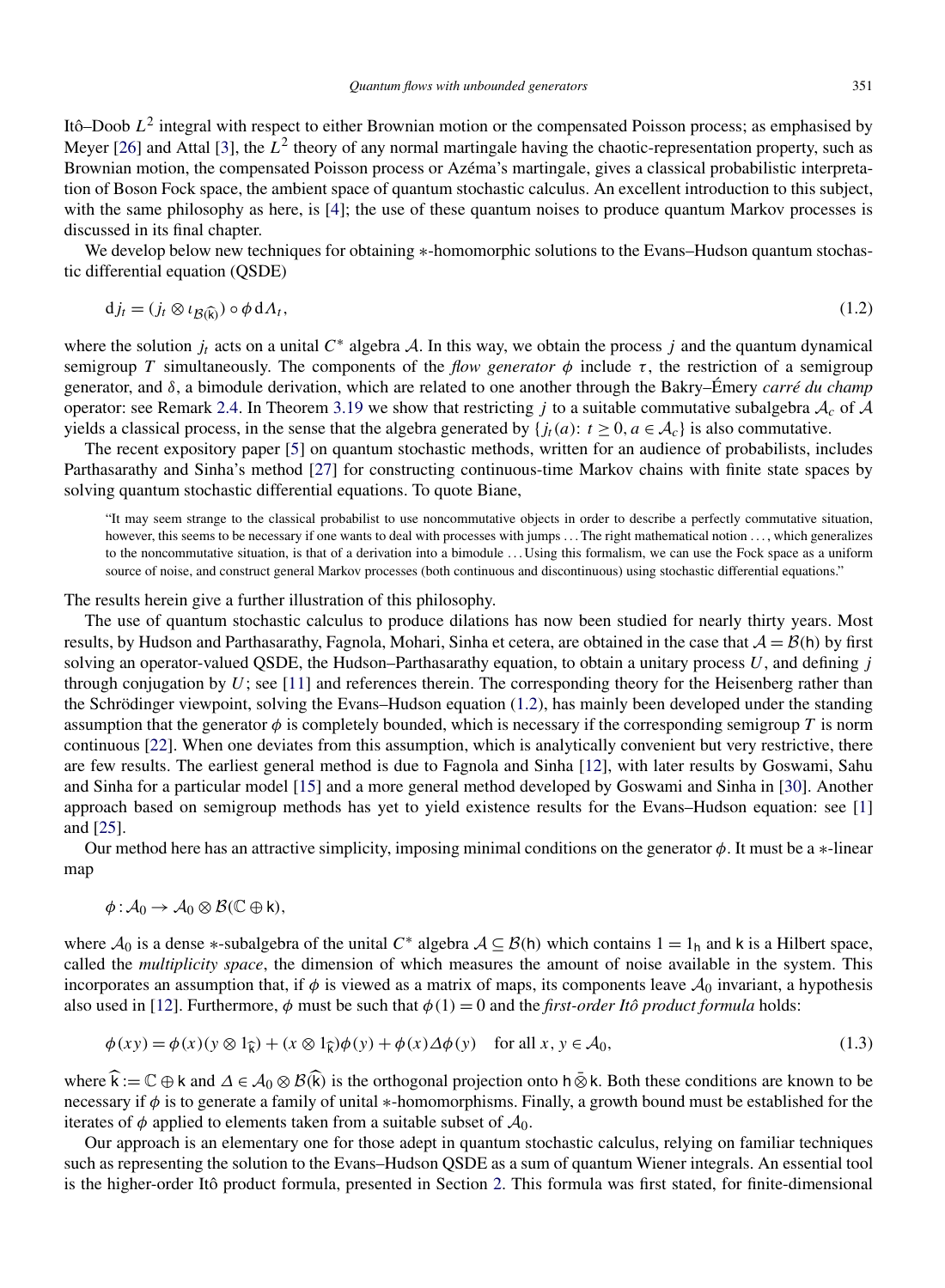<span id="page-2-0"></span>Itô–Doob *L*<sup>2</sup> integral with respect to either Brownian motion or the compensated Poisson process; as emphasised by Meyer  $[26]$  and Attal  $[3]$ , the  $L^2$  theory of any normal martingale having the chaotic-representation property, such as Brownian motion, the compensated Poisson process or Azéma's martingale, gives a classical probabilistic interpretation of Boson Fock space, the ambient space of quantum stochastic calculus. An excellent introduction to this subject, with the same philosophy as here, is [\[4\]](#page-26-0); the use of these quantum noises to produce quantum Markov processes is discussed in its final chapter.

We develop below new techniques for obtaining ∗-homomorphic solutions to the Evans–Hudson quantum stochastic differential equation (QSDE)

$$
d j_t = (j_t \otimes \iota_{\mathcal{B}(\widehat{k})}) \circ \phi \, d\Lambda_t,\tag{1.2}
$$

where the solution  $j_t$  acts on a unital  $C^*$  algebra A. In this way, we obtain the process  $j$  and the quantum dynamical semigroup *T* simultaneously. The components of the *flow generator*  $\phi$  include  $\tau$ , the restriction of a semigroup generator, and *δ*, a bimodule derivation, which are related to one another through the Bakry–Émery *carré du champ* operator: see Remark [2.4.](#page-4-0) In Theorem [3.19](#page-14-0) we show that restricting *j* to a suitable commutative subalgebra  $A_c$  of  $A$ yields a classical process, in the sense that the algebra generated by  $\{f_t(a): t \geq 0, a \in A_c\}$  is also commutative.

The recent expository paper [\[5\]](#page-26-0) on quantum stochastic methods, written for an audience of probabilists, includes Parthasarathy and Sinha's method [\[27\]](#page-26-0) for constructing continuous-time Markov chains with finite state spaces by solving quantum stochastic differential equations. To quote Biane,

"It may seem strange to the classical probabilist to use noncommutative objects in order to describe a perfectly commutative situation, however, this seems to be necessary if one wants to deal with processes with jumps ... The right mathematical notion ..., which generalizes to the noncommutative situation, is that of a derivation into a bimodule . . . Using this formalism, we can use the Fock space as a uniform source of noise, and construct general Markov processes (both continuous and discontinuous) using stochastic differential equations."

The results herein give a further illustration of this philosophy.

The use of quantum stochastic calculus to produce dilations has now been studied for nearly thirty years. Most results, by Hudson and Parthasarathy, Fagnola, Mohari, Sinha et cetera, are obtained in the case that  $A = B(h)$  by first solving an operator-valued QSDE, the Hudson–Parthasarathy equation, to obtain a unitary process *U*, and defining *j* through conjugation by *U*; see [\[11\]](#page-26-0) and references therein. The corresponding theory for the Heisenberg rather than the Schrödinger viewpoint, solving the Evans–Hudson equation (1.2), has mainly been developed under the standing assumption that the generator  $\phi$  is completely bounded, which is necessary if the corresponding semigroup *T* is norm continuous [\[22\]](#page-26-0). When one deviates from this assumption, which is analytically convenient but very restrictive, there are few results. The earliest general method is due to Fagnola and Sinha [\[12\]](#page-26-0), with later results by Goswami, Sahu and Sinha for a particular model [\[15\]](#page-26-0) and a more general method developed by Goswami and Sinha in [\[30\]](#page-26-0). Another approach based on semigroup methods has yet to yield existence results for the Evans–Hudson equation: see [\[1\]](#page-26-0) and [\[25\]](#page-26-0).

Our method here has an attractive simplicity, imposing minimal conditions on the generator  $\phi$ . It must be a  $*$ -linear map

$$
\phi: \mathcal{A}_0 \to \mathcal{A}_0 \otimes \mathcal{B}(\mathbb{C} \oplus \mathsf{k}),
$$

where <sup>A</sup><sup>0</sup> is a dense <sup>∗</sup>-subalgebra of the unital *<sup>C</sup>*<sup>∗</sup> algebra <sup>A</sup> <sup>⊆</sup> <sup>B</sup>*(*h*)* which contains 1 <sup>=</sup> <sup>1</sup><sup>h</sup> and <sup>k</sup> is a Hilbert space, called the *multiplicity space*, the dimension of which measures the amount of noise available in the system. This incorporates an assumption that, if  $\phi$  is viewed as a matrix of maps, its components leave  $\mathcal{A}_0$  invariant, a hypothesis also used in [\[12\]](#page-26-0). Furthermore,  $\phi$  must be such that  $\phi(1) = 0$  and the *first-order Itô product formula* holds:

$$
\phi(xy) = \phi(x)(y \otimes 1_{\widehat{k}}) + (x \otimes 1_{\widehat{k}})\phi(y) + \phi(x)\Delta\phi(y) \quad \text{for all } x, y \in \mathcal{A}_0,
$$
\n(1.3)

where  $\hat{\mathbf{k}} := \mathbb{C} \oplus \mathsf{k}$  and  $\Delta \in \mathcal{A}_0 \otimes \mathcal{B}(\hat{\mathbf{k}})$  is the orthogonal projection onto h  $\bar{\otimes}$  k. Both these conditions are known to be necessary if  $\phi$  is to generate a family of unital \*-homomorphisms. Finally, a growth bound must be established for the iterates of  $\phi$  applied to elements taken from a suitable subset of  $\mathcal{A}_0$ .

Our approach is an elementary one for those adept in quantum stochastic calculus, relying on familiar techniques such as representing the solution to the Evans–Hudson QSDE as a sum of quantum Wiener integrals. An essential tool is the higher-order Itô product formula, presented in Section [2.](#page-4-0) This formula was first stated, for finite-dimensional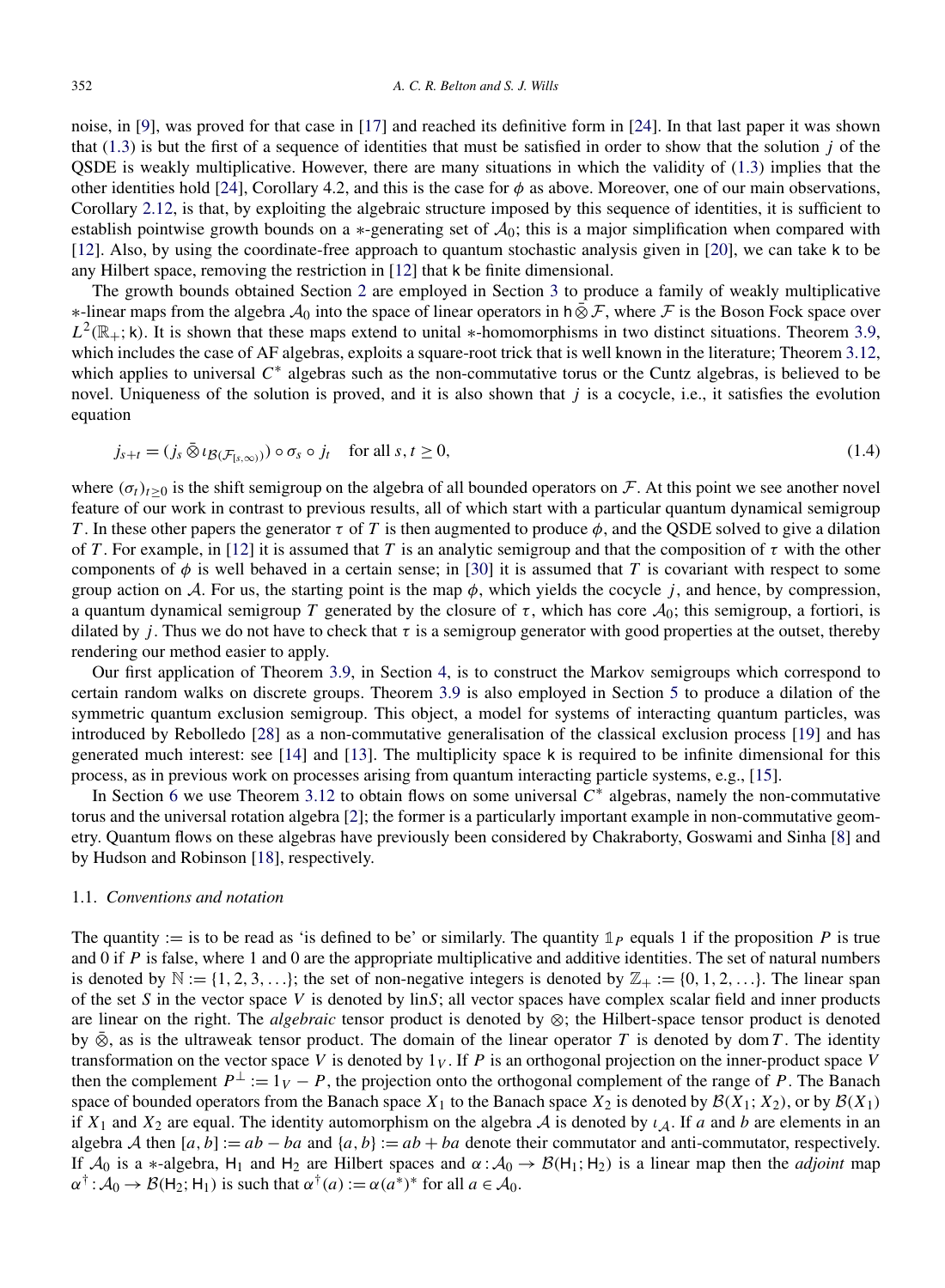noise, in [\[9\]](#page-26-0), was proved for that case in [\[17\]](#page-26-0) and reached its definitive form in [\[24\]](#page-26-0). In that last paper it was shown that  $(1.3)$  is but the first of a sequence of identities that must be satisfied in order to show that the solution *j* of the QSDE is weakly multiplicative. However, there are many situations in which the validity of [\(1.3\)](#page-2-0) implies that the other identities hold [\[24\]](#page-26-0), Corollary 4.2, and this is the case for *φ* as above. Moreover, one of our main observations, Corollary [2.12,](#page-6-0) is that, by exploiting the algebraic structure imposed by this sequence of identities, it is sufficient to establish pointwise growth bounds on a  $*$ -generating set of  $A_0$ ; this is a major simplification when compared with [\[12\]](#page-26-0). Also, by using the coordinate-free approach to quantum stochastic analysis given in [\[20\]](#page-26-0), we can take k to be any Hilbert space, removing the restriction in [\[12\]](#page-26-0) that k be finite dimensional.

The growth bounds obtained Section [2](#page-4-0) are employed in Section [3](#page-7-0) to produce a family of weakly multiplicative  $*$ -linear maps from the algebra  $\mathcal{A}_0$  into the space of linear operators in h  $\bar{\otimes} \mathcal{F}$ , where  $\mathcal F$  is the Boson Fock space over  $L^2(\mathbb{R}_+;\mathsf{k})$ . It is shown that these maps extend to unital \*-homomorphisms in two distinct situations. Theorem [3.9,](#page-10-0) which includes the case of AF algebras, exploits a square-root trick that is well known in the literature; Theorem [3.12,](#page-11-0) which applies to universal *C*<sup>∗</sup> algebras such as the non-commutative torus or the Cuntz algebras, is believed to be novel. Uniqueness of the solution is proved, and it is also shown that  $j$  is a cocycle, i.e., it satisfies the evolution equation

$$
j_{s+t} = (j_s \,\bar{\otimes}\, \iota_{\mathcal{B}(\mathcal{F}_{[s,\infty)})}) \circ \sigma_s \circ j_t \quad \text{for all } s, t \ge 0,
$$
\n
$$
(1.4)
$$

where  $(\sigma_t)_{t>0}$  is the shift semigroup on the algebra of all bounded operators on F. At this point we see another novel feature of our work in contrast to previous results, all of which start with a particular quantum dynamical semigroup *T*. In these other papers the generator *τ* of *T* is then augmented to produce  $φ$ , and the QSDE solved to give a dilation of *T*. For example, in [\[12\]](#page-26-0) it is assumed that *T* is an analytic semigroup and that the composition of  $\tau$  with the other components of  $\phi$  is well behaved in a certain sense; in [\[30\]](#page-26-0) it is assumed that *T* is covariant with respect to some group action on A. For us, the starting point is the map  $\phi$ , which yields the cocycle *j*, and hence, by compression, a quantum dynamical semigroup *T* generated by the closure of  $\tau$ , which has core  $\mathcal{A}_0$ ; this semigroup, a fortiori, is dilated by *j*. Thus we do not have to check that  $\tau$  is a semigroup generator with good properties at the outset, thereby rendering our method easier to apply.

Our first application of Theorem [3.9,](#page-10-0) in Section [4,](#page-15-0) is to construct the Markov semigroups which correspond to certain random walks on discrete groups. Theorem [3.9](#page-10-0) is also employed in Section [5](#page-17-0) to produce a dilation of the symmetric quantum exclusion semigroup. This object, a model for systems of interacting quantum particles, was introduced by Rebolledo [\[28\]](#page-26-0) as a non-commutative generalisation of the classical exclusion process [\[19\]](#page-26-0) and has generated much interest: see [\[14\]](#page-26-0) and [\[13\]](#page-26-0). The multiplicity space k is required to be infinite dimensional for this process, as in previous work on processes arising from quantum interacting particle systems, e.g., [\[15\]](#page-26-0).

In Section [6](#page-22-0) we use Theorem [3.12](#page-11-0) to obtain flows on some universal *C*<sup>∗</sup> algebras, namely the non-commutative torus and the universal rotation algebra [\[2\]](#page-26-0); the former is a particularly important example in non-commutative geometry. Quantum flows on these algebras have previously been considered by Chakraborty, Goswami and Sinha [\[8\]](#page-26-0) and by Hudson and Robinson [\[18\]](#page-26-0), respectively.

### 1.1. *Conventions and notation*

The quantity := is to be read as 'is defined to be' or similarly. The quantity  $\mathbb{1}_P$  equals 1 if the proposition P is true and 0 if *P* is false, where 1 and 0 are the appropriate multiplicative and additive identities. The set of natural numbers is denoted by  $\mathbb{N} := \{1, 2, 3, \ldots\}$ ; the set of non-negative integers is denoted by  $\mathbb{Z}_+ := \{0, 1, 2, \ldots\}$ . The linear span of the set *S* in the vector space *V* is denoted by lin*S*; all vector spaces have complex scalar field and inner products are linear on the right. The *algebraic* tensor product is denoted by ⊗; the Hilbert-space tensor product is denoted by  $\overline{\otimes}$ , as is the ultraweak tensor product. The domain of the linear operator *T* is denoted by dom *T*. The identity transformation on the vector space *V* is denoted by  $1_V$ . If *P* is an orthogonal projection on the inner-product space *V* then the complement  $P^{\perp} := 1_V - P$ , the projection onto the orthogonal complement of the range of *P*. The Banach space of bounded operators from the Banach space  $X_1$  to the Banach space  $X_2$  is denoted by  $\mathcal{B}(X_1; X_2)$ , or by  $\mathcal{B}(X_1)$ if  $X_1$  and  $X_2$  are equal. The identity automorphism on the algebra A is denoted by  $\iota_A$ . If a and b are elements in an algebra A then  $[a, b] := ab - ba$  and  $\{a, b\} := ab + ba$  denote their commutator and anti-commutator, respectively. If  $\mathcal{A}_0$  is a \*-algebra, H<sub>1</sub> and H<sub>2</sub> are Hilbert spaces and  $\alpha : \mathcal{A}_0 \to \mathcal{B}(H_1; H_2)$  is a linear map then the *adjoint* map  $\alpha^{\dagger}$  :  $\mathcal{A}_0 \rightarrow \mathcal{B}(\mathsf{H}_2; \mathsf{H}_1)$  is such that  $\alpha^{\dagger}(a) := \alpha(a^*)^*$  for all  $a \in \mathcal{A}_0$ .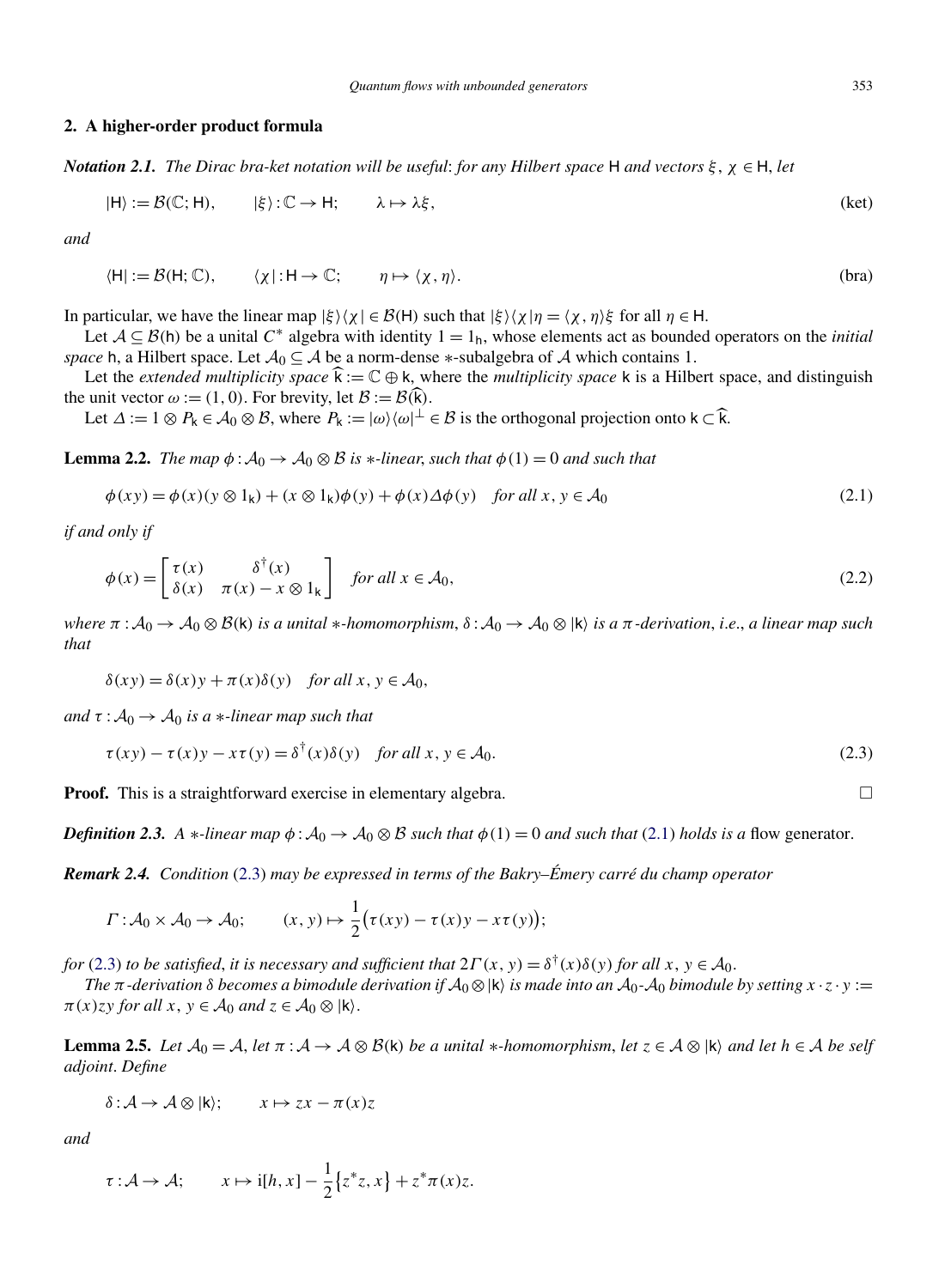#### <span id="page-4-0"></span>**2. A higher-order product formula**

*Notation 2.1. The Dirac bra-ket notation will be useful*: *for any Hilbert space* H *and vectors ξ* , *χ* ∈ H, *let*

$$
|H\rangle := \mathcal{B}(\mathbb{C}; H), \qquad |\xi\rangle : \mathbb{C} \to H; \qquad \lambda \mapsto \lambda \xi, \tag{ket}
$$

*and*

$$
\langle H| := \mathcal{B}(H; \mathbb{C}), \qquad \langle \chi | : H \to \mathbb{C}; \qquad \eta \mapsto \langle \chi, \eta \rangle. \tag{bra}
$$

In particular, we have the linear map  $|\xi\rangle\langle\chi| \in \mathcal{B}(H)$  such that  $|\xi\rangle\langle\chi|\eta = \langle\chi,\eta\rangle\xi$  for all  $\eta \in H$ .

Let  $A \subseteq B$ (h) be a unital  $C^*$  algebra with identity  $1 = 1_h$ , whose elements act as bounded operators on the *initial space* h, a Hilbert space. Let  $A_0 \subseteq A$  be a norm-dense  $*$ -subalgebra of A which contains 1.

Let the *extended multiplicity space*  $\hat{k} := \mathbb{C} \oplus k$ , where the *multiplicity space* k is a Hilbert space, and distinguish the unit vector  $\omega := (1, 0)$ . For brevity, let  $\mathcal{B} := \mathcal{B}(\widehat{k})$ .

Let  $\Delta := 1 \otimes P_k \in \mathcal{A}_0 \otimes \mathcal{B}$ , where  $P_k := |\omega\rangle \langle \omega|^\perp \in \mathcal{B}$  is the orthogonal projection onto  $k \subset \widehat{k}$ .

**Lemma 2.2.** *The map*  $\phi : A_0 \to A_0 \otimes B$  *is*  $\ast$ *-linear, such that*  $\phi(1) = 0$  *and such that* 

$$
\phi(xy) = \phi(x)(y \otimes 1_k) + (x \otimes 1_k)\phi(y) + \phi(x)\Delta\phi(y) \quad \text{for all } x, y \in \mathcal{A}_0
$$
\n(2.1)

*if and only if*

$$
\phi(x) = \begin{bmatrix} \tau(x) & \delta^{\dagger}(x) \\ \delta(x) & \pi(x) - x \otimes 1_k \end{bmatrix} \quad \text{for all } x \in \mathcal{A}_0,
$$
\n(2.2)

*where*  $π : A_0 → A_0 ⊗ B(k)$  *is a unital* \**-homomorphism*,  $δ : A_0 → A_0 ⊗ |k\rangle$  *is a*  $π$ *-derivation*, *i.e.*, *a linear map such that*

$$
\delta(xy) = \delta(x)y + \pi(x)\delta(y) \quad \text{for all } x, y \in \mathcal{A}_0,
$$

*and*  $\tau : A_0 \rightarrow A_0$  *is a* \*-*linear map such that* 

$$
\tau(xy) - \tau(x)y - x\tau(y) = \delta^{\dagger}(x)\delta(y) \quad \text{for all } x, y \in \mathcal{A}_0.
$$
 (2.3)

**Proof.** This is a straightforward exercise in elementary algebra.

*Definition 2.3. A* ∗*-linear map*  $\phi$  :  $A_0 \rightarrow A_0 \otimes B$  *such that*  $\phi(1) = 0$  *and such that* (2.1) *holds is a* flow generator.

*Remark 2.4. Condition* (2.3) *may be expressed in terms of the Bakry–Émery carré du champ operator*

$$
\Gamma: \mathcal{A}_0 \times \mathcal{A}_0 \to \mathcal{A}_0; \qquad (x, y) \mapsto \frac{1}{2} (\tau(xy) - \tau(x)y - x\tau(y));
$$

*for* (2.3) *to be satisfied, it is necessary and sufficient that*  $2\Gamma(x, y) = \delta^{\dagger}(x)\delta(y)$  *for all*  $x, y \in A_0$ .

*The*  $\pi$ -derivation  $\delta$  becomes a bimodule derivation if  $A_0 \otimes |k\rangle$  is made into an  $A_0$ - $A_0$  bimodule by setting  $x \cdot z \cdot y :=$  $\pi(x)$ *zy for all*  $x, y \in A_0$  *and*  $z \in A_0 \otimes |k\rangle$ .

**Lemma 2.5.** *Let*  $\mathcal{A}_0 = \mathcal{A}$ , *let*  $\pi : \mathcal{A} \to \mathcal{A} \otimes \mathcal{B}$ (k) *be a unital* \**-homomorphism*, *let*  $z \in \mathcal{A} \otimes |\mathsf{k}\rangle$  *and let*  $h \in \mathcal{A}$  *be self adjoint*. *Define*

$$
\delta: \mathcal{A} \to \mathcal{A} \otimes |{\bf k}\rangle; \qquad x \mapsto zx - \pi(x)z
$$

*and*

$$
\tau : \mathcal{A} \to \mathcal{A}; \qquad x \mapsto i[h, x] - \frac{1}{2} \{z^*z, x\} + z^* \pi(x)z.
$$

 $\Box$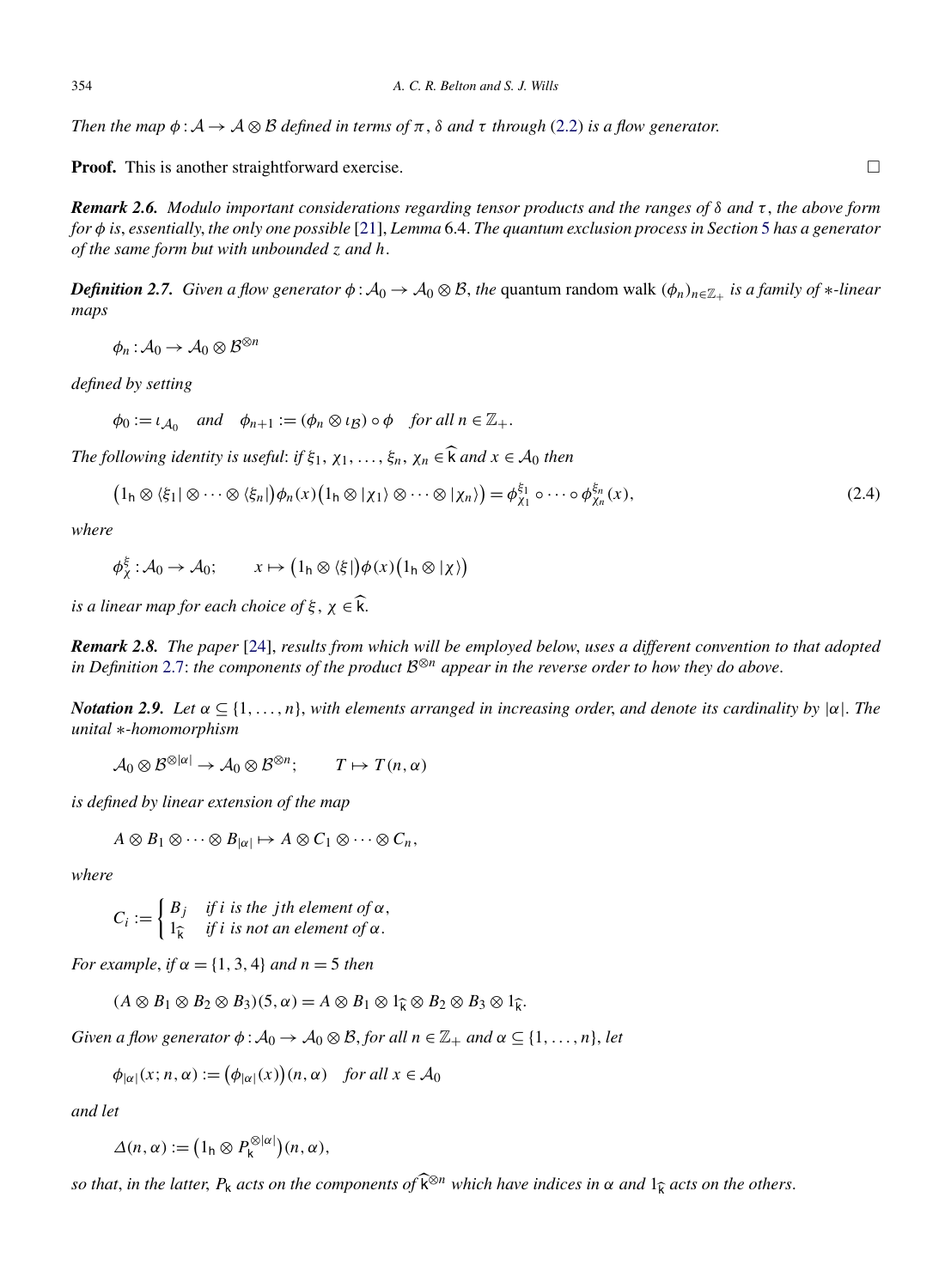<span id="page-5-0"></span>*Then the map*  $\phi : A \to A \otimes B$  *defined in terms of*  $\pi$ ,  $\delta$  *and*  $\tau$  *through* [\(2.2\)](#page-4-0) *is a flow generator.* 

**Proof.** This is another straightforward exercise.  $\Box$ 

*Remark 2.6. Modulo important considerations regarding tensor products and the ranges of δ and τ* , *the above form for φ is*, *essentially*, *the only one possible* [\[21\]](#page-26-0), *Lemma* 6.4. *The quantum exclusion process in Section* [5](#page-17-0) *has a generator of the same form but with unbounded z and h*.

*Definition 2.7. Given a flow generator*  $\phi$  :  $A_0 \to A_0 \otimes B$ , *the* quantum random walk  $(\phi_n)_{n \in \mathbb{Z}_+}$  *is a family of* \**-linear maps*

 $\phi_n : A_0 \to A_0 \otimes B^{\otimes n}$ 

*defined by setting*

 $\phi_0 := \iota_{A_0}$  *and*  $\phi_{n+1} := (\phi_n \otimes \iota_B) \circ \phi$  *for all*  $n \in \mathbb{Z}_+$ .

*The following identity is useful: if*  $\xi_1, \chi_1, \ldots, \xi_n, \chi_n \in \widehat{\mathcal{K}}$  *and*  $x \in \mathcal{A}_0$  *then* 

$$
\left(1_{h}\otimes\langle\xi_{1}|\otimes\cdots\otimes\langle\xi_{n}|\right)\phi_{n}(x)\left(1_{h}\otimes\vert\chi_{1}\rangle\otimes\cdots\otimes\vert\chi_{n}\rangle\right)=\phi_{\chi_{1}}^{\xi_{1}}\circ\cdots\circ\phi_{\chi_{n}}^{\xi_{n}}(x),\tag{2.4}
$$

*where*

$$
\phi_{\chi}^{\xi} : \mathcal{A}_{0} \to \mathcal{A}_{0}; \qquad x \mapsto (1_{h} \otimes \langle \xi |) \phi(x) (1_{h} \otimes | \chi) )
$$

*is a linear map for each choice of*  $\xi$ ,  $\chi \in \hat{k}$ .

*Remark 2.8. The paper* [\[24\]](#page-26-0), *results from which will be employed below*, *uses a different convention to that adopted in Definition* 2.7: *the components of the product* <sup>B</sup>⊗*<sup>n</sup> appear in the reverse order to how they do above*.

*Notation 2.9. Let α* ⊆ {1*,...,n*}, *with elements arranged in increasing order*, *and denote its cardinality by* |*α*|. *The unital* ∗*-homomorphism*

 $\mathcal{A}_0 \otimes \mathcal{B}^{\otimes |\alpha|} \to \mathcal{A}_0 \otimes \mathcal{B}^{\otimes n}; \qquad T \mapsto T(n, \alpha)$ 

*is defined by linear extension of the map*

$$
A\otimes B_1\otimes\cdots\otimes B_{|\alpha|}\mapsto A\otimes C_1\otimes\cdots\otimes C_n,
$$

*where*

 $C_i := \begin{cases} B_j & \text{if } i \text{ is the } j\text{th element of }\alpha, \\ 10 & \text{if } i \text{ is not an element of }\alpha. \end{cases}$  $1<sub>\hat{k}</sub>$  *if i is not an element of*  $\alpha$ .

*For example, if*  $\alpha = \{1, 3, 4\}$  *and*  $n = 5$  *then* 

$$
(A \otimes B_1 \otimes B_2 \otimes B_3)(5, \alpha) = A \otimes B_1 \otimes 1_{\widehat{k}} \otimes B_2 \otimes B_3 \otimes 1_{\widehat{k}}.
$$

*Given a flow generator*  $\phi$ :  $\mathcal{A}_0 \to \mathcal{A}_0 \otimes \mathcal{B}$ , *for all*  $n \in \mathbb{Z}_+$  *and*  $\alpha \subseteq \{1, \ldots, n\}$ , *let* 

$$
\phi_{|\alpha|}(x; n, \alpha) := (\phi_{|\alpha|}(x))(n, \alpha) \quad \text{for all } x \in \mathcal{A}_0
$$

*and let*

$$
\Delta(n,\alpha) := (1_h \otimes P_k^{\otimes |\alpha|})(n,\alpha),
$$

*so that, in the latter,*  $P_k$  *acts on the components of*  $\widehat{k}^{\otimes n}$  *which have indices in*  $\alpha$  *and*  $1\hat{\iota}$  *acts on the others.*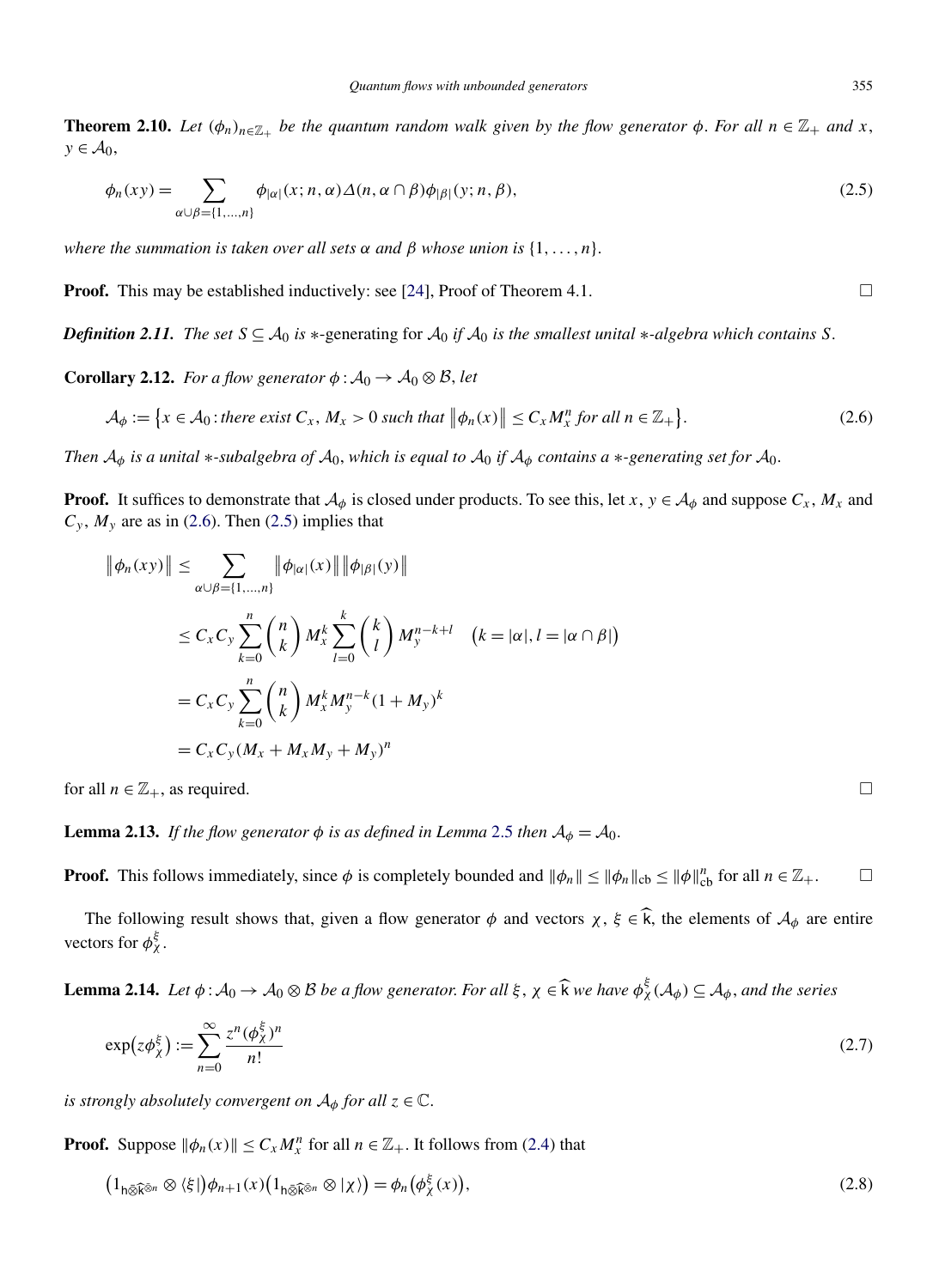<span id="page-6-0"></span>**Theorem 2.10.** *Let*  $(\phi_n)_{n \in \mathbb{Z}_+}$  *be the quantum random walk given by the flow generator*  $\phi$ *. For all*  $n \in \mathbb{Z}_+$  *and*  $x$ *,*  $y \in \mathcal{A}_0$ ,

$$
\phi_n(xy) = \sum_{\alpha \cup \beta = \{1, \dots, n\}} \phi_{|\alpha|}(x; n, \alpha) \Delta(n, \alpha \cap \beta) \phi_{|\beta|}(y; n, \beta), \tag{2.5}
$$

*where the summation is taken over all sets*  $\alpha$  *and*  $\beta$  *whose union is*  $\{1, \ldots, n\}$ .

**Proof.** This may be established inductively: see [\[24\]](#page-26-0), Proof of Theorem 4.1.  $\Box$ 

*Definition 2.11. The set*  $S \subseteq A_0$  *is* ∗-generating for  $A_0$  *if*  $A_0$  *is the smallest unital* ∗*-algebra which contains S*.

**Corollary 2.12.** *For a flow generator*  $\phi : A_0 \to A_0 \otimes B$ , *let* 

$$
\mathcal{A}_{\phi} := \left\{ x \in \mathcal{A}_0 : \text{there exist } C_x, M_x > 0 \text{ such that } \|\phi_n(x)\| \le C_x M_x^n \text{ for all } n \in \mathbb{Z}_+ \right\}. \tag{2.6}
$$

*Then*  $A_{\phi}$  *is a unital* \**-subalgebra of*  $A_0$ , *which is equal to*  $A_0$  *if*  $A_{\phi}$  *contains a* \**-generating set for*  $A_0$ *.* 

**Proof.** It suffices to demonstrate that  $A_{\phi}$  is closed under products. To see this, let *x*,  $y \in A_{\phi}$  and suppose  $C_x$ ,  $M_x$  and  $C_y$ ,  $M_y$  are as in (2.6). Then (2.5) implies that

$$
\|\phi_n(xy)\| \leq \sum_{\alpha \cup \beta = \{1, \dots, n\}} \|\phi_{|\alpha|}(x)\| \|\phi_{|\beta|}(y)\|
$$
  

$$
\leq C_x C_y \sum_{k=0}^n {n \choose k} M_x^k \sum_{l=0}^k {k \choose l} M_y^{n-k+l} \quad (k = |\alpha|, l = |\alpha \cap \beta|)
$$
  

$$
= C_x C_y \sum_{k=0}^n {n \choose k} M_x^k M_y^{n-k} (1 + M_y)^k
$$
  

$$
= C_x C_y (M_x + M_x M_y + M_y)^n
$$

for all  $n \in \mathbb{Z}_+$ , as required.

**Lemma 2.13.** *If the flow generator*  $\phi$  *is as defined in Lemma [2.5](#page-4-0) then*  $A_{\phi} = A_0$ .

**Proof.** This follows immediately, since  $\phi$  is completely bounded and  $\|\phi_n\| \le \|\phi_n\|_{cb} \le \|\phi\|_{cb}^n$  for all  $n \in \mathbb{Z}_+$ .

The following result shows that, given a flow generator  $\phi$  and vectors  $\chi$ ,  $\xi \in \hat{k}$ , the elements of  $\mathcal{A}_{\phi}$  are entire vectors for  $\phi_{\chi}^{\xi}$ .

**Lemma 2.14.** *Let*  $\phi$  :  $A_0 \to A_0 \otimes B$  *be a flow generator. For all*  $\xi$ ,  $\chi \in \widehat{k}$  *we have*  $\phi_{\chi}^{\xi}(\mathcal{A}_{\phi}) \subseteq \mathcal{A}_{\phi}$ *, and the series* 

$$
\exp(z\phi_{\chi}^{\xi}) := \sum_{n=0}^{\infty} \frac{z^n (\phi_{\chi}^{\xi})^n}{n!}
$$
 (2.7)

*is strongly absolutely convergent on*  $A_{\phi}$  *for all*  $z \in \mathbb{C}$ *.* 

**Proof.** Suppose  $\|\phi_n(x)\| \le C_x M_x^n$  for all  $n \in \mathbb{Z}_+$ . It follows from [\(2.4\)](#page-5-0) that

$$
\left(1_{h\bar{\otimes}\widehat{k}^{\bar{\otimes}n}}\otimes\langle\xi|\right)\phi_{n+1}(x)\left(1_{h\bar{\otimes}\widehat{k}^{\bar{\otimes}n}}\otimes\vert\chi\rangle\right)=\phi_n\left(\phi_\chi^{\xi}(x)\right),\tag{2.8}
$$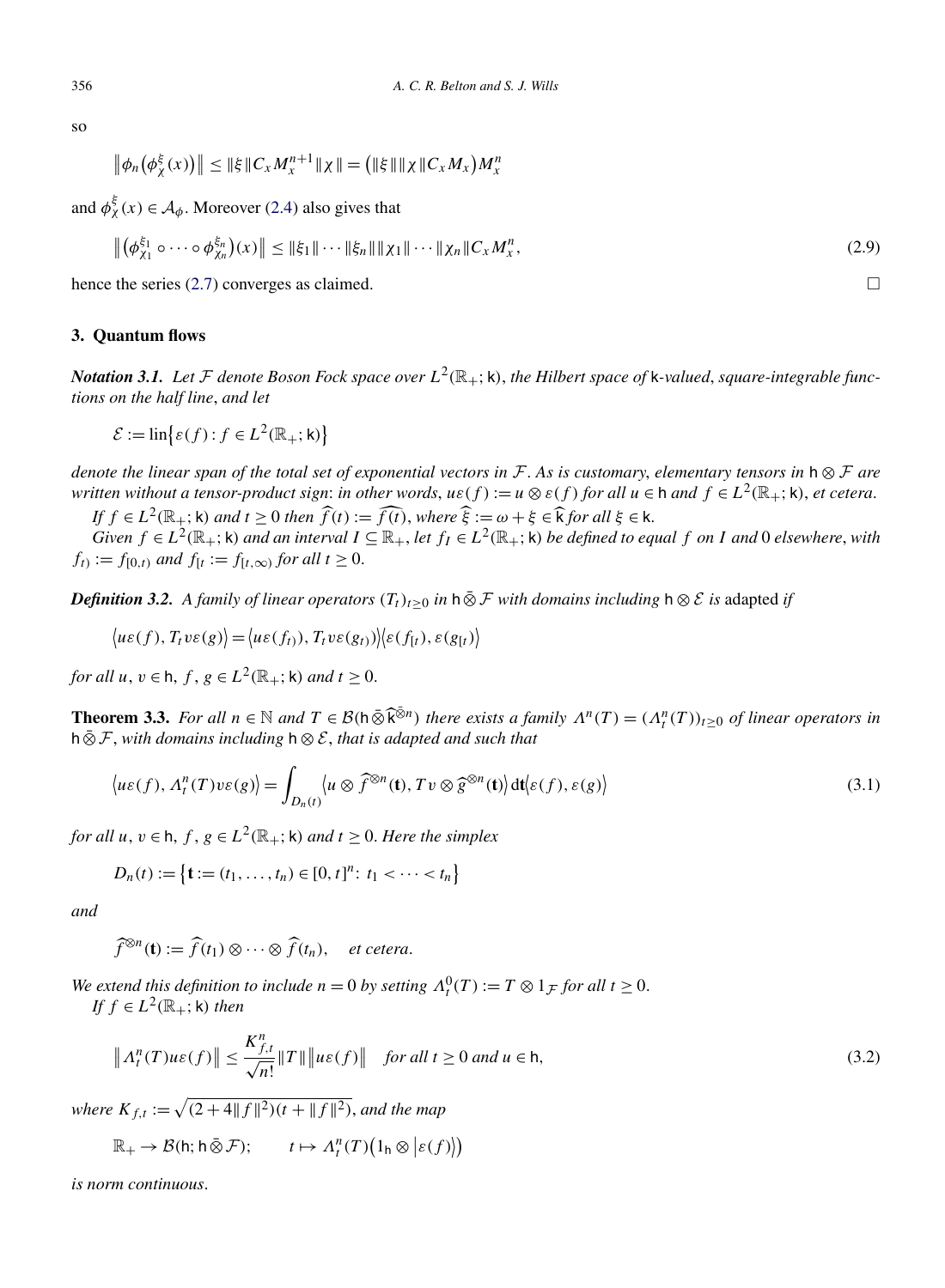<span id="page-7-0"></span>so

$$
\|\phi_n(\phi_{\chi}^{\xi}(x))\| \leq \|\xi\|C_x M_x^{n+1}\|\chi\| = (\|\xi\|\|\chi\|C_x M_x)M_x^n
$$

and  $\phi_{\chi}^{\xi}(x) \in A_{\phi}$ . Moreover [\(2.4\)](#page-5-0) also gives that

$$
\left\| \left( \phi_{\chi_1}^{\xi_1} \circ \cdots \circ \phi_{\chi_n}^{\xi_n} \right) (x) \right\| \le \|\xi_1\| \cdots \|\xi_n\| \| \chi_1\| \cdots \| \chi_n\| C_x M_x^n,
$$
\n(2.9)

hence the series [\(2.7\)](#page-6-0) converges as claimed.  $\Box$ 

# **3. Quantum flows**

*Notation 3.1.* Let F denote Boson Fock space over  $L^2(\mathbb{R}_+;\mathsf{k})$ , the Hilbert space of k-valued, square-integrable func*tions on the half line*, *and let*

 $\mathcal{E} := \text{lin}\big\{\varepsilon(f) : f \in L^2(\mathbb{R}_+; \mathsf{k})\big\}$ 

*denote the linear span of the total set of exponential vectors in* F. *As is customary*, *elementary tensors in* <sup>h</sup> ⊗ F *are written without a tensor-product sign: in other words,*  $u \in f$ *) :=*  $u \otimes \varepsilon(f)$  *for all*  $u \in h$  *and*  $f \in L^2(\mathbb{R}_+; \mathsf{k})$ *, et cetera.* 

*If*  $f \in L^2(\mathbb{R}_+; \mathsf{k})$  *and*  $t \geq 0$  *then*  $\widehat{f}(t) := \widehat{f(t)}$ , *where*  $\widehat{\xi} := \omega + \xi \in \widehat{\mathsf{k}}$  *for all*  $\xi \in \mathsf{k}$ .

Given  $f \in L^2(\mathbb{R}_+;\mathsf{k})$  and an interval  $I \subseteq \mathbb{R}_+$ , let  $f_I \in L^2(\mathbb{R}_+;\mathsf{k})$  be defined to equal f on I and 0 elsewhere, with *f<sub>t</sub>*) := *f*<sub>[0,t</sub></sup>) *and f*<sub>[*t*</sub> := *f*<sub>[*t*,∞</sub> $)$  *for all t*  $\geq$  0.

*Definition 3.2. A family of linear operators*  $(T_t)_{t\geq0}$  *in* h  $\bar{\otimes}$  *F with domains including* h  $\otimes$  *E is* adapted *if* 

$$
\langle u\varepsilon(f), T_t v\varepsilon(g)\rangle = \langle u\varepsilon(f_t), T_t v\varepsilon(g_t)\rangle \langle \varepsilon(f_t), \varepsilon(g_t)\rangle
$$

*for all*  $u, v \in h$ ,  $f, g \in L^2(\mathbb{R}_+; \mathsf{k})$  *and*  $t \geq 0$ .

**Theorem 3.3.** *For all*  $n \in \mathbb{N}$  *and*  $T \in \mathcal{B}(\mathfrak{h} \bar{\otimes} \widehat{\mathfrak{k}}^{\bar{\otimes}n})$  *there exists a family*  $\Lambda^n(T) = (\Lambda^n(T))_{t \geq 0}$  *of linear operators in* <sup>h</sup> ⊗¯ <sup>F</sup>, *with domains including* <sup>h</sup> <sup>⊗</sup> <sup>E</sup>, *that is adapted and such that*

$$
\langle u\varepsilon(f), A_t^n(T)v\varepsilon(g)\rangle = \int_{D_n(t)} \langle u \otimes \widehat{f}^{\otimes n}(\mathbf{t}), Tv \otimes \widehat{g}^{\otimes n}(\mathbf{t})\rangle dt \langle \varepsilon(f), \varepsilon(g)\rangle
$$
\n(3.1)

*for all*  $u, v \in h, f, g \in L^2(\mathbb{R}_+; \mathsf{k})$  *and*  $t \geq 0$ *. Here the simplex* 

$$
D_n(t) := \{ \mathbf{t} := (t_1, \dots, t_n) \in [0, t]^n : t_1 < \dots < t_n \}
$$

*and*

 $\widehat{f}^{\otimes n}(\mathbf{t}) := \widehat{f}(t_1) \otimes \cdots \otimes \widehat{f}(t_n), \quad \text{et cetera.}$ 

*We extend this definition to include*  $n = 0$  *by setting*  $\Lambda_t^0(T) := T \otimes 1_{\mathcal{F}}$  *for all*  $t \geq 0$ . *If f* ∈  $L^2(\mathbb{R}_+; \mathsf{k})$  *then* 

$$
\|A_t^n(T)u\varepsilon(f)\| \le \frac{K_{f,t}^n}{\sqrt{n!}}\|T\| \|u\varepsilon(f)\| \quad \text{for all } t \ge 0 \text{ and } u \in \mathsf{h},\tag{3.2}
$$

*where*  $K_{f,t} := \sqrt{(2+4||f||^2)(t + ||f||^2)}$ , *and the map* 

$$
\mathbb{R}_+ \to \mathcal{B}(\mathsf{h}; \mathsf{h} \,\bar{\otimes}\, \mathcal{F}); \qquad t \mapsto \Lambda_t^n(T)\big(1_{\mathsf{h}} \otimes \big|\varepsilon(f)\big)\!\!\big)
$$

*is norm continuous*.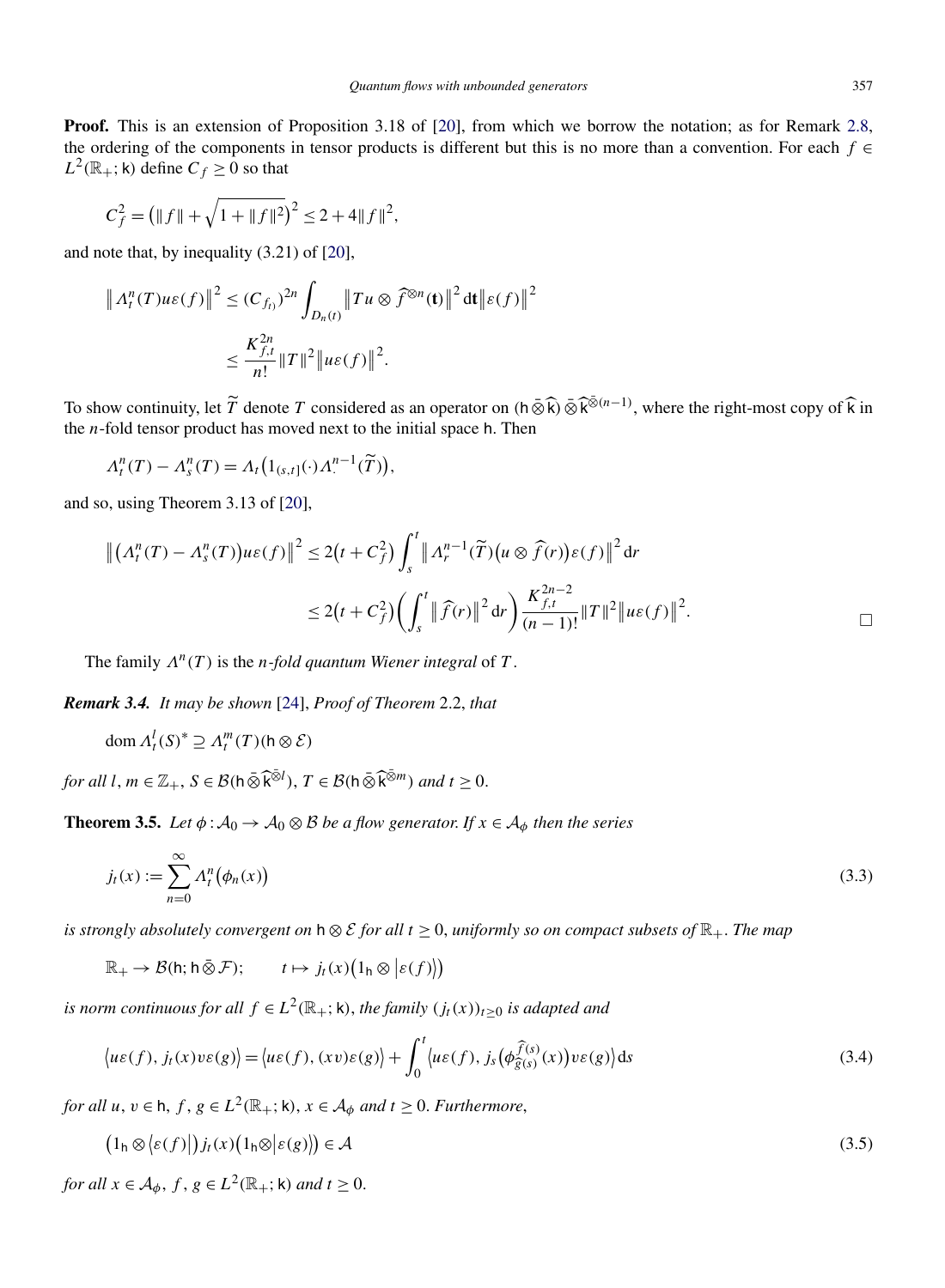<span id="page-8-0"></span>**Proof.** This is an extension of Proposition 3.18 of [\[20\]](#page-26-0), from which we borrow the notation; as for Remark [2.8,](#page-5-0) the ordering of the components in tensor products is different but this is no more than a convention. For each  $f \in$  $L^2(\mathbb{R}_+; \mathsf{k})$  define  $C_f \geq 0$  so that

$$
C_f^2 = \left(\|f\| + \sqrt{1 + \|f\|^2}\right)^2 \le 2 + 4\|f\|^2,
$$

and note that, by inequality (3.21) of [\[20\]](#page-26-0),

$$
\| \Lambda_t^n(T) u \varepsilon(f) \|^2 \le (C_{f_t})^{2n} \int_{D_n(t)} \|Tu \otimes \widehat{f}^{\otimes n}(t) \|^2 dt \|\varepsilon(f)\|^2
$$
  

$$
\le \frac{K_{f,t}^{2n}}{n!} \|T\|^2 \|u\varepsilon(f)\|^2.
$$

To show continuity, let  $\widetilde{T}$  denote  $T$  considered as an operator on  $(h \bar{\otimes} \widehat{k}) \bar{\otimes} \widehat{k}^{\bar{\otimes} (n-1)}$ , where the right-most copy of  $\widehat{k}$  in the *n*-fold tensor product has moved next to the initial space h. Then

$$
\Lambda_t^n(T) - \Lambda_s^n(T) = \Lambda_t \big( 1_{(s,t]}(\cdot) \Lambda_t^{n-1}(\widetilde{T}) \big),
$$

and so, using Theorem 3.13 of [\[20\]](#page-26-0),

$$
\left\| \left( \Lambda_t^n(T) - \Lambda_s^n(T) \right) u\varepsilon(f) \right\|^2 \le 2\left( t + C_f^2 \right) \int_s^t \left\| \Lambda_r^{n-1}(\widetilde{T}) \left( u \otimes \widehat{f}(r) \right) \varepsilon(f) \right\|^2 dr
$$
  

$$
\le 2\left( t + C_f^2 \right) \left( \int_s^t \left\| \widehat{f}(r) \right\|^2 dr \right) \frac{K_{f,t}^{2n-2}}{(n-1)!} \|T\|^2 \left\| u\varepsilon(f) \right\|^2.
$$

The family  $\Lambda^n(T)$  is the *n-fold quantum Wiener integral* of T.

*Remark 3.4. It may be shown* [\[24\]](#page-26-0), *Proof of Theorem* 2.2, *that*

$$
\operatorname{dom} \Lambda_t^l(S)^* \supseteq \Lambda_t^m(T)(h \otimes \mathcal{E})
$$

 $f$ *or all*  $l, m \in \mathbb{Z}_+, S \in \mathcal{B}(\mathsf{h} \bar{\otimes} \widehat{\mathsf{k}}^{\bar{\otimes}l}), T \in \mathcal{B}(\mathsf{h} \bar{\otimes} \widehat{\mathsf{k}}^{\bar{\otimes}m})$  and  $t \geq 0$ .

**Theorem 3.5.** *Let*  $\phi : A_0 \to A_0 \otimes B$  *be a flow generator. If*  $x \in A_\phi$  *then the series* 

$$
j_t(x) := \sum_{n=0}^{\infty} \Lambda_t^n \big(\phi_n(x)\big) \tag{3.3}
$$

*is strongly absolutely convergent on*  $h \otimes E$  *for all*  $t \ge 0$ *, uniformly so on compact subsets of*  $\mathbb{R}_+$ *. The map* 

 $\mathbb{R}_+ \to \mathcal{B}(\mathsf{h}; \mathsf{h} \,\bar{\otimes}\, \mathcal{F}); \qquad t \mapsto j_t(x) \big( 1_{\mathsf{h}} \otimes \big| \varepsilon(f) \big| \big)$ 

*is norm continuous for all*  $f \in L^2(\mathbb{R}_+;\mathsf{k})$ , *the family*  $(j_t(x))_{t>0}$  *is adapted and* 

$$
\langle u\varepsilon(f), j_t(x)v\varepsilon(g)\rangle = \langle u\varepsilon(f), (xv)\varepsilon(g)\rangle + \int_0^t \langle u\varepsilon(f), j_s(\phi_{\widehat{g}(s)}^{\widehat{f}(s)}(x))v\varepsilon(g)\rangle ds
$$
\n(3.4)

*for all*  $u, v \in h, f, g \in L^2(\mathbb{R}_+; \mathsf{k}), x \in A_\phi$  *and*  $t \geq 0$ . *Furthermore*,

$$
(1_h \otimes \langle \varepsilon(f) | )j_t(x) (1_h \otimes |\varepsilon(g) \rangle) \in \mathcal{A}
$$
\n(3.5)

*for all*  $x \in A_\phi$ ,  $f, g \in L^2(\mathbb{R}_+; \mathsf{k})$  *and*  $t \geq 0$ .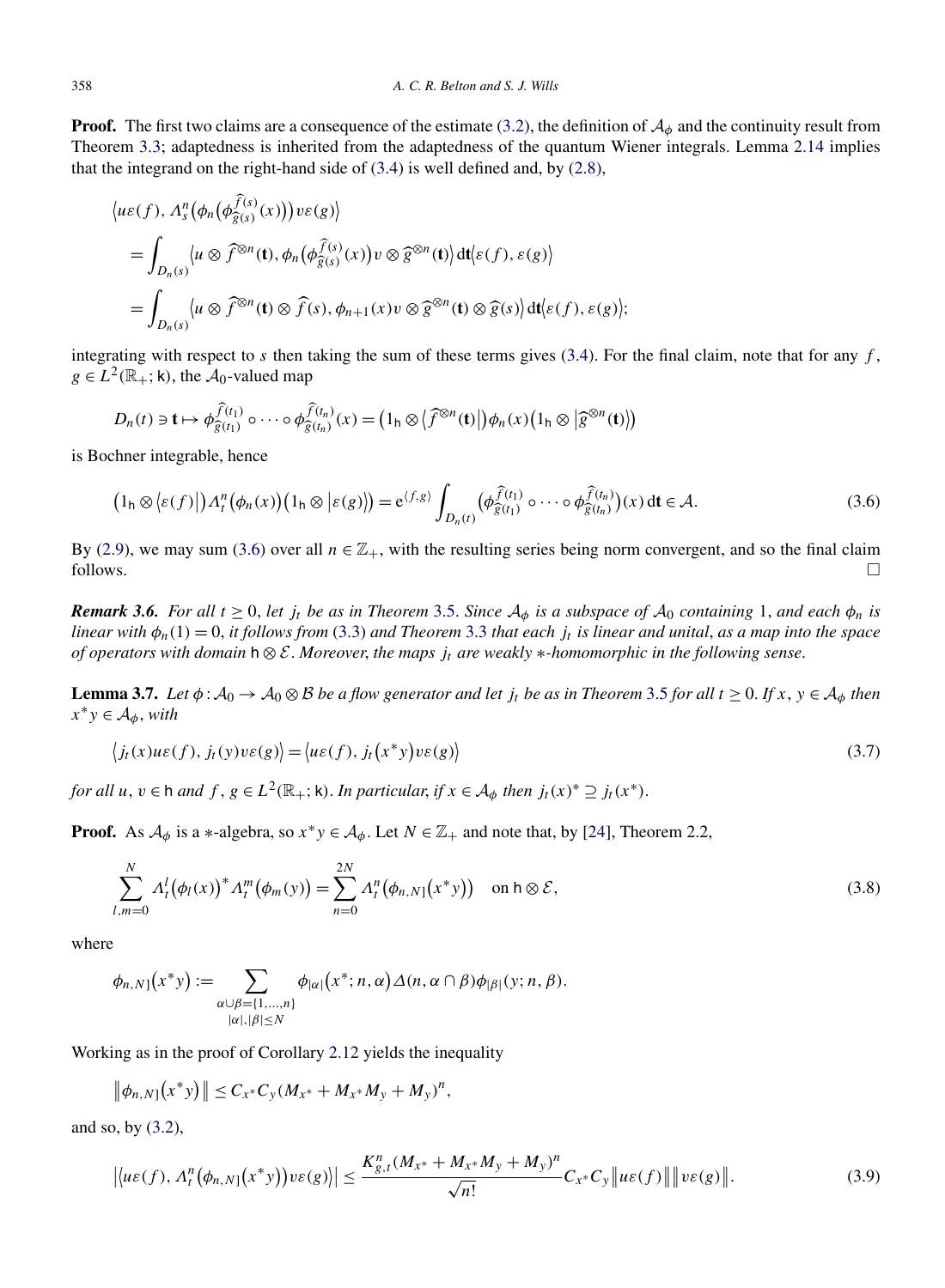<span id="page-9-0"></span>**Proof.** The first two claims are a consequence of the estimate [\(3.2\)](#page-7-0), the definition of  $A_{\phi}$  and the continuity result from Theorem [3.3;](#page-7-0) adaptedness is inherited from the adaptedness of the quantum Wiener integrals. Lemma [2.14](#page-6-0) implies that the integrand on the right-hand side of  $(3.4)$  is well defined and, by  $(2.8)$ ,

$$
\langle u\varepsilon(f), \Lambda_s^n(\phi_n(\phi_{\widehat{g}(s)}^{f(s)}(x)))v\varepsilon(g)\rangle
$$
  
= 
$$
\int_{D_n(s)} \langle u \otimes \widehat{f}^{\otimes n}(\mathbf{t}), \phi_n(\phi_{\widehat{g}(s)}^{f(s)}(x))v \otimes \widehat{g}^{\otimes n}(\mathbf{t})\rangle dt \langle \varepsilon(f), \varepsilon(g)\rangle
$$
  
= 
$$
\int_{D_n(s)} \langle u \otimes \widehat{f}^{\otimes n}(\mathbf{t}) \otimes \widehat{f}(s), \phi_{n+1}(x)v \otimes \widehat{g}^{\otimes n}(\mathbf{t}) \otimes \widehat{g}(s)\rangle dt \langle \varepsilon(f), \varepsilon(g)\rangle;
$$

integrating with respect to *s* then taking the sum of these terms gives [\(3.4\)](#page-8-0). For the final claim, note that for any *f* ,  $g \in L^2(\mathbb{R}_+; \mathsf{k})$ , the  $\mathcal{A}_0$ -valued map

$$
D_n(t) \ni \mathbf{t} \mapsto \phi_{\widehat{g}(t_1)}^{\widehat{f}(t_1)} \circ \cdots \circ \phi_{\widehat{g}(t_n)}^{\widehat{f}(t_n)}(x) = (1_h \otimes \langle \widehat{f}^{\otimes n}(\mathbf{t}) \rangle) \phi_n(x) (1_h \otimes \langle \widehat{g}^{\otimes n}(\mathbf{t}) \rangle)
$$

is Bochner integrable, hence

$$
\left(1_{\mathsf{h}}\otimes\left\langle\varepsilon(f)\right|\right)A_{t}^{n}\left(\phi_{n}(x)\right)\left(1_{\mathsf{h}}\otimes\left|\varepsilon(g)\right|\right)=\mathrm{e}^{\langle f,g\rangle}\int_{D_{n}(t)}\left(\phi_{\widehat{g}(t_{1})}^{\widehat{f}(t_{1})}\circ\cdots\circ\phi_{\widehat{g}(t_{n})}^{\widehat{f}(t_{n})}\right)(x)\,\mathrm{d}t\in\mathcal{A}.\tag{3.6}
$$

By [\(2.9\)](#page-7-0), we may sum (3.6) over all  $n \in \mathbb{Z}_+$ , with the resulting series being norm convergent, and so the final claim follows.  $\Box$ 

*Remark* 3.6. *For all*  $t \geq 0$ , *let*  $j_t$  *be as in Theorem* [3.5.](#page-8-0) *Since*  $A_\phi$  *is a subspace of*  $A_0$  *containing* 1, *and each*  $\phi_n$  *is linear with*  $\phi_n(1) = 0$ , *it follows from* [\(3.3\)](#page-8-0) *and Theorem* [3.3](#page-7-0) *that each*  $j_t$  *is linear and unital, as a map into the space of operators with domain* <sup>h</sup> ⊗ E. *Moreover*, *the maps jt are weakly* ∗*-homomorphic in the following sense*.

**Lemma 3.7.** *Let*  $\phi$ :  $\mathcal{A}_0 \to \mathcal{A}_0 \otimes \mathcal{B}$  *be a flow generator and let*  $j_t$  *be as in Theorem* [3.5](#page-8-0) *for all*  $t \ge 0$ . *If*  $x, y \in \mathcal{A}_\phi$  *then*  $x^*y \in A_\phi$ , *with* 

$$
\langle j_t(x)u\varepsilon(f), j_t(y)v\varepsilon(g)\rangle = \langle u\varepsilon(f), j_t(x^*)vv\varepsilon(g)\rangle
$$
\n(3.7)

*for all*  $u, v \in h$  *and*  $f, g \in L^2(\mathbb{R}_+; \mathsf{k})$ *. In particular, if*  $x \in A_\phi$  *then*  $j_t(x)^* \supseteq j_t(x^*)$ *.* 

**Proof.** As  $A_{\phi}$  is a ∗-algebra, so  $x^*y \in A_{\phi}$ . Let  $N \in \mathbb{Z}_+$  and note that, by [\[24\]](#page-26-0), Theorem 2.2,

$$
\sum_{l,m=0}^{N} \Lambda_{l}^{l} (\phi_{l}(x))^{*} \Lambda_{l}^{m} (\phi_{m}(y)) = \sum_{n=0}^{2N} \Lambda_{l}^{n} (\phi_{n,N}(x^{*}y)) \quad \text{on } h \otimes \mathcal{E},
$$
\n(3.8)

where

$$
\phi_{n,N}[(x^*y) := \sum_{\substack{\alpha \cup \beta = \{1,\ldots,n\} \\ |\alpha|, |\beta| \le N}} \phi_{|\alpha|}(x^*; n, \alpha) \Delta(n, \alpha \cap \beta) \phi_{|\beta|}(y; n, \beta).
$$

Working as in the proof of Corollary [2.12](#page-6-0) yields the inequality

$$
\|\phi_{n,N}[(x^*y)]\| \leq C_{x^*}C_y(M_{x^*}+M_{x^*}M_y+M_y)^n,
$$

and so, by [\(3.2\)](#page-7-0),

$$
\left|\left\langle u\varepsilon(f),\Lambda_t^n\big(\phi_{n,N}[(x^*y)\big)v\varepsilon(g)\right\rangle\right|\leq \frac{K_{g,t}^n(M_{x^*}+M_{x^*}M_y+M_y)^n}{\sqrt{n!}}C_{x^*}C_y\left\|u\varepsilon(f)\right\|\left\|v\varepsilon(g)\right\|.\tag{3.9}
$$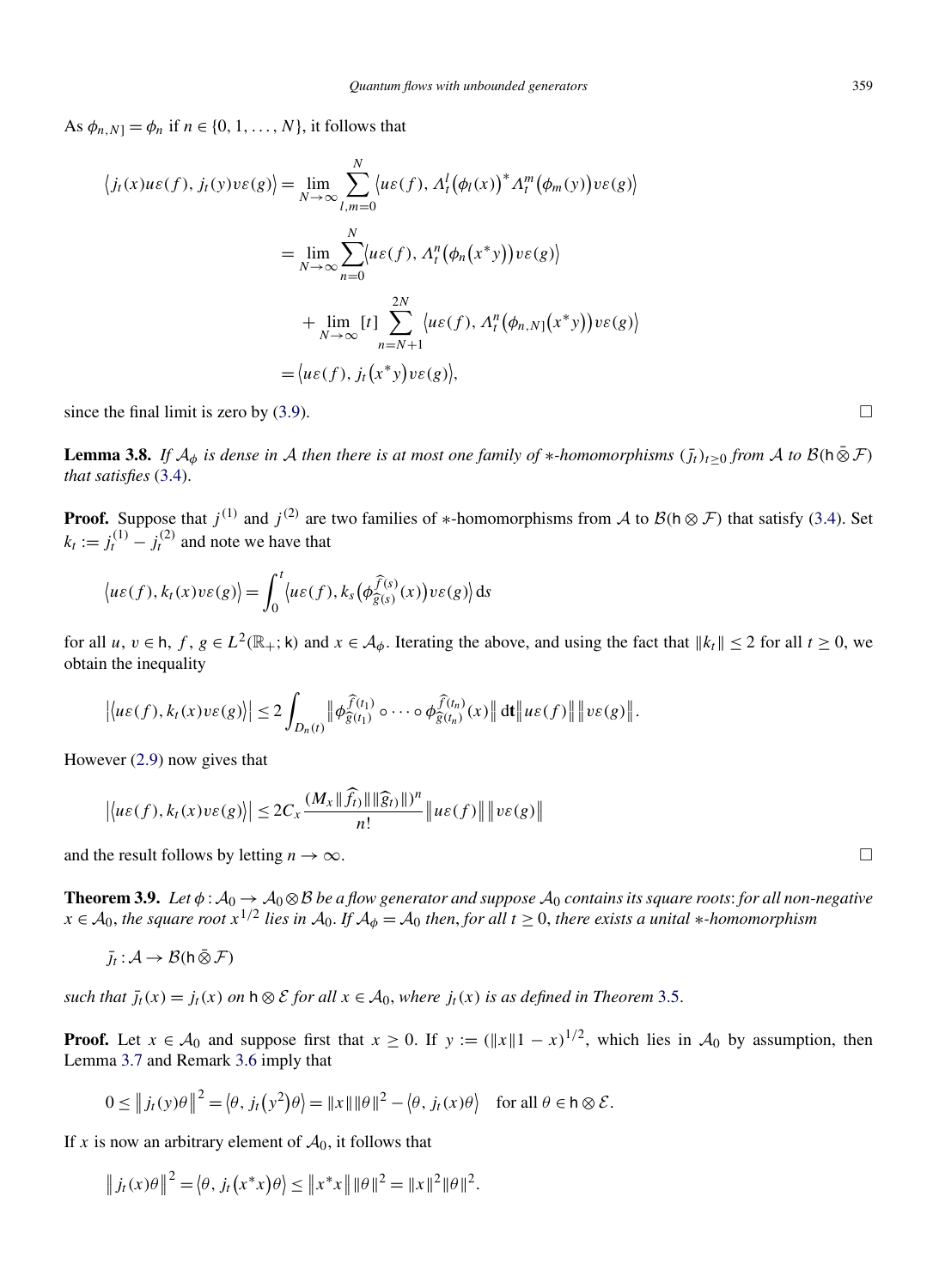<span id="page-10-0"></span>As  $\phi_{n,N} = \phi_n$  if  $n \in \{0, 1, ..., N\}$ , it follows that

$$
\langle j_t(x)u\varepsilon(f), j_t(y)v\varepsilon(g)\rangle = \lim_{N \to \infty} \sum_{l,m=0}^N \langle u\varepsilon(f), \Lambda_t^l(\phi_l(x))^* \Lambda_t^m(\phi_m(y))v\varepsilon(g)\rangle
$$
  

$$
= \lim_{N \to \infty} \sum_{n=0}^N \langle u\varepsilon(f), \Lambda_t^n(\phi_n(x^*y))v\varepsilon(g)\rangle
$$
  

$$
+ \lim_{N \to \infty} [t] \sum_{n=N+1}^{2N} \langle u\varepsilon(f), \Lambda_t^n(\phi_{n,N}(x^*y))v\varepsilon(g)\rangle
$$
  

$$
= \langle u\varepsilon(f), j_t(x^*y)v\varepsilon(g)\rangle,
$$

since the final limit is zero by  $(3.9)$ .

**Lemma 3.8.** *If*  $A_{\phi}$  *is dense in* A *then there is at most one family of* \**-homomorphisms*  $(j_t)_{t>0}$  *from* A *to*  $B(h \bar{\otimes} \mathcal{F})$ *that satisfies* [\(3.4\)](#page-8-0).

**Proof.** Suppose that  $j^{(1)}$  and  $j^{(2)}$  are two families of \*-homomorphisms from A to  $\mathcal{B}(\mathsf{h} \otimes \mathcal{F})$  that satisfy [\(3.4\)](#page-8-0). Set  $k_t := j_t^{(1)} - j_t^{(2)}$  and note we have that

$$
\langle u\varepsilon(f), k_t(x)v\varepsilon(g)\rangle = \int_0^t \langle u\varepsilon(f), k_s(\phi_{\widehat{g}(s)}^{\widehat{f}(s)}(x))v\varepsilon(g)\rangle ds
$$

for all *u*,  $v \in h$ ,  $f$ ,  $g \in L^2(\mathbb{R}_+; \mathsf{k})$  and  $x \in A_\phi$ . Iterating the above, and using the fact that  $||k_t|| \leq 2$  for all  $t \geq 0$ , we obtain the inequality

$$
\left|\left\langle u\varepsilon(f),k_t(x)v\varepsilon(g)\right\rangle\right|\leq 2\int_{D_n(t)}\left\|\phi_{\widehat{g}(t_1)}^{\widehat{f}(t_1)}\circ\cdots\circ\phi_{\widehat{g}(t_n)}^{\widehat{f}(t_n)}(x)\right\|dt\left\|u\varepsilon(f)\right\|\left\|v\varepsilon(g)\right\|.
$$

However [\(2.9\)](#page-7-0) now gives that

$$
\left|\left\langle u\varepsilon(f),k_t(x)v\varepsilon(g)\right\rangle\right|\leq 2C_x\frac{(M_x\|\widehat{f}_t\|\|\widehat{g}_t\|)^n}{n!}\left\|u\varepsilon(f)\right\|\left\|v\varepsilon(g)\right\|
$$

and the result follows by letting  $n \to \infty$ .

**Theorem 3.9.** *Let*  $\phi$ :  $A_0 \to A_0 \otimes B$  *be a flow generator and suppose*  $A_0$  *contains its square roots: for all non-negative x* ∈  $A_0$ , *the square root*  $x^{1/2}$  *lies in*  $A_0$ . *If*  $A_\phi = A_0$  *then, for all*  $t ≥ 0$ , *there exists a unital* \**-homomorphism* 

$$
\bar{J}_t : \mathcal{A} \to \mathcal{B}(\mathsf{h} \,\bar{\otimes}\, \mathcal{F})
$$

*such that*  $\bar{f}_t(x) = f_t(x)$  *on*  $h \otimes \mathcal{E}$  *for all*  $x \in \mathcal{A}_0$ *, where*  $f_t(x)$  *is as defined in Theorem* [3.5.](#page-8-0)

**Proof.** Let  $x \in A_0$  and suppose first that  $x \ge 0$ . If  $y := (\|x\| - x)^{1/2}$ , which lies in  $A_0$  by assumption, then Lemma [3.7](#page-9-0) and Remark [3.6](#page-9-0) imply that

$$
0 \le ||j_t(y)\theta||^2 = \langle \theta, j_t(y^2)\theta \rangle = ||x|| ||\theta||^2 - \langle \theta, j_t(x)\theta \rangle \quad \text{for all } \theta \in \mathsf{h} \otimes \mathcal{E}.
$$

If *x* is now an arbitrary element of  $A_0$ , it follows that

$$
||j_t(x)\theta||^2 = \langle \theta, j_t(x^*x)\theta \rangle \le ||x^*x|| ||\theta||^2 = ||x||^2 ||\theta||^2.
$$

 $\Box$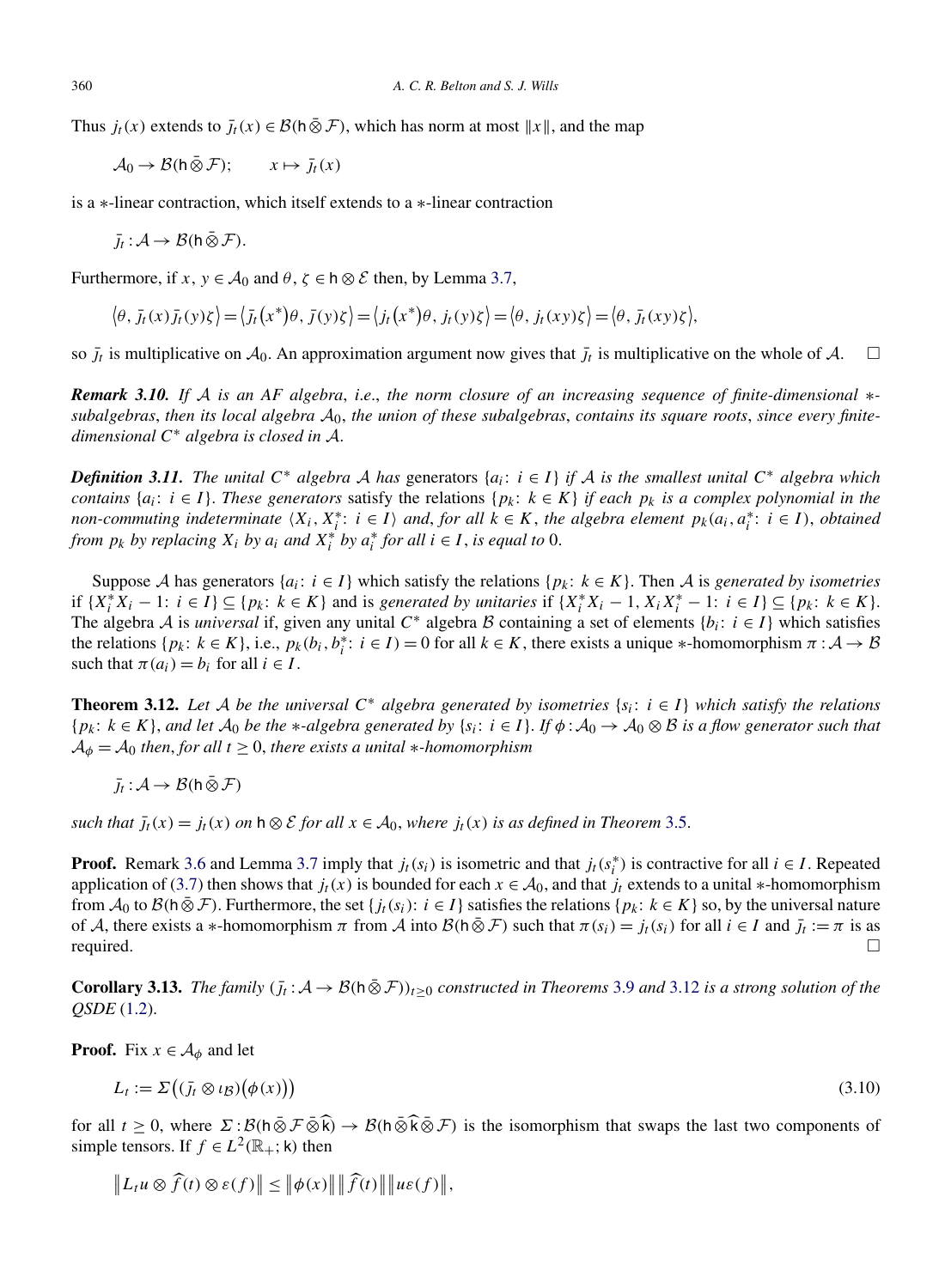Thus  $j_t(x)$  extends to  $\bar{j}_t(x) \in \mathcal{B}(\hbar \bar{\otimes} \mathcal{F})$ , which has norm at most  $||x||$ , and the map

 $\mathcal{A}_0 \to \mathcal{B}(\mathsf{h} \,\bar{\otimes}\, \mathcal{F}); \qquad x \mapsto \bar{j}_t(x)$ 

is a ∗-linear contraction, which itself extends to a ∗-linear contraction

$$
\bar{J}_t: \mathcal{A} \to \mathcal{B}(\mathsf{h}\,\bar{\otimes}\,\mathcal{F}).
$$

Furthermore, if  $x, y \in A_0$  and  $\theta, \zeta \in h \otimes \mathcal{E}$  then, by Lemma [3.7,](#page-9-0)

$$
\langle \theta, \overline{j}_t(x)\overline{j}_t(y)\zeta \rangle = \langle \overline{j}_t(x^*)\theta, \overline{j}(y)\zeta \rangle = \langle j_t(x^*)\theta, \overline{j}_t(y)\zeta \rangle = \langle \theta, \overline{j}_t(xy)\zeta \rangle = \langle \theta, \overline{j}_t(xy)\zeta \rangle,
$$

so  $\bar{j}_t$  is multiplicative on  $\mathcal{A}_0$ . An approximation argument now gives that  $\bar{j}_t$  is multiplicative on the whole of A.  $\Box$ 

*Remark 3.10. If* A *is an AF algebra*, *i*.*e*., *the norm closure of an increasing sequence of finite-dimensional* ∗  $subalgebras, then its local algebra  $A_0$ , the union of these subalgebras, contains its square roots, since every finite$ *dimensional <sup>C</sup>*<sup>∗</sup> *algebra is closed in* <sup>A</sup>.

*Definition 3.11. The unital*  $C^*$  *algebra* A *has* generators  $\{a_i: i \in I\}$  *if* A *is the smallest unital*  $C^*$  *algebra which contains*  $\{a_i: i \in I\}$ . These generators satisfy the relations  $\{p_k: k \in K\}$  *if each*  $p_k$  *is a complex polynomial in the non-commuting indeterminate*  $\langle X_i, X_i^* : i \in I \rangle$  *and, for all*  $k \in K$ *, the algebra element*  $p_k(a_i, a_i^* : i \in I)$ *, obtained from*  $p_k$  *by replacing*  $X_i$  *by*  $a_i$  *and*  $X_i^*$  *by*  $a_i^*$  *for all*  $i \in I$ *, is equal to* 0.

Suppose A has generators  $\{a_i: i \in I\}$  which satisfy the relations  $\{p_k: k \in K\}$ . Then A is *generated by isometries* if  $\{X_i^*X_i - 1: i \in I\} \subseteq \{p_k: k \in K\}$  and is generated by unitaries if  $\{X_i^*X_i - 1, X_iX_i^* - 1: i \in I\} \subseteq \{p_k: k \in K\}.$ The algebra A is *universal* if, given any unital  $C^*$  algebra B containing a set of elements  $\{b_i: i \in I\}$  which satisfies the relations  $\{p_k: k \in K\}$ , i.e.,  $p_k(b_i, b_i^* : i \in I) = 0$  for all  $k \in K$ , there exists a unique \*-homomorphism  $\pi : A \to B$ such that  $\pi(a_i) = b_i$  for all  $i \in I$ .

**Theorem 3.12.** *Let A be the universal*  $C^*$  *algebra generated by isometries*  $\{s_i : i \in I\}$  *which satisfy the relations*  $\{p_k: k \in K\}$ , and let  $\mathcal{A}_0$  be the \*-algebra generated by  $\{s_i: i \in I\}$ . If  $\phi: \mathcal{A}_0 \to \mathcal{A}_0 \otimes \mathcal{B}$  is a flow generator such that  $A_{\phi} = A_0$  *then, for all*  $t \geq 0$ *, there exists a unital* \**-homomorphism* 

$$
\bar{J}_t : \mathcal{A} \to \mathcal{B}(\mathsf{h} \,\bar{\otimes}\, \mathcal{F})
$$

*such that*  $\bar{j}_t(x) = j_t(x)$  *on*  $h \otimes \mathcal{E}$  *for all*  $x \in \mathcal{A}_0$ *, where*  $j_t(x)$  *is as defined in Theorem* [3.5.](#page-8-0)

**Proof.** Remark [3.6](#page-9-0) and Lemma [3.7](#page-9-0) imply that  $j_t(s_i)$  is isometric and that  $j_t(s_i^*)$  is contractive for all  $i \in I$ . Repeated application of [\(3.7\)](#page-9-0) then shows that  $j_t(x)$  is bounded for each  $x \in A_0$ , and that  $j_t$  extends to a unital ∗-homomorphism from  $\mathcal{A}_0$  to  $\mathcal{B}(h \otimes \mathcal{F})$ . Furthermore, the set { $j_t(s_i): i \in I$ } satisfies the relations { $p_k: k \in K$ } so, by the universal nature of *A*, there exists a ∗-homomorphism  $\pi$  from *A* into  $\mathcal{B}(\hat{\pi}) = f(t)$  such that  $\pi(s_i) = j_t(s_i)$  for all  $i \in I$  and  $\bar{j}_t := \pi$  is as required.  $\Box$  required.  $\Box$ 

**Corollary 3.13.** *The family*  $(j_t: A \to \mathcal{B}(\mathbf{h} \bar{\otimes} \mathcal{F}))_{t>0}$  constructed in Theorems [3.9](#page-10-0) *and* 3.12 *is a strong solution of the QSDE* [\(1.2\)](#page-2-0).

**Proof.** Fix  $x \in A_{\phi}$  and let

$$
L_t := \Sigma((\bar{j}_t \otimes \iota_B)(\phi(x))) \tag{3.10}
$$

for all  $t \geq 0$ , where  $\Sigma : \mathcal{B}(\overline{h \otimes \mathcal{F} \otimes \mathbf{k}}) \to \mathcal{B}(\overline{h \otimes \mathbf{k} \otimes \mathcal{F}})$  is the isomorphism that swaps the last two components of simple tensors. If  $f \in L^2(\mathbb{R}_+; \mathsf{k})$  then

$$
\|L_t u \otimes \widehat{f}(t) \otimes \varepsilon(f)\| \le \|\phi(x)\| \|\widehat{f}(t)\| \|u\varepsilon(f)\|,
$$

<span id="page-11-0"></span>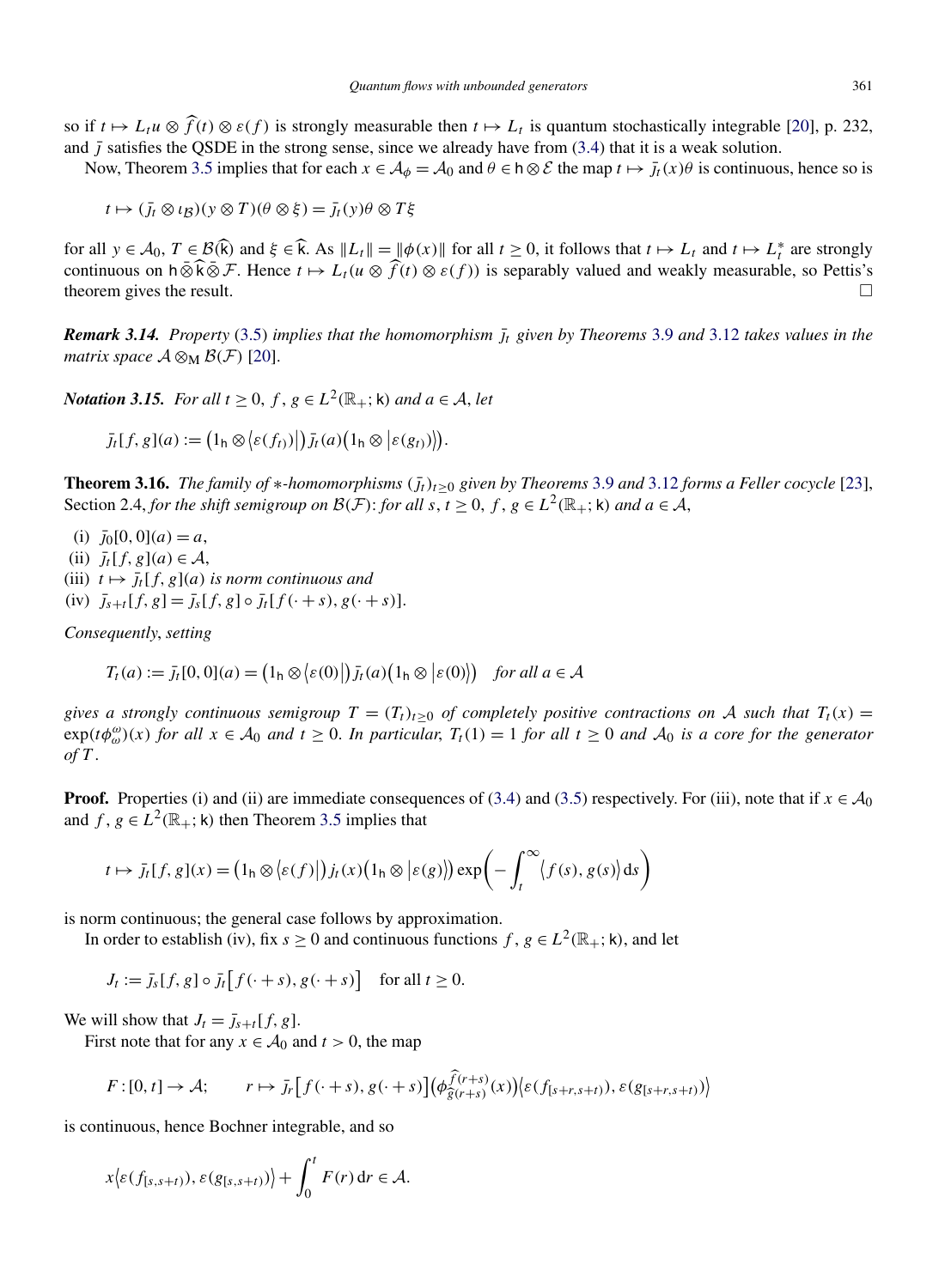<span id="page-12-0"></span>so if  $t \mapsto L_t u \otimes \widehat{f}(t) \otimes \varepsilon(f)$  is strongly measurable then  $t \mapsto L_t$  is quantum stochastically integrable [\[20\]](#page-26-0), p. 232, and  $\bar{I}$  satisfies the QSDE in the strong sense, since we already have from [\(3.4\)](#page-8-0) that it is a weak solution.

Now, Theorem [3.5](#page-8-0) implies that for each  $x \in A_{\phi} = A_0$  and  $\theta \in h \otimes \mathcal{E}$  the map  $t \mapsto \bar{j}_t(x)\theta$  is continuous, hence so is

 $t \mapsto (J_t \otimes \iota_B)(y \otimes T)(\theta \otimes \xi) = J_t(y)\theta \otimes T\xi$ 

for all  $y \in A_0$ ,  $T \in B(\hat{k})$  and  $\xi \in \hat{k}$ . As  $||L_t|| = ||\phi(x)||$  for all  $t \ge 0$ , it follows that  $t \mapsto L_t$  and  $t \mapsto L_t^*$  are strongly continuous on h ⊗ $\widehat{k} \otimes \mathcal{F}$ . Hence  $t \mapsto L_t(u \otimes \widehat{f}(t) \otimes \varepsilon(f))$  is separably valued and weakly measurable, so Pettis's theorem gives the result.  $\Box$ 

*Remark 3.14. Property [\(3.5\)](#page-8-0) implies that the homomorphism*  $\bar{j}_t$  given by Theorems [3.9](#page-10-0) and [3.12](#page-11-0) *takes values in the matrix space*  $\mathcal{A} \otimes_M \mathcal{B}(\mathcal{F})$  [\[20\]](#page-26-0).

*Notation 3.15. For all*  $t > 0$ ,  $f, g \in L^2(\mathbb{R}_+; \mathsf{k})$  *and*  $a \in \mathcal{A}$ , let

 $\bar{j}_t[f, g](a) := (1_h \otimes \langle \varepsilon(f_t) \rangle |) \bar{j}_t(a) (1_h \otimes | \varepsilon(g_t) \rangle)).$ 

**Theorem 3.16.** *The family of*  $*$ *-homomorphisms*  $(j_t)_{t>0}$  *given by Theorems* [3.9](#page-10-0) *and* [3.12](#page-11-0) *forms a Feller cocycle* [\[23\]](#page-26-0), Section 2.4, *for the shift semigroup on*  $\mathcal{B}(F)$ : *for all*  $s, t \geq 0$ ,  $f, g \in L^2(\mathbb{R}_+; \mathsf{k})$  *and*  $a \in \mathcal{A}$ ,

 $\bar{j}_0[0,0](a) = a$ ,

 $\overline{j_t}[f,g](a) \in \mathcal{A}$ ,

(iii)  $t \mapsto \overline{j_t}[f, g](a)$  *is norm continuous and* 

 $(iv)$   $\bar{j}_{s+t}[f,g] = \bar{j}_s[f,g] \circ \bar{j}_t[f(\cdot + s),g(\cdot + s)].$ 

*Consequently*, *setting*

$$
T_t(a) := \overline{j_t[0,0]}(a) = (1_h \otimes \langle \varepsilon(0) | \overline{j_t(a)}(1_h \otimes \langle \varepsilon(0) \rangle) \quad \text{for all } a \in \mathcal{A}
$$

*gives a strongly continuous semigroup*  $T = (T_t)_{t>0}$  *of completely positive contractions on* A *such that*  $T_t(x) =$  $\exp(t\phi_{\omega}^{a})(x)$  *for all*  $x \in A_0$  *and*  $t \ge 0$ *. In particular,*  $T_t(1) = 1$  *for all*  $t \ge 0$  *and*  $A_0$  *is a core for the generator of T* .

**Proof.** Properties (i) and (ii) are immediate consequences of [\(3.4\)](#page-8-0) and [\(3.5\)](#page-8-0) respectively. For (iii), note that if  $x \in A_0$ and  $f, g \in L^2(\mathbb{R}_+; \mathsf{k})$  then Theorem [3.5](#page-8-0) implies that

$$
t \mapsto \bar{J}_t[f, g](x) = (1_h \otimes \langle \varepsilon(f) | ) \bar{J}_t(x) (1_h \otimes \langle \varepsilon(g) \rangle) \exp \biggl( - \int_t^{\infty} \langle f(s), g(s) \rangle ds \biggr)
$$

is norm continuous; the general case follows by approximation.

In order to establish (iv), fix  $s \ge 0$  and continuous functions  $f, g \in L^2(\mathbb{R}_+; \mathsf{k})$ , and let

 $J_t := \bar{j}_s[f, g] \circ \bar{j}_t[f(\cdot + s), g(\cdot + s)]$  for all  $t \ge 0$ *.* 

We will show that  $J_t = \overline{J}_{s+t}[f, g]$ .

First note that for any  $x \in A_0$  and  $t > 0$ , the map

$$
F: [0, t] \to \mathcal{A}; \qquad r \mapsto \bar{J}_r \Big[ f(\cdot + s), g(\cdot + s) \Big] \Big( \phi_{\widehat{g}(r+s)}^{\widehat{f}(r+s)}(x) \Big) \Big\langle \varepsilon(f_{[s+r,s+t)}), \varepsilon(g_{[s+r,s+t)}) \Big\rangle
$$

is continuous, hence Bochner integrable, and so

$$
x\big\langle \varepsilon(f_{[s,s+t)}), \varepsilon(g_{[s,s+t)}) \big\rangle + \int_0^t F(r) \, dr \in \mathcal{A}.
$$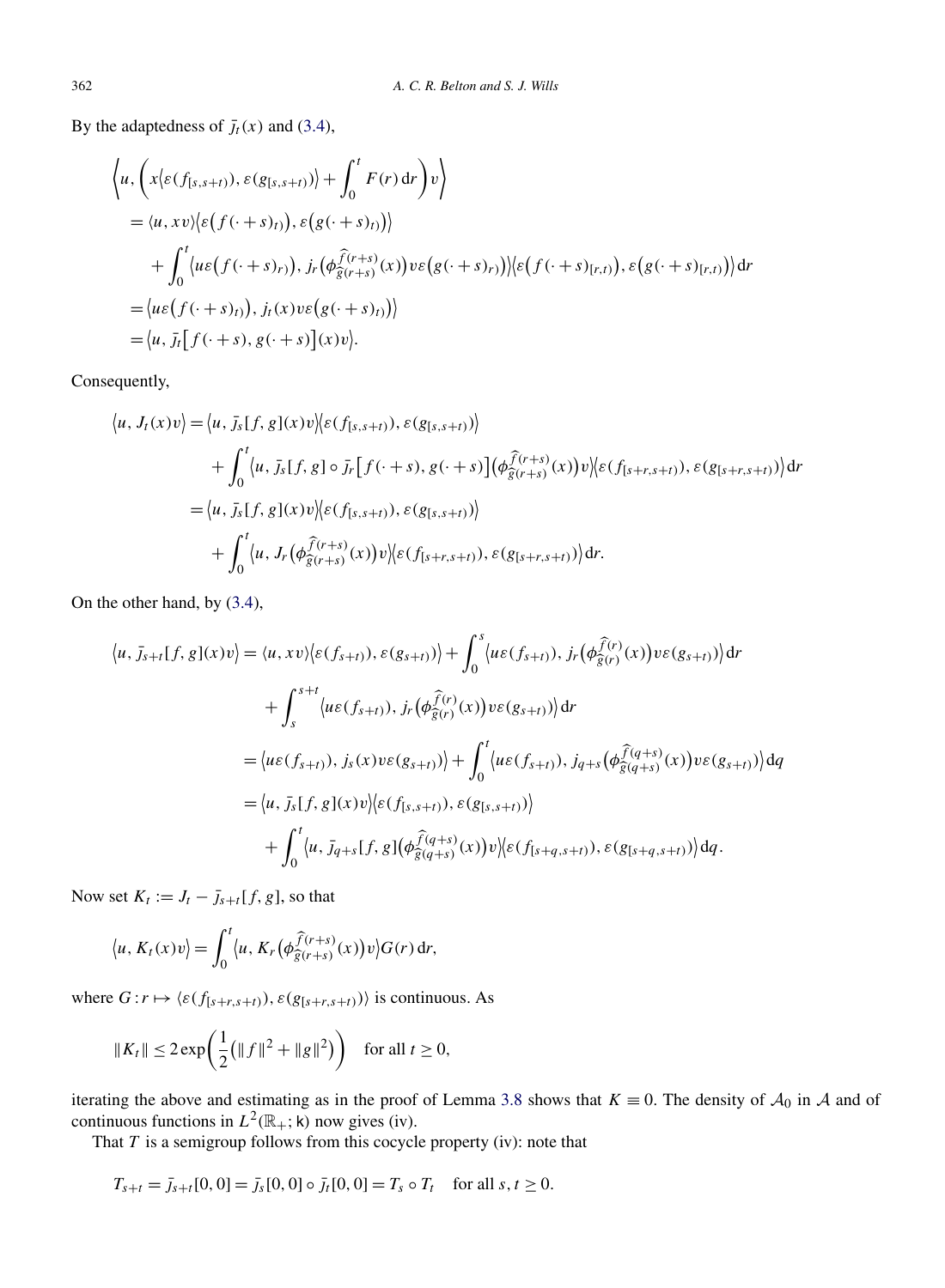By the adaptedness of  $\bar{J}_t(x)$  and [\(3.4\)](#page-8-0),

$$
\langle u, \left( x \langle \varepsilon(f_{[s,s+t)}), \varepsilon(g_{[s,s+t)}) \rangle + \int_0^t F(r) dr \right) v \rangle
$$
  
\n
$$
= \langle u, xv \rangle \langle \varepsilon(f(\cdot + s)_t), \varepsilon(g(\cdot + s)_t)) \rangle
$$
  
\n
$$
+ \int_0^t \langle u\varepsilon(f(\cdot + s)_t), f, (\phi_{\widehat{g}(r+s)}^{\widehat{f}(r+s)}(x))v\varepsilon(g(\cdot + s)_t)) \rangle \langle \varepsilon(f(\cdot + s)_{[r,t)}), \varepsilon(g(\cdot + s)_{[r,t)}) \rangle dr
$$
  
\n
$$
= \langle u\varepsilon(f(\cdot + s)_t), f, (x)v\varepsilon(g(\cdot + s)_t) \rangle
$$
  
\n
$$
= \langle u, \overline{f}, [f(\cdot + s), g(\cdot + s)](x)v \rangle.
$$

Consequently,

$$
\langle u, J_t(x)v \rangle = \langle u, \bar{J}_s[f, g](x)v \rangle \langle \varepsilon(f_{[s,s+t)}), \varepsilon(g_{[s,s+t)}) \rangle + \int_0^t \langle u, \bar{J}_s[f, g] \circ \bar{J}_r[f(\cdot+s), g(\cdot+s)](\phi_{\widehat{g}(r+s)}^{\widehat{f}(r+s)}(x))v \rangle \langle \varepsilon(f_{[s+r,s+t)}), \varepsilon(g_{[s+r,s+t)}) \rangle dr = \langle u, \bar{J}_s[f, g](x)v \rangle \langle \varepsilon(f_{[s,s+t)}), \varepsilon(g_{[s,s+t)}) \rangle + \int_0^t \langle u, J_r(\phi_{\widehat{g}(r+s)}^{\widehat{f}(r+s)}(x))v \rangle \langle \varepsilon(f_{[s+r,s+t)}), \varepsilon(g_{[s+r,s+t)}) \rangle dr.
$$

On the other hand, by [\(3.4\)](#page-8-0),

$$
\langle u, \overline{J}_{s+t}[f,g](x)v \rangle = \langle u, xv \rangle \langle \varepsilon(f_{s+t}), \varepsilon(g_{s+t}) \rangle + \int_0^s \langle u\varepsilon(f_{s+t}), f_r(\phi_{\widehat{g}(r)}^{\widehat{f}(r)}(x))v\varepsilon(g_{s+t}) \rangle dr + \int_s^{s+t} \langle u\varepsilon(f_{s+t}), f_r(\phi_{\widehat{g}(r)}^{\widehat{f}(r)}(x))v\varepsilon(g_{s+t}) \rangle dr = \langle u\varepsilon(f_{s+t}), f_s(x)v\varepsilon(g_{s+t}) \rangle + \int_0^t \langle u\varepsilon(f_{s+t}), f_{q+s}(\phi_{\widehat{g}(q+s)}^{\widehat{f}(q+s)}(x))v\varepsilon(g_{s+t}) \rangle dq = \langle u, \overline{J}_s[f,g](x)v \rangle \langle \varepsilon(f_{[s,s+t)}), \varepsilon(g_{[s,s+t)}) \rangle + \int_0^t \langle u, \overline{J}_{q+s}[f,g](\phi_{\widehat{g}(q+s)}^{\widehat{f}(q+s)}(x))v \rangle \langle \varepsilon(f_{[s+q,s+t)}), \varepsilon(g_{[s+q,s+t)}) \rangle dq.
$$

Now set  $K_t := J_t - \bar{j}_{s+t}[f, g]$ , so that

$$
\langle u, K_t(x)v\rangle = \int_0^t \langle u, K_r(\phi_{\widehat{g}(r+s)}^{\widehat{f}(r+s)}(x))v\rangle G(r) dr,
$$

where  $G: r \mapsto \langle \varepsilon(f_{[s+r,s+t)}), \varepsilon(g_{[s+r,s+t)}) \rangle$  is continuous. As

$$
||K_t|| \le 2 \exp\left(\frac{1}{2} (||f||^2 + ||g||^2) \right)
$$
 for all  $t \ge 0$ ,

iterating the above and estimating as in the proof of Lemma [3.8](#page-10-0) shows that  $K \equiv 0$ . The density of  $\mathcal{A}_0$  in  $\mathcal{A}$  and of continuous functions in  $L^2(\mathbb{R}_+; \mathsf{k})$  now gives (iv).

That *T* is a semigroup follows from this cocycle property (iv): note that

$$
T_{s+t} = \bar{j}_{s+t}[0,0] = \bar{j}_s[0,0] \circ \bar{j}_t[0,0] = T_s \circ T_t \quad \text{for all } s,t \ge 0.
$$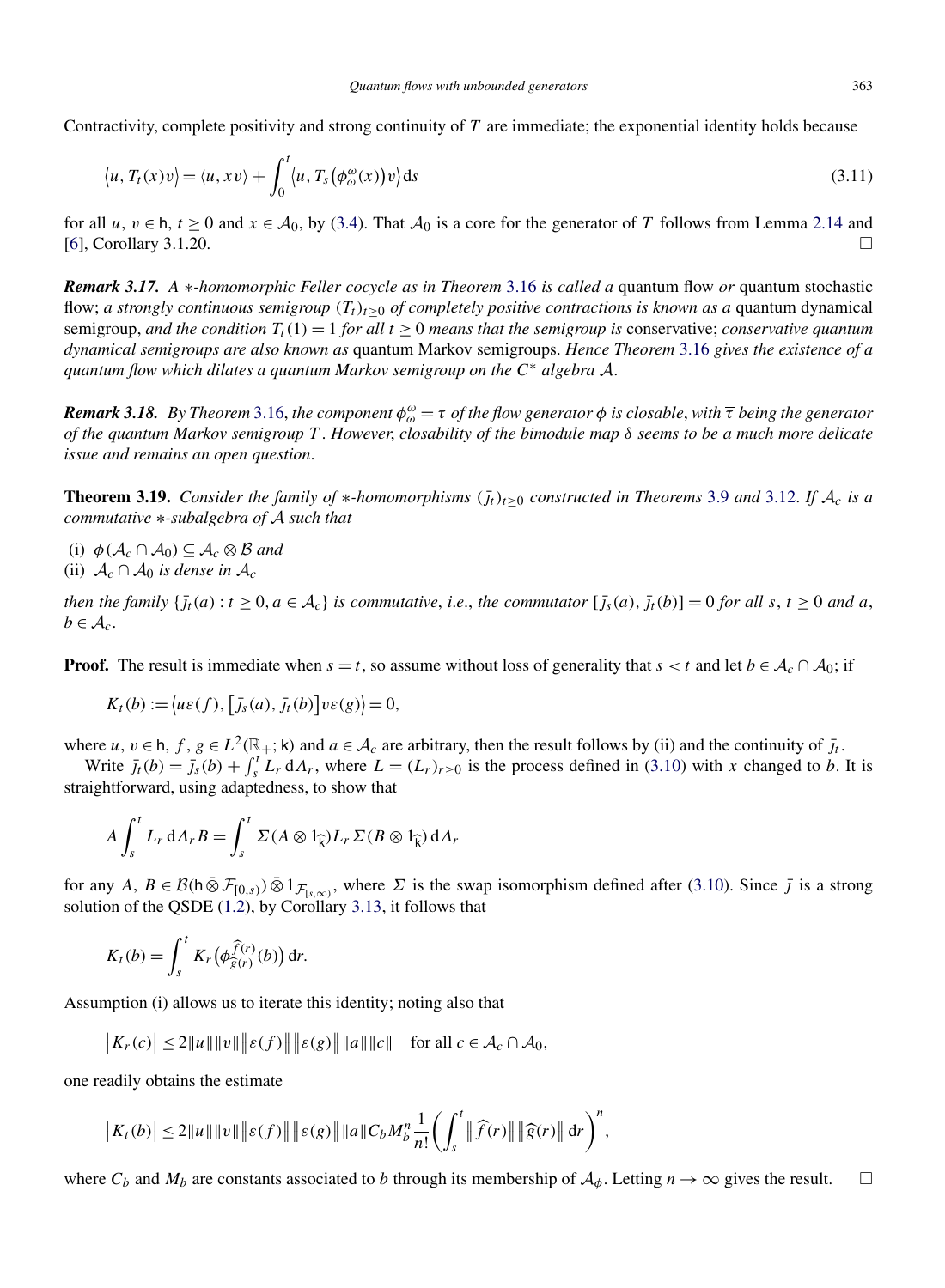<span id="page-14-0"></span>Contractivity, complete positivity and strong continuity of *T* are immediate; the exponential identity holds because

$$
\langle u, T_t(x)v \rangle = \langle u, xv \rangle + \int_0^t \langle u, T_s(\phi_\omega^\omega(x))v \rangle ds \tag{3.11}
$$

for all *u*,  $v \in h$ ,  $t \ge 0$  and  $x \in A_0$ , by [\(3.4\)](#page-8-0). That  $A_0$  is a core for the generator of *T* follows from Lemma [2.14](#page-6-0) and [6]. Corollary 3.1.20.  $[6]$ , Corollary 3.1.20.

*Remark 3.17. A* ∗*-homomorphic Feller cocycle as in Theorem* [3.16](#page-12-0) *is called a* quantum flow *or* quantum stochastic flow; *a strongly continuous semigroup*  $(T_t)_{t>0}$  *of completely positive contractions is known as a* quantum dynamical semigroup, and the condition  $T_t(1) = 1$  for all  $t \ge 0$  means that the semigroup is conservative; *conservative quantum dynamical semigroups are also known as* quantum Markov semigroups. *Hence Theorem* [3.16](#page-12-0) *gives the existence of a quantum flow which dilates a quantum Markov semigroup on the <sup>C</sup>*<sup>∗</sup> *algebra* <sup>A</sup>.

*Remark 3.18. By Theorem* [3.16,](#page-12-0) *the component φ<sup>ω</sup> <sup>ω</sup>* = *τ of the flow generator φ is closable*, *with τ being the generator of the quantum Markov semigroup T* . *However*, *closability of the bimodule map δ seems to be a much more delicate issue and remains an open question*.

**Theorem 3.19.** *Consider the family of*  $*$ *-homomorphisms*  $(j_t)_{t\geq0}$  *constructed in Theorems* [3.9](#page-10-0) *and* [3.12.](#page-11-0) If  $A_c$  *is a commutative* ∗*-subalgebra of* A *such that*

- (i)  $\phi(\mathcal{A}_c \cap \mathcal{A}_0) \subseteq \mathcal{A}_c \otimes \mathcal{B}$  and
- (ii)  $A_c \cap A_0$  *is dense in*  $A_c$

then the family  $\{\bar{f}_t(a): t \geq 0, a \in A_c\}$  is commutative, i.e., the commutator  $[\bar{f}_s(a), \bar{f}_t(b)] = 0$  for all s,  $t \geq 0$  and a,  $b \in \mathcal{A}_c$ .

**Proof.** The result is immediate when  $s = t$ , so assume without loss of generality that  $s < t$  and let  $b \in A_c \cap A_0$ ; if

$$
K_t(b) := \langle u\varepsilon(f), [\bar{J}_s(a), \bar{J}_t(b)]v\varepsilon(g) \rangle = 0,
$$

where *u*,  $v \in h$ ,  $f$ ,  $g \in L^2(\mathbb{R}_+; \mathsf{k})$  and  $a \in A_c$  are arbitrary, then the result follows by (ii) and the continuity of  $\bar{J}_t$ .

Write  $\bar{j}_t(b) = \bar{j}_s(b) + \int_s^t L_r dA_r$ , where  $L = (L_r)_{r \geq 0}$  is the process defined in [\(3.10\)](#page-11-0) with *x* changed to *b*. It is straightforward, using adaptedness, to show that

$$
A \int_{s}^{t} L_{r} dA_{r} B = \int_{s}^{t} \Sigma (A \otimes 1_{\widehat{k}}) L_{r} \Sigma (B \otimes 1_{\widehat{k}}) dA_{r}
$$

for any  $A, B \in \mathcal{B}(\mathsf{h} \bar{\otimes} \mathcal{F}_{[0,s)}) \bar{\otimes} 1_{\mathcal{F}_{[s,\infty)}},$  where  $\Sigma$  is the swap isomorphism defined after [\(3.10\)](#page-11-0). Since  $\bar{j}$  is a strong solution of the QSDE [\(1.2\)](#page-2-0), by Corollary [3.13,](#page-11-0) it follows that

$$
K_t(b) = \int_s^t K_r\big(\phi_{\widehat{g}(r)}^{\widehat{f}(r)}(b)\big) dr.
$$

Assumption (i) allows us to iterate this identity; noting also that

$$
\big|K_r(c)\big|\leq 2||u|| ||v|| \big|\varepsilon(f)\big|\big|\big|\varepsilon(g)\big|\big||u|| ||c|| \quad \text{for all } c\in\mathcal{A}_c\cap\mathcal{A}_0,
$$

one readily obtains the estimate

$$
|K_{t}(b)| \leq 2||u|| ||v|| ||\varepsilon(f)|| ||\varepsilon(g)|| ||a|| C_{b} M_{b}^{n} \frac{1}{n!} \biggl( \int_{s}^{t} ||\widehat{f}(r)|| ||\widehat{g}(r)|| dr \biggr)^{n},
$$

where  $C_b$  and  $M_b$  are constants associated to *b* through its membership of  $A_\phi$ . Letting  $n \to \infty$  gives the result.  $\Box$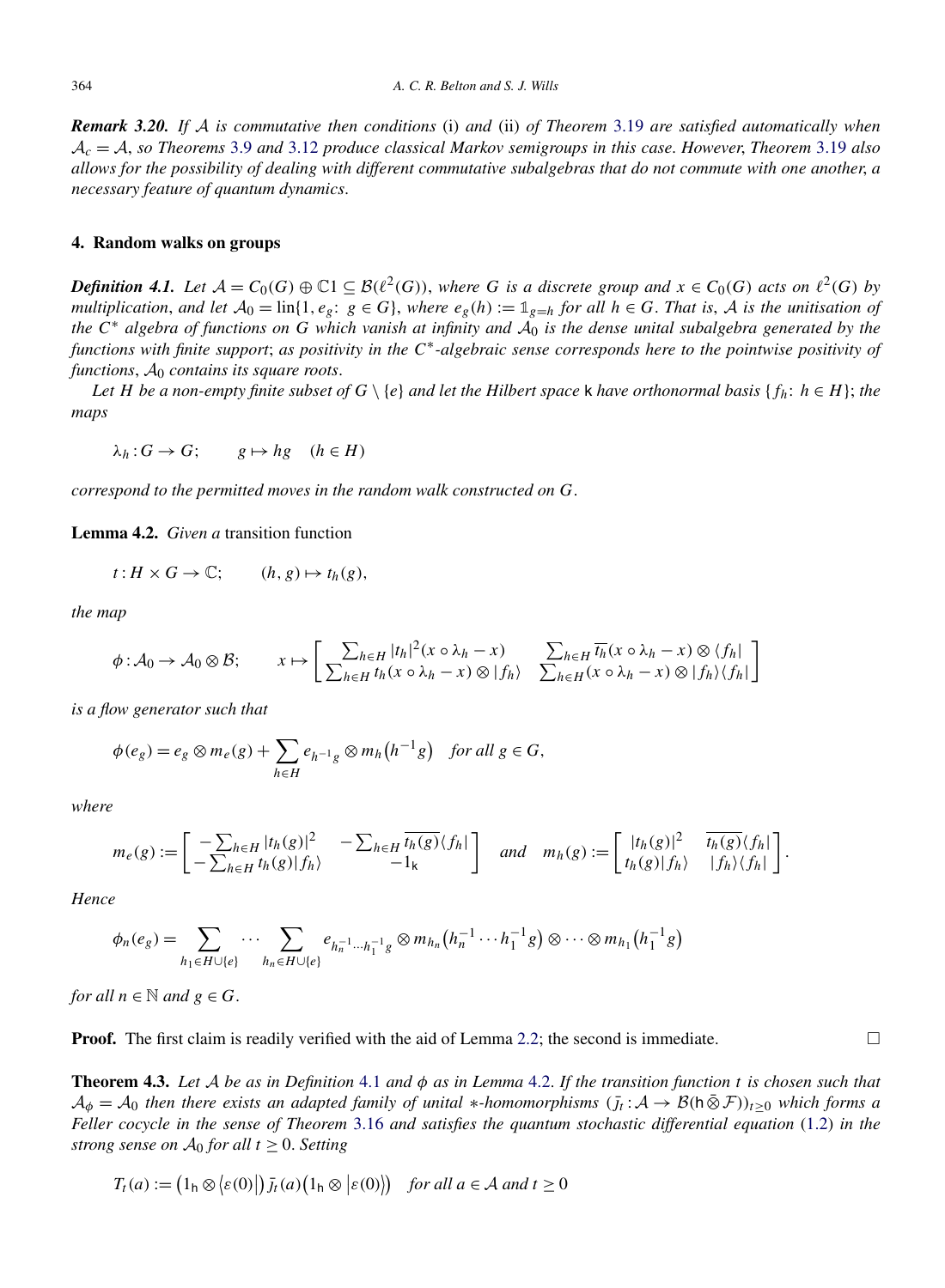<span id="page-15-0"></span>*Remark 3.20. If* A *is commutative then conditions* (i) *and* (ii) *of Theorem* [3.19](#page-14-0) *are satisfied automatically when* A*<sup>c</sup>* = A, *so Theorems* [3.9](#page-10-0) *and* [3.12](#page-11-0) *produce classical Markov semigroups in this case*. *However*, *Theorem* [3.19](#page-14-0) *also allows for the possibility of dealing with different commutative subalgebras that do not commute with one another*, *a necessary feature of quantum dynamics*.

## **4. Random walks on groups**

*Definition 4.1.* Let  $A = C_0(G) \oplus \mathbb{C}1 \subseteq \mathcal{B}(\ell^2(G))$ , where G is a discrete group and  $x \in C_0(G)$  acts on  $\ell^2(G)$  by *multiplication, and let*  $A_0 = \text{lin}\{1, e_g: g \in G\}$ *, where*  $e_g(h) := \mathbb{1}_{g=h}$  *for all*  $h \in G$ *. That is,* A *is the unitisation of the*  $C^*$  *algebra of functions on*  $G$  *which vanish at infinity and*  $A_0$  *is the dense unital subalgebra generated by the functions with finite support*; *as positivity in the C*∗*-algebraic sense corresponds here to the pointwise positivity of functions*,  $A_0$  *contains its square roots.* 

*Let H be a non-empty finite subset of*  $G \setminus \{e\}$  *and let the Hilbert space* k *have orthonormal basis*  $\{f_h: h \in H\}$ ; *the maps*

$$
\lambda_h: G \to G; \qquad g \mapsto hg \quad (h \in H)
$$

*correspond to the permitted moves in the random walk constructed on G*.

**Lemma 4.2.** *Given a* transition function

$$
t: H \times G \to \mathbb{C}; \qquad (h, g) \mapsto t_h(g),
$$

*the map*

$$
\phi: \mathcal{A}_0 \to \mathcal{A}_0 \otimes \mathcal{B}; \qquad x \mapsto \left[ \frac{\sum_{h \in H} |t_h|^2 (x \circ \lambda_h - x)}{\sum_{h \in H} t_h (x \circ \lambda_h - x) \otimes |f_h|} \frac{\sum_{h \in H} \overline{t_h} (x \circ \lambda_h - x) \otimes \langle f_h|}{\sum_{h \in H} (x \circ \lambda_h - x) \otimes |f_h| / \langle f_h|} \right]
$$

*is a flow generator such that*

$$
\phi(e_g) = e_g \otimes m_e(g) + \sum_{h \in H} e_{h^{-1}g} \otimes m_h(h^{-1}g) \quad \text{for all } g \in G,
$$

*where*

$$
m_e(g) := \begin{bmatrix} -\sum_{h \in H} |t_h(g)|^2 & -\sum_{h \in H} \overline{t_h(g)} \langle f_h | \\ -\sum_{h \in H} t_h(g) | f_h \rangle & -1_k \end{bmatrix} \quad and \quad m_h(g) := \begin{bmatrix} |t_h(g)|^2 & \overline{t_h(g)} \langle f_h | \\ t_h(g) | f_h \rangle & |f_h \rangle \langle f_h | \end{bmatrix}.
$$

*Hence*

$$
\phi_n(e_g)=\sum_{h_1\in H\cup\{e\}}\cdots\sum_{h_n\in H\cup\{e\}}e_{h_n^{-1}\cdots h_1^{-1}g}\otimes m_{h_n}(h_n^{-1}\cdots h_1^{-1}g)\otimes\cdots\otimes m_{h_1}(h_1^{-1}g)
$$

*for all*  $n \in \mathbb{N}$  *and*  $g \in G$ .

**Proof.** The first claim is readily verified with the aid of Lemma [2.2;](#page-4-0) the second is immediate.  $\Box$ 

**Theorem 4.3.** *Let* A *be as in Definition* 4.1 *and φ as in Lemma* 4.2. *If the transition function t is chosen such that*  $A_{\phi} = A_0$  *then there exists an adapted family of unital* \*-*homomorphisms*  $(j_t : A \to B(h \otimes F))_{t \ge 0}$  *which forms a Feller cocycle in the sense of Theorem* [3.16](#page-12-0) *and satisfies the quantum stochastic differential equation* [\(1.2\)](#page-2-0) *in the strong sense on*  $A_0$  *for all*  $t > 0$ *. Setting* 

$$
T_t(a) := (1_h \otimes \langle \varepsilon(0) | \, \rangle) \bar{f}_t(a) \big( 1_h \otimes \langle \varepsilon(0) \rangle \big) \quad \text{for all } a \in \mathcal{A} \text{ and } t \ge 0
$$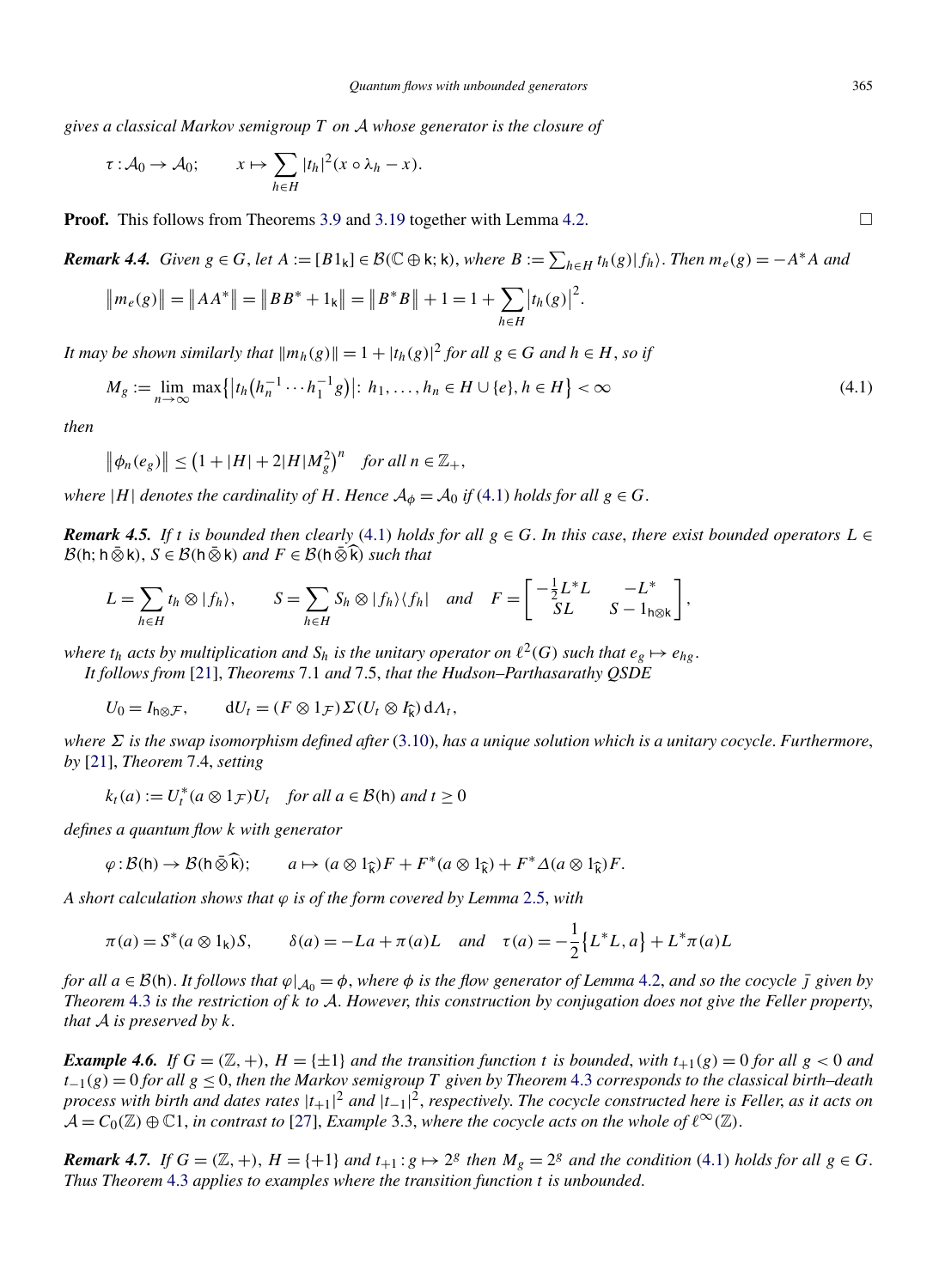*gives a classical Markov semigroup T on* A *whose generator is the closure of*

$$
\tau: \mathcal{A}_0 \to \mathcal{A}_0; \qquad x \mapsto \sum_{h \in H} |t_h|^2 (x \circ \lambda_h - x).
$$

**Proof.** This follows from Theorems [3.9](#page-10-0) and [3.19](#page-14-0) together with Lemma [4.2.](#page-15-0)  $\Box$ 

**Remark 4.4.** Given  $g \in G$ , let  $A := [B1_k] \in \mathcal{B}(\mathbb{C} \oplus \mathsf{k}; \mathsf{k})$ , where  $B := \sum_{h \in H} t_h(g) |f_h\rangle$ . Then  $m_e(g) = -A^*A$  and

$$
\|m_e(g)\| = \|AA^*\| = \|BB^* + 1_k\| = \|B^*B\| + 1 = 1 + \sum_{h \in H} |t_h(g)|^2.
$$

*It may be shown similarly that*  $\|m_h(g)\| = 1 + |t_h(g)|^2$  *for all*  $g \in G$  *and*  $h \in H$ *, so if* 

$$
M_g := \lim_{n \to \infty} \max \{|t_h(h_n^{-1} \cdots h_1^{-1} g)| : h_1, \dots, h_n \in H \cup \{e\}, h \in H\} < \infty
$$
\n(4.1)

*then*

$$
\left\|\phi_n(e_g)\right\| \le \left(1+|H|+2|H|M_g^2\right)^n \quad \text{for all } n \in \mathbb{Z}_+,
$$

*where*  $|H|$  *denotes the cardinality of H*. *Hence*  $A_{\phi} = A_0$  *if* (4.1) *holds for all*  $g \in G$ .

*Remark 4.5. If t is bounded then clearly* (4.1) *holds for all*  $g \in G$ . *In this case, there exist bounded operators*  $L \in$  $B(h; h \bar{\otimes} k), S \in B(h \bar{\otimes} k)$  *and*  $F \in B(h \bar{\otimes} \bar{k})$  *such that* 

$$
L = \sum_{h \in H} t_h \otimes |f_h\rangle, \qquad S = \sum_{h \in H} S_h \otimes |f_h\rangle \langle f_h| \quad and \quad F = \begin{bmatrix} -\frac{1}{2}L^*L & -L^* \\ SL & S - 1_{h \otimes k} \end{bmatrix},
$$

*where*  $t_h$  acts by multiplication and  $S_h$  is the unitary operator on  $\ell^2(G)$  such that  $e_g \mapsto e_{hg}$ . *It follows from* [\[21\]](#page-26-0), *Theorems* 7.1 *and* 7.5, *that the Hudson–Parthasarathy QSDE*

 $U_0 = I_{h \otimes \mathcal{F}}$ ,  $dU_t = (F \otimes 1_{\mathcal{F}}) \Sigma (U_t \otimes I_{\widehat{k}}) dA_t$ ,

*where Σ is the swap isomorphism defined after* [\(3.10\)](#page-11-0), *has a unique solution which is a unitary cocycle*. *Furthermore*, *by* [\[21\]](#page-26-0), *Theorem* 7.4, *setting*

$$
k_t(a) := U_t^*(a \otimes 1_{\mathcal{F}})U_t \quad \text{for all } a \in \mathcal{B}(\mathsf{h}) \text{ and } t \ge 0
$$

*defines a quantum flow k with generator*

$$
\varphi : \mathcal{B}(\mathsf{h}) \to \mathcal{B}(\mathsf{h}\,\bar{\otimes}\,\widehat{\mathsf{k}}); \qquad a \mapsto (a \otimes 1_{\widehat{\mathsf{k}}})F + F^*(a \otimes 1_{\widehat{\mathsf{k}}}) + F^*\Delta(a \otimes 1_{\widehat{\mathsf{k}}})F.
$$

*A short calculation shows that ϕ is of the form covered by Lemma* [2.5,](#page-4-0) *with*

$$
\pi(a) = S^*(a \otimes 1_k)S
$$
,  $\delta(a) = -La + \pi(a)L$  and  $\tau(a) = -\frac{1}{2} \{L^*L, a\} + L^* \pi(a)L$ 

*for all*  $a \in B(h)$ . It follows that  $\varphi|_{A_0} = \varphi$ , where  $\varphi$  is the flow generator of Lemma [4.2,](#page-15-0) and so the cocycle *j* given by *Theorem* [4.3](#page-15-0) *is the restriction of k to* A. *However*, *this construction by conjugation does not give the Feller property*, *that* A *is preserved by k*.

*Example 4.6. If*  $G = (\mathbb{Z}, +)$ ,  $H = \{\pm 1\}$  *and the transition function t is bounded*, *with*  $t_{+1}(g) = 0$  *for all*  $g < 0$  *and t*−1*(g)* = 0 *for all g* ≤ 0, *then the Markov semigroup T given by Theorem* [4.3](#page-15-0) *corresponds to the classical birth–death process with birth and dates rates* |*t*+1| <sup>2</sup> *and* |*t*−1| 2, *respectively*. *The cocycle constructed here is Feller*, *as it acts on*  $\mathcal{A} = C_0(\mathbb{Z}) \oplus \mathbb{C}1$ , *in contrast to* [\[27\]](#page-26-0), *Example* 3.3, *where the cocycle acts on the whole of*  $\ell^{\infty}(\mathbb{Z})$ .

**Remark 4.7.** If  $G = (\mathbb{Z}, +)$ ,  $H = \{+1\}$  and  $t_{+1}: g \mapsto 2^g$  then  $M_g = 2^g$  and the condition (4.1) holds for all  $g \in G$ . *Thus Theorem* [4.3](#page-15-0) *applies to examples where the transition function t is unbounded*.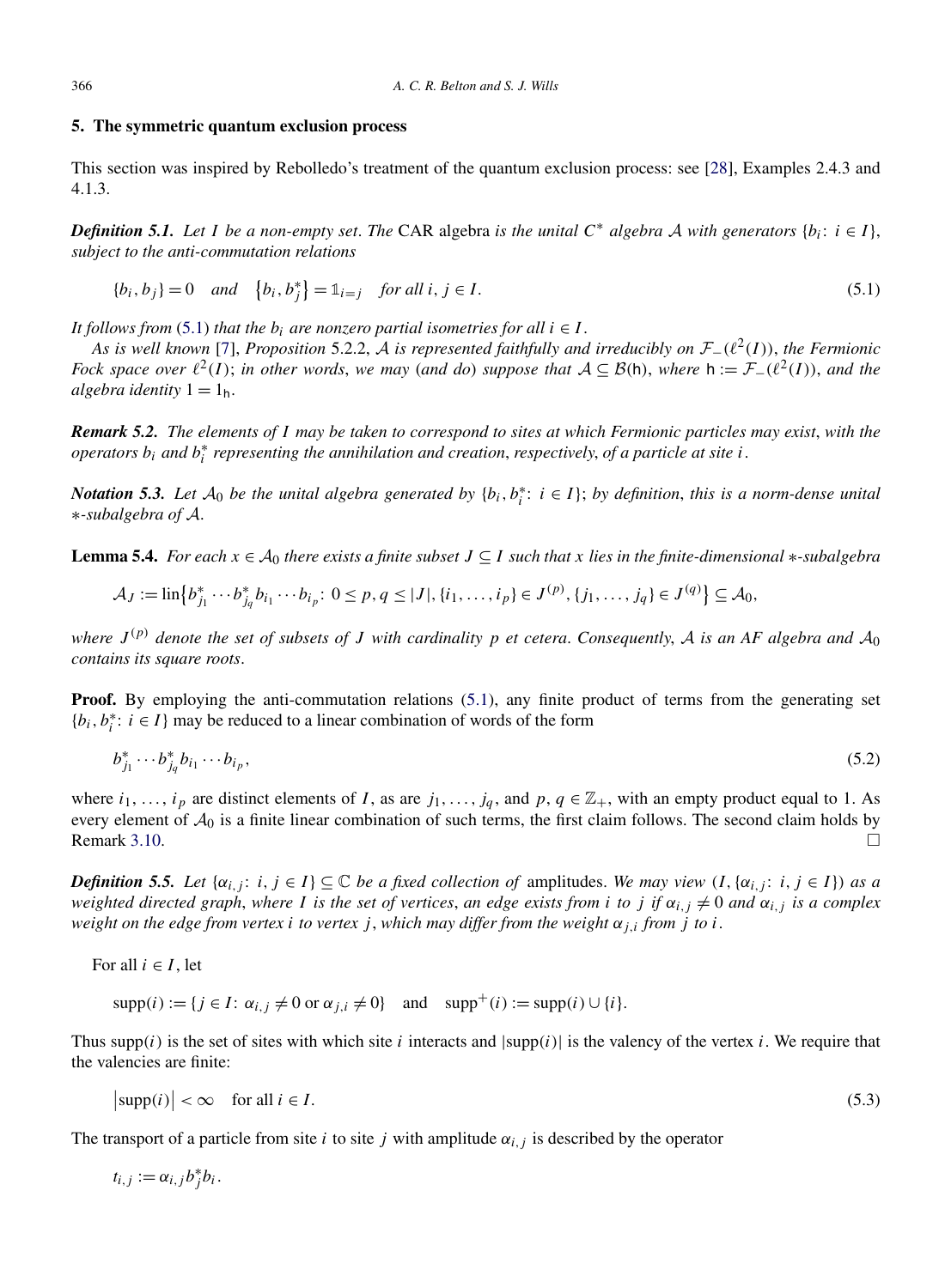#### <span id="page-17-0"></span>**5. The symmetric quantum exclusion process**

This section was inspired by Rebolledo's treatment of the quantum exclusion process: see [\[28\]](#page-26-0), Examples 2.4.3 and 4.1.3.

*Definition 5.1. Let I be a non-empty set. The* CAR algebra *is the unital*  $C^*$  *algebra*  $A$  *with generators*  $\{b_i: i \in I\}$ , *subject to the anti-commutation relations*

$$
\{b_i, b_j\} = 0 \quad and \quad \{b_i, b_j^*\} = \mathbb{1}_{i=j} \quad \text{for all } i, j \in I.
$$
 (5.1)

*It follows from* (5.1) *that the*  $b_i$  *are nonzero partial isometries for all*  $i \in I$ .

*As is well known* [\[7\]](#page-26-0), *Proposition* 5.2.2, <sup>A</sup> *is represented faithfully and irreducibly on* <sup>F</sup>−*(*2*(I))*, *the Fermionic Fock space over*  $\ell^2(I)$ ; *in other words, we may (and do) suppose that*  $A \subseteq B(h)$ *, where*  $h := \mathcal{F}_-(\ell^2(I))$ *, and the algebra identity*  $1 = 1_h$ .

*Remark 5.2. The elements of I may be taken to correspond to sites at which Fermionic particles may exist, with the operators bi and b*<sup>∗</sup> *<sup>i</sup> representing the annihilation and creation*, *respectively*, *of a particle at site i*.

*Notation* 5.3. Let  $A_0$  be the unital algebra generated by  $\{b_i, b_i^*: i \in I\}$ ; by definition, this is a norm-dense unital ∗*-subalgebra of* A.

**Lemma 5.4.** *For each*  $x \in A_0$  *there exists a finite subset*  $J \subseteq I$  *such that*  $x$  *lies in the finite-dimensional* ∗*-subalgebra* 

$$
\mathcal{A}_J := \text{lin}\big\{b_{j_1}^* \cdots b_{j_q}^* b_{i_1} \cdots b_{i_p};\ 0 \le p, q \le |J|, \{i_1, \ldots, i_p\} \in J^{(p)}, \{j_1, \ldots, j_q\} \in J^{(q)}\big\} \subseteq \mathcal{A}_0,
$$

*where*  $J^{(p)}$  *denote the set of subsets of J with cardinality p et cetera. Consequently, A is an AF algebra and*  $A_0$ *contains its square roots*.

**Proof.** By employing the anti-commutation relations (5.1), any finite product of terms from the generating set  ${b_i, b_i^* : i \in I}$  may be reduced to a linear combination of words of the form

$$
b_{j_1}^* \cdots b_{j_q}^* b_{i_1} \cdots b_{i_p}, \tag{5.2}
$$

where  $i_1, \ldots, i_p$  are distinct elements of *I*, as are  $j_1, \ldots, j_q$ , and  $p, q \in \mathbb{Z}_+$ , with an empty product equal to 1. As every element of  $A_0$  is a finite linear combination of such terms, the first claim follows. The second claim holds by Remark 3.10. Remark [3.10.](#page-11-0)  $\Box$ 

*Definition 5.5. Let*  $\{\alpha_{i,j}: i, j \in I\} \subseteq \mathbb{C}$  *be a fixed collection of* amplitudes. *We may view*  $(I, \{\alpha_{i,j}: i, j \in I\})$  *as a weighted directed graph, where I is the set of vertices, an edge exists from <i>i to j if*  $\alpha_{i,j} \neq 0$  *and*  $\alpha_{i,j}$  *is a complex weight on the edge from vertex i to vertex j*, *which may differ from the weight*  $\alpha_{i,i}$  *from j to i*.

For all  $i \in I$ , let

 $\supp(i) := \{ j \in I : \alpha_{i,j} \neq 0 \text{ or } \alpha_{j,i} \neq 0 \}$  and  $\supp^+(i) := \supp(i) \cup \{ i \}.$ 

Thus supp(i) is the set of sites with which site i interacts and  $|supp(i)|$  is the valency of the vertex i. We require that the valencies are finite:

$$
\left|\text{supp}(i)\right| < \infty \quad \text{for all } i \in I. \tag{5.3}
$$

The transport of a particle from site *i* to site *j* with amplitude  $\alpha_{i,j}$  is described by the operator

$$
t_{i,j} := \alpha_{i,j} b_j^* b_i.
$$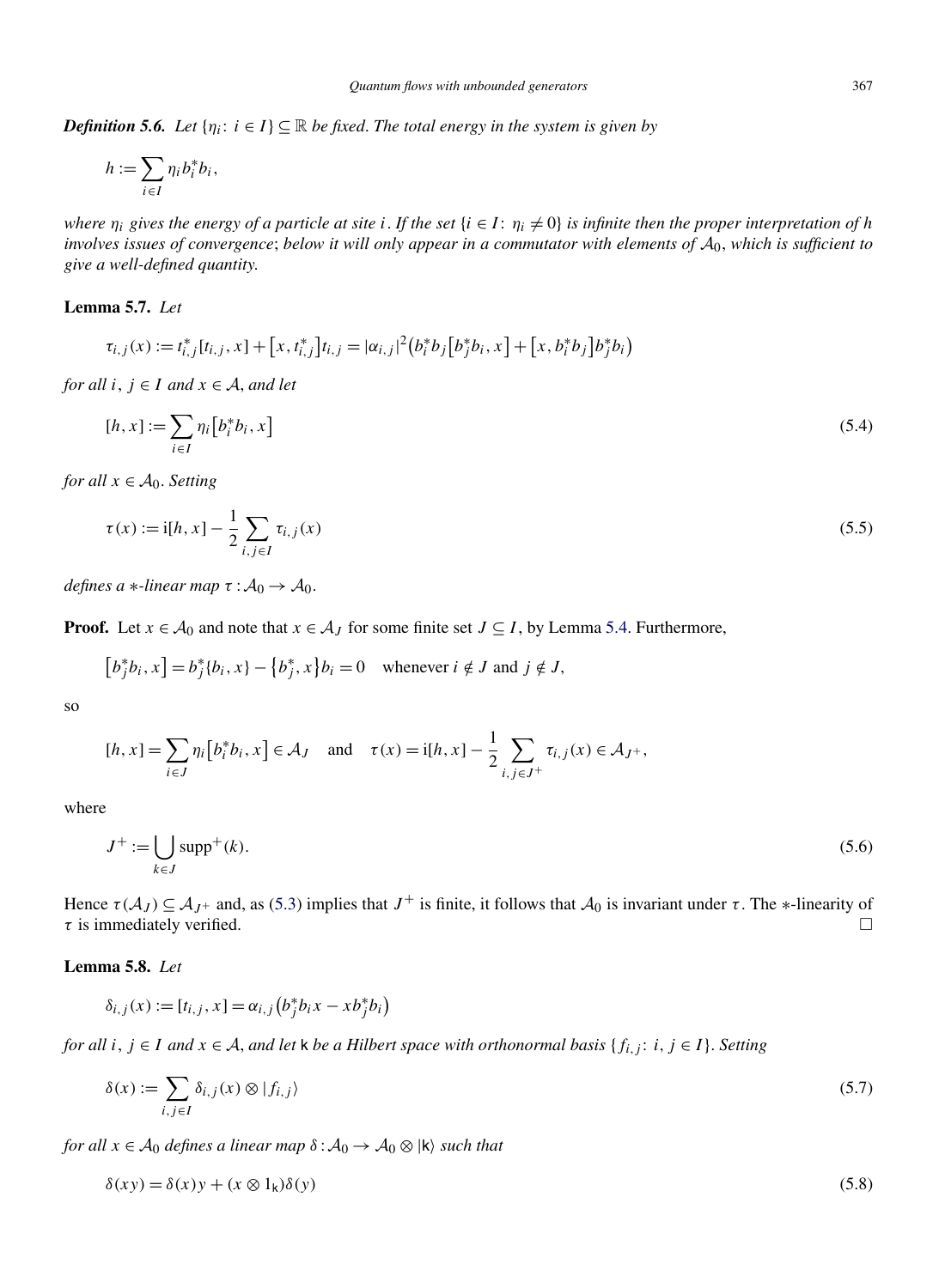<span id="page-18-0"></span>*Definition 5.6. Let*  $\{\eta_i: i \in I\} \subseteq \mathbb{R}$  *be fixed. The total energy in the system is given by* 

$$
h:=\sum_{i\in I}\eta_i b_i^*b_i,
$$

*where*  $\eta_i$  *gives the energy of a particle at site i*. If the set  $\{i \in I : \eta_i \neq 0\}$  *is infinite then the proper interpretation of h involves issues of convergence; below it will only appear in a commutator with elements of*  $A_0$ *, which is sufficient to give a well-defined quantity*.

## **Lemma 5.7.** *Let*

$$
\tau_{i,j}(x) := t_{i,j}^*[t_{i,j}, x] + [x, t_{i,j}^*]t_{i,j} = |\alpha_{i,j}|^2 (b_i^* b_j [b_j^* b_i, x] + [x, b_i^* b_j] b_j^* b_i)
$$

*for all*  $i, j \in I$  *and*  $x \in A$ *, and let* 

$$
[h, x] := \sum_{i \in I} \eta_i \big[ b_i^* b_i, x \big] \tag{5.4}
$$

*for all*  $x \in A_0$ *. Setting* 

$$
\tau(x) := \mathrm{i}[h, x] - \frac{1}{2} \sum_{i,j \in I} \tau_{i,j}(x) \tag{5.5}
$$

*defines a* ∗*-linear map*  $\tau : A_0 \rightarrow A_0$ .

**Proof.** Let  $x \in A_0$  and note that  $x \in A_J$  for some finite set  $J \subseteq I$ , by Lemma [5.4.](#page-17-0) Furthermore,

$$
[b_j^*b_i, x] = b_j^*[b_i, x] - \{b_j^*, x\}b_i = 0 \quad \text{whenever } i \notin J \text{ and } j \notin J,
$$

so

$$
[h, x] = \sum_{i \in J} \eta_i \big[b_i^* b_i, x\big] \in \mathcal{A}_J \quad \text{and} \quad \tau(x) = \mathrm{i}[h, x] - \frac{1}{2} \sum_{i, j \in J^+} \tau_{i, j}(x) \in \mathcal{A}_{J^+},
$$

where

$$
J^+ := \bigcup_{k \in J} \text{supp}^+(k). \tag{5.6}
$$

Hence  $\tau(A_J) \subseteq A_{J^+}$  and, as [\(5.3\)](#page-17-0) implies that  $J^+$  is finite, it follows that  $A_0$  is invariant under  $\tau$ . The ∗-linearity of  $\tau$  is immediately verified. *τ* is immediately verified. -

## **Lemma 5.8.** *Let*

$$
\delta_{i,j}(x) := [t_{i,j}, x] = \alpha_{i,j} (b_j^* b_i x - x b_j^* b_i)
$$

*for all*  $i, j ∈ I$  *and*  $x ∈ A$ *, and let*  $k$  *be a Hilbert space with orthonormal basis*  ${f_{i,j}: i, j ∈ I}$ . *Setting* 

$$
\delta(x) := \sum_{i,j \in I} \delta_{i,j}(x) \otimes |f_{i,j}\rangle \tag{5.7}
$$

*for all*  $x \in A_0$  *defines a linear map*  $\delta : A_0 \to A_0 \otimes |k\rangle$  *such that* 

$$
\delta(xy) = \delta(x)y + (x \otimes 1_k)\delta(y) \tag{5.8}
$$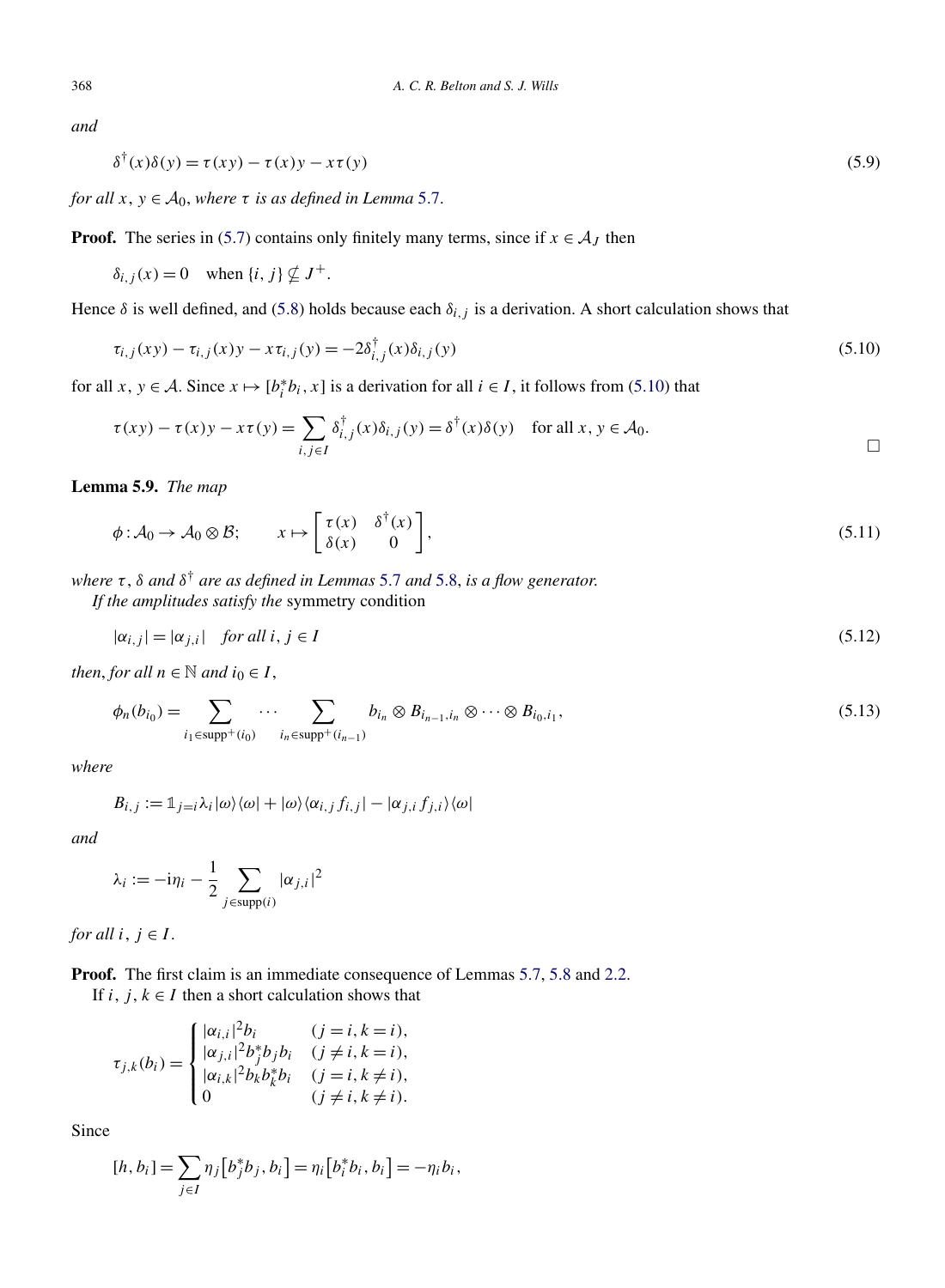*and*

$$
\delta^{\dagger}(x)\delta(y) = \tau(xy) - \tau(x)y - x\tau(y) \tag{5.9}
$$

*for all*  $x, y \in A_0$ *, where*  $\tau$  *is as defined in Lemma* [5.7.](#page-18-0)

**Proof.** The series in [\(5.7\)](#page-18-0) contains only finitely many terms, since if  $x \in A_J$  then

$$
\delta_{i,j}(x) = 0 \quad \text{when } \{i, j\} \nsubseteq J^+.
$$

Hence  $\delta$  is well defined, and [\(5.8\)](#page-18-0) holds because each  $\delta_{i,j}$  is a derivation. A short calculation shows that

$$
\tau_{i,j}(xy) - \tau_{i,j}(x)y - x\tau_{i,j}(y) = -2\delta_{i,j}^{\dagger}(x)\delta_{i,j}(y)
$$
\n(5.10)

for all *x*,  $y \in A$ . Since  $x \mapsto [b_i^* b_i, x]$  is a derivation for all  $i \in I$ , it follows from (5.10) that

$$
\tau(xy) - \tau(x)y - x\tau(y) = \sum_{i,j \in I} \delta_{i,j}^{\dagger}(x)\delta_{i,j}(y) = \delta^{\dagger}(x)\delta(y) \quad \text{for all } x, y \in A_0.
$$

**Lemma 5.9.** *The map*

$$
\phi: \mathcal{A}_0 \to \mathcal{A}_0 \otimes \mathcal{B}; \qquad x \mapsto \begin{bmatrix} \tau(x) & \delta^{\dagger}(x) \\ \delta(x) & 0 \end{bmatrix},\tag{5.11}
$$

*where τ* , *δ and δ*† *are as defined in Lemmas* [5.7](#page-18-0) *and* [5.8,](#page-18-0) *is a flow generator*.

*If the amplitudes satisfy the* symmetry condition

$$
|\alpha_{i,j}| = |\alpha_{j,i}| \quad \text{for all } i, j \in I \tag{5.12}
$$

*then, for all*  $n \in \mathbb{N}$  *and*  $i_0 \in I$ *,* 

$$
\phi_n(b_{i_0}) = \sum_{i_1 \in \text{supp}^+(i_0)} \cdots \sum_{i_n \in \text{supp}^+(i_{n-1})} b_{i_n} \otimes B_{i_{n-1},i_n} \otimes \cdots \otimes B_{i_0,i_1},
$$
\n
$$
(5.13)
$$

*where*

$$
B_{i,j} := \mathbb{1}_{j=i} \lambda_i |\omega\rangle\langle\omega| + |\omega\rangle\langle\alpha_{i,j} f_{i,j}| - |\alpha_{j,i} f_{j,i}\rangle\langle\omega|
$$

*and*

$$
\lambda_i := -\mathrm{i}\eta_i - \frac{1}{2} \sum_{j \in \text{supp}(i)} |\alpha_{j,i}|^2
$$

*for all*  $i, j \in I$ .

**Proof.** The first claim is an immediate consequence of Lemmas [5.7,](#page-18-0) [5.8](#page-18-0) and [2.2.](#page-4-0)

If  $i, j, k \in I$  then a short calculation shows that

$$
\tau_{j,k}(b_i) = \begin{cases}\n|\alpha_{i,i}|^2 b_i & (j = i, k = i), \\
|\alpha_{j,i}|^2 b_j^* b_j b_i & (j \neq i, k = i), \\
|\alpha_{i,k}|^2 b_k b_k^* b_i & (j = i, k \neq i), \\
0 & (j \neq i, k \neq i).\n\end{cases}
$$

Since

$$
[h, b_i] = \sum_{j \in I} \eta_j [b_j^* b_j, b_i] = \eta_i [b_i^* b_i, b_i] = -\eta_i b_i,
$$

<span id="page-19-0"></span>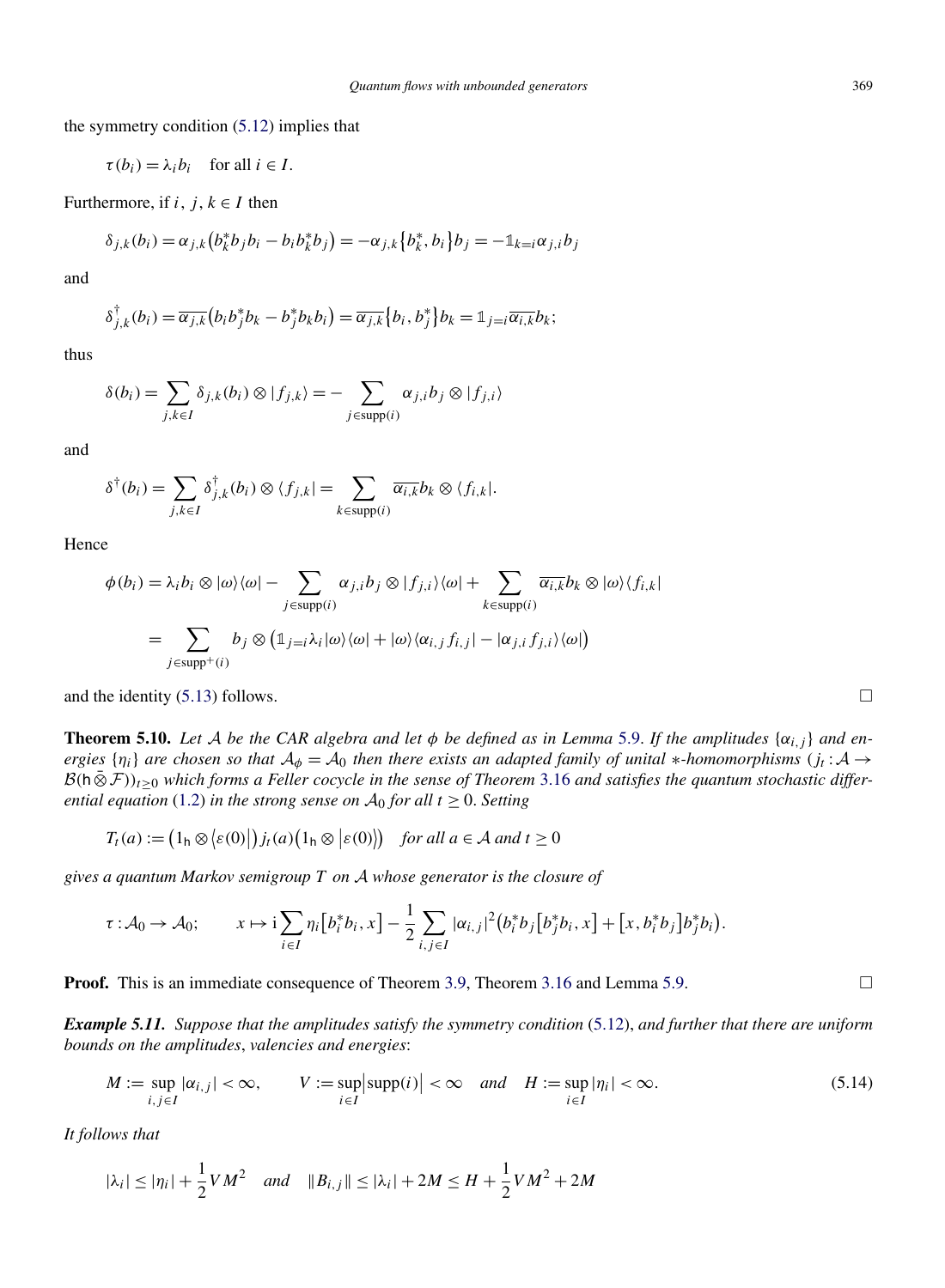<span id="page-20-0"></span>the symmetry condition [\(5.12\)](#page-19-0) implies that

$$
\tau(b_i) = \lambda_i b_i \quad \text{for all } i \in I.
$$

Furthermore, if  $i, j, k \in I$  then

$$
\delta_{j,k}(b_i) = \alpha_{j,k} (b_k^* b_j b_i - b_i b_k^* b_j) = -\alpha_{j,k} \{b_k^*, b_i\} b_j = -\mathbb{1}_{k=i} \alpha_{j,i} b_j
$$

and

$$
\delta_{j,k}^{\dagger}(b_i)=\overline{\alpha_{j,k}}\big(b_i b_j^* b_k-b_j^* b_k b_i\big)=\overline{\alpha_{j,k}}\big\{b_i,b_j^*\big\}b_k=\mathbb{1}_{j=i}\overline{\alpha_{i,k}}b_k;
$$

thus

$$
\delta(b_i) = \sum_{j,k \in I} \delta_{j,k}(b_i) \otimes |f_{j,k}\rangle = - \sum_{j \in \text{supp}(i)} \alpha_{j,i} b_j \otimes |f_{j,i}\rangle
$$

and

$$
\delta^{\dagger}(b_i) = \sum_{j,k \in I} \delta^{\dagger}_{j,k}(b_i) \otimes \langle f_{j,k}| = \sum_{k \in \text{supp}(i)} \overline{\alpha_{i,k}} b_k \otimes \langle f_{i,k}|.
$$

Hence

$$
\phi(b_i) = \lambda_i b_i \otimes |\omega\rangle\langle\omega| - \sum_{j \in \text{supp}(i)} \alpha_{j,i} b_j \otimes |f_{j,i}\rangle\langle\omega| + \sum_{k \in \text{supp}(i)} \overline{\alpha_{i,k}} b_k \otimes |\omega\rangle\langle f_{i,k}|
$$

$$
= \sum_{j \in \text{supp}^+(i)} b_j \otimes (\mathbb{1}_{j=i} \lambda_i |\omega\rangle\langle\omega| + |\omega\rangle\langle\alpha_{i,j} f_{i,j}| - |\alpha_{j,i} f_{j,i}\rangle\langle\omega|)
$$

and the identity  $(5.13)$  follows.

**Theorem 5.10.** Let A be the CAR algebra and let  $\phi$  be defined as in Lemma [5.9.](#page-19-0) If the amplitudes  $\{\alpha_{i,j}\}$  and en*ergies*  $\{\eta_i\}$  *are chosen so that*  $A_\phi = A_0$  *then there exists an adapted family of unital* \**-homomorphisms*  $(j_t : A \to$  $B(h\bar{\otimes}F)_{t>0}$  which forms a Feller cocycle in the sense of Theorem [3.16](#page-12-0) and satisfies the quantum stochastic differ*ential equation* [\(1.2\)](#page-2-0) *in the strong sense on*  $A_0$  *for all*  $t \ge 0$ *. Setting* 

$$
T_t(a) := (1_h \otimes \langle \varepsilon(0) | \, j_t(a) \big( 1_h \otimes \langle \varepsilon(0) \rangle \big) \quad \text{for all } a \in \mathcal{A} \text{ and } t \ge 0
$$

*gives a quantum Markov semigroup T on* A *whose generator is the closure of*

$$
\tau: \mathcal{A}_0 \to \mathcal{A}_0; \qquad x \mapsto \mathrm{i} \sum_{i \in I} \eta_i \big[ b_i^* b_i, x \big] - \frac{1}{2} \sum_{i,j \in I} |\alpha_{i,j}|^2 \big( b_i^* b_j \big[ b_j^* b_i, x \big] + \big[ x, b_i^* b_j \big] b_j^* b_i \big).
$$

**Proof.** This is an immediate consequence of Theorem [3.9,](#page-10-0) Theorem [3.16](#page-12-0) and Lemma [5.9.](#page-19-0)

*Example 5.11. Suppose that the amplitudes satisfy the symmetry condition* [\(5.12\)](#page-19-0), *and further that there are uniform bounds on the amplitudes*, *valencies and energies*:

$$
M := \sup_{i,j \in I} |\alpha_{i,j}| < \infty, \qquad V := \sup_{i \in I} \left| \text{supp}(i) \right| < \infty \quad \text{and} \quad H := \sup_{i \in I} |\eta_i| < \infty. \tag{5.14}
$$

*It follows that*

$$
|\lambda_i| \le |\eta_i| + \frac{1}{2}VM^2
$$
 and  $||B_{i,j}|| \le |\lambda_i| + 2M \le H + \frac{1}{2}VM^2 + 2M$ 

 $\Box$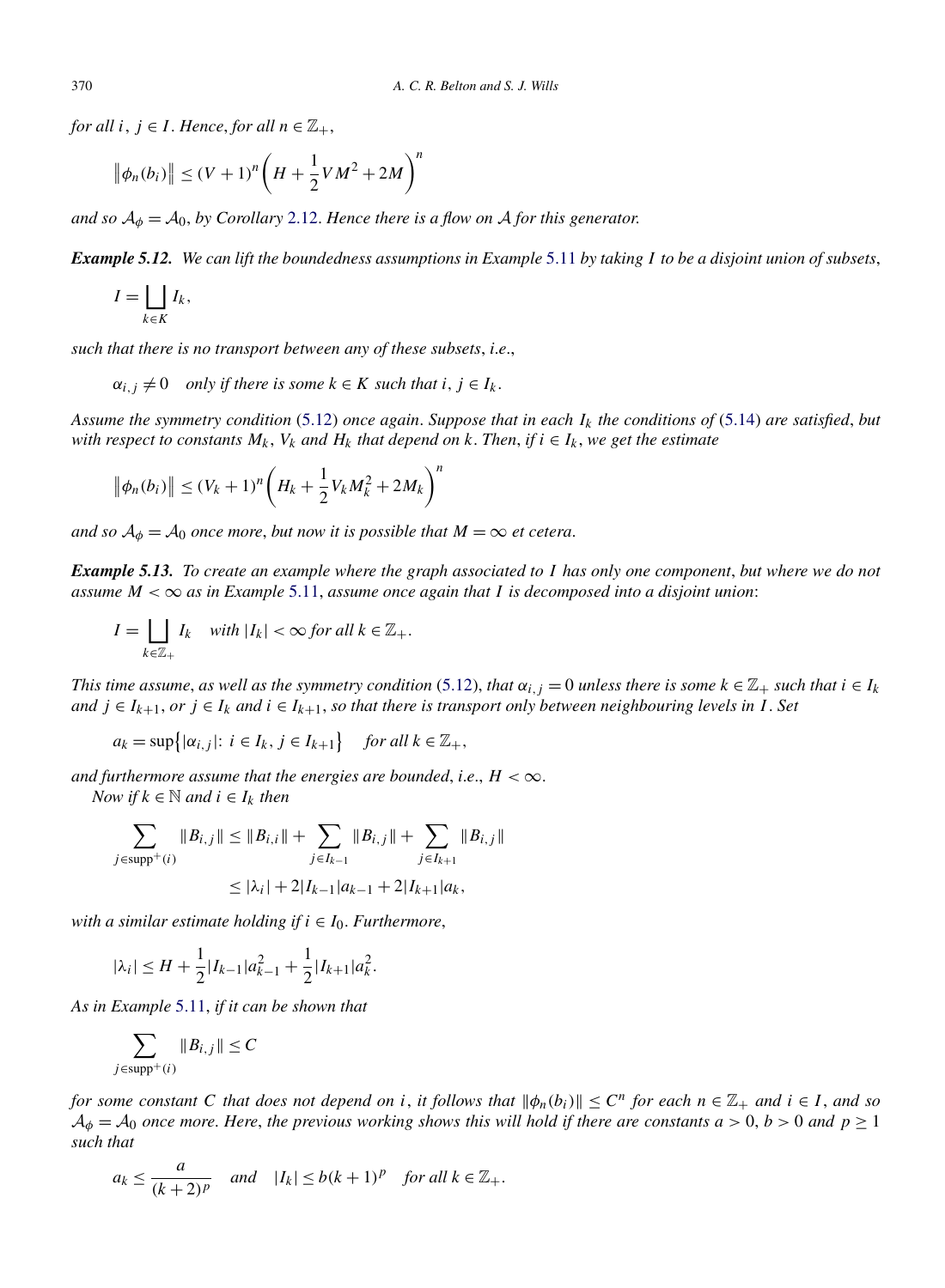*for all*  $i, j \in I$ . *Hence, for all*  $n \in \mathbb{Z}_+$ ,

$$
\|\phi_n(b_i)\| \le (V+1)^n \bigg(H + \frac{1}{2}VM^2 + 2M\bigg)^n
$$

*and so*  $A_{\phi} = A_0$ , *by Corollary* [2.12.](#page-6-0) *Hence there is a flow on* A *for this generator.* 

*Example 5.12. We can lift the boundedness assumptions in Example* [5.11](#page-20-0) *by taking I to be a disjoint union of subsets*,

$$
I=\bigsqcup_{k\in K}I_k,
$$

*such that there is no transport between any of these subsets*, *i*.*e*.,

$$
\alpha_{i,j} \neq 0
$$
 only if there is some  $k \in K$  such that  $i, j \in I_k$ .

*Assume the symmetry condition* [\(5.12\)](#page-19-0) *once again*. *Suppose that in each Ik the conditions of* [\(5.14\)](#page-20-0) *are satisfied*, *but with respect to constants*  $M_k$ ,  $V_k$  *and*  $H_k$  *that depend on*  $k$ . *Then*, *if*  $i \in I_k$ , we get the estimate

$$
\|\phi_n(b_i)\| \le (V_k + 1)^n \left(H_k + \frac{1}{2}V_kM_k^2 + 2M_k\right)^n
$$

*and so*  $A_{\phi} = A_0$  *once more, but now it is possible that*  $M = \infty$  *et cetera.* 

*Example 5.13. To create an example where the graph associated to I has only one component*, *but where we do not assume*  $M < \infty$  *as in Example* [5.11,](#page-20-0) *assume once again that I is decomposed into a disjoint union*:

$$
I = \bigsqcup_{k \in \mathbb{Z}_+} I_k \quad \text{with } |I_k| < \infty \text{ for all } k \in \mathbb{Z}_+.
$$

*This time assume, as well as the symmetry condition* [\(5.12\)](#page-19-0), *that*  $\alpha_{i,j} = 0$  *unless there is some*  $k \in \mathbb{Z}_+$  *such that*  $i \in I_k$ *and*  $j \in I_{k+1}$ , *or*  $j \in I_k$  *and*  $i \in I_{k+1}$ , *so that there is transport only between neighbouring levels in I. Set* 

$$
a_k = \sup\{|\alpha_{i,j}|: i \in I_k, j \in I_{k+1}\}\
$$
 for all  $k \in \mathbb{Z}_+$ ,

*and furthermore assume that the energies are bounded, i.e.,*  $H < \infty$ *.* 

*Now if*  $k \in \mathbb{N}$  *and*  $i \in I_k$  *then* 

$$
\sum_{j \in \text{supp}^+(i)} \|B_{i,j}\| \le \|B_{i,i}\| + \sum_{j \in I_{k-1}} \|B_{i,j}\| + \sum_{j \in I_{k+1}} \|B_{i,j}\|
$$
  

$$
\le |\lambda_i| + 2|I_{k-1}|a_{k-1} + 2|I_{k+1}|a_k,
$$

*with a similar estimate holding if*  $i \in I_0$ *. Furthermore,* 

$$
|\lambda_i| \le H + \frac{1}{2} |I_{k-1}| a_{k-1}^2 + \frac{1}{2} |I_{k+1}| a_k^2.
$$

*As in Example* [5.11,](#page-20-0) *if it can be shown that*

$$
\sum_{j \in \text{supp}^+(i)} \|B_{i,j}\| \leq C
$$

*for some constant C that does not depend on i*, *it follows that*  $\|\phi_n(b_i)\| \leq C^n$  *for each*  $n \in \mathbb{Z}_+$  *and*  $i \in I$ *, and so*  $A_{\phi} = A_0$  *once more. Here, the previous working shows this will hold if there are constants*  $a > 0$ ,  $b > 0$  *and*  $p \ge 1$ *such that*

$$
a_k \le \frac{a}{(k+2)^p} \quad \text{and} \quad |I_k| \le b(k+1)^p \quad \text{for all } k \in \mathbb{Z}_+.
$$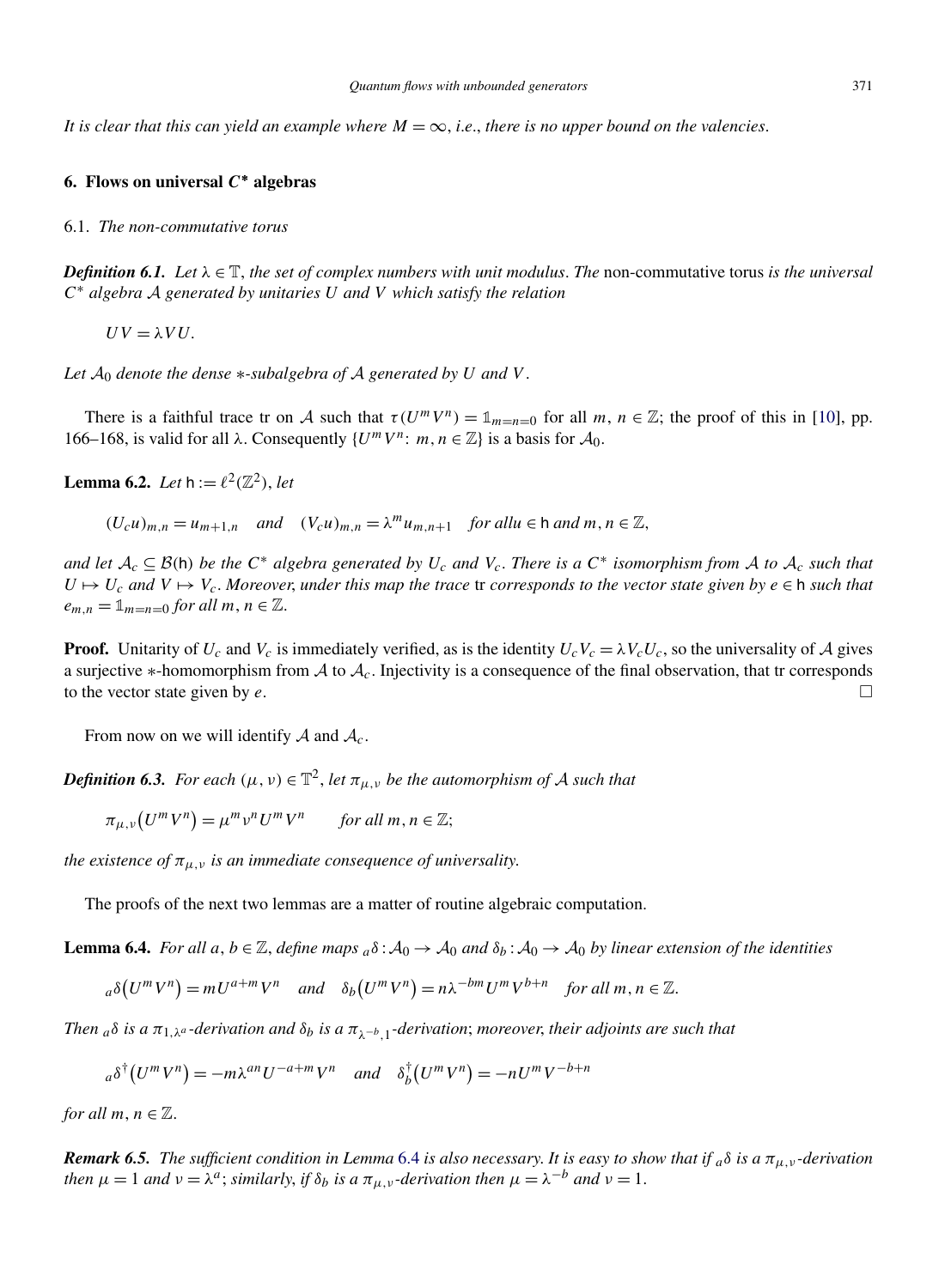<span id="page-22-0"></span>*It is clear that this can yield an example where*  $M = \infty$ , *i.e.*, *there is no upper bound on the valencies.* 

# **6. Flows on universal** *C***∗ algebras**

#### 6.1. *The non-commutative torus*

*Definition 6.1.* Let  $\lambda \in \mathbb{T}$ , the set of complex numbers with unit modulus. The non-commutative torus is the universal *<sup>C</sup>*<sup>∗</sup> *algebra* <sup>A</sup> *generated by unitaries <sup>U</sup> and <sup>V</sup> which satisfy the relation*

 $UV = \lambda VU$ .

*Let*  $A_0$  *denote the dense*  $*$ -*subalgebra of*  $A$  *generated by*  $U$  *and*  $V$ .

There is a faithful trace tr on A such that  $\tau(U^m V^n) = \mathbb{1}_{m=n=0}$  for all  $m, n \in \mathbb{Z}$ ; the proof of this in [\[10\]](#page-26-0), pp. 166–168, is valid for all *λ*. Consequently  $\{U^m V^n : m, n \in \mathbb{Z}\}\$ is a basis for  $\mathcal{A}_0$ .

**Lemma 6.2.** *Let*  $h := \ell^2(\mathbb{Z}^2)$ , *let* 

 $(U_c u)_{m,n} = u_{m+1,n}$  *and*  $(V_c u)_{m,n} = \lambda^m u_{m,n+1}$  *for allu*  $\in \mathbb{N}$  *and*  $m, n \in \mathbb{Z}$ *,* 

*and let*  $A_c \subseteq B(h)$  *be the*  $C^*$  *algebra generated by*  $U_c$  *and*  $V_c$ . *There is a*  $C^*$  *isomorphism from* A *to*  $A_c$  *such that*  $U \mapsto U_c$  and  $V \mapsto V_c$ . Moreover, under this map the trace tr corresponds to the vector state given by  $e \in h$  such that  $e_{m,n} = \mathbb{1}_{m=n=0}$  *for all*  $m, n \in \mathbb{Z}$ .

**Proof.** Unitarity of  $U_c$  and  $V_c$  is immediately verified, as is the identity  $U_cV_c = \lambda V_cU_c$ , so the universality of A gives a surjective ∗-homomorphism from A to  $A_c$ . Injectivity is a consequence of the final observation, that tr corresponds to the vector state given by  $e$ to the vector state given by *e*. -

From now on we will identify  $A$  and  $A_c$ .

*Definition 6.3. For each*  $(\mu, \nu) \in \mathbb{T}^2$ , *let*  $\pi_{\mu, \nu}$  *be the automorphism of* A *such that* 

$$
\pi_{\mu,\nu}(U^m V^n) = \mu^m \nu^n U^m V^n \quad \text{for all } m, n \in \mathbb{Z};
$$

*the existence of*  $\pi_{\mu,\nu}$  *is an immediate consequence of universality.* 

The proofs of the next two lemmas are a matter of routine algebraic computation.

**Lemma 6.4.** *For all*  $a, b \in \mathbb{Z}$ , *define maps*  $a\delta : A_0 \to A_0$  *and*  $\delta_b : A_0 \to A_0$  *by linear extension of the identities* 

$$
{}_{a}\delta(U^{m}V^{n})=mU^{a+m}V^{n} \quad and \quad \delta_{b}(U^{m}V^{n})=n\lambda^{-bm}U^{m}V^{b+n} \quad for \text{ all } m, n \in \mathbb{Z}.
$$

*Then*  $_a$ *δ is a*  $\pi_{1,\lambda}$ *a -derivation and*  $\delta_b$  *is a*  $\pi_{\lambda}$ <sub>*-*</sub>*b*<sub>1</sub>*-derivation*; *moreover*, *their adjoints are such that* 

$$
a\delta^{\dagger}(U^m V^n) = -m\lambda^{an} U^{-a+m} V^n \quad and \quad \delta_b^{\dagger}(U^m V^n) = -nU^m V^{-b+n}
$$

*for all*  $m, n \in \mathbb{Z}$ .

*Remark 6.5. The sufficient condition in Lemma 6.4 is also necessary. It is easy to show that if*  $_a\delta$  *is a*  $\pi_{\mu,\nu}$ *-derivation then*  $\mu = 1$  *and*  $\nu = \lambda^a$ ; *similarly, if*  $\delta_b$  *is a*  $\pi_{\mu,\nu}$ *-derivation then*  $\mu = \lambda^{-b}$  *and*  $\nu = 1$ *.*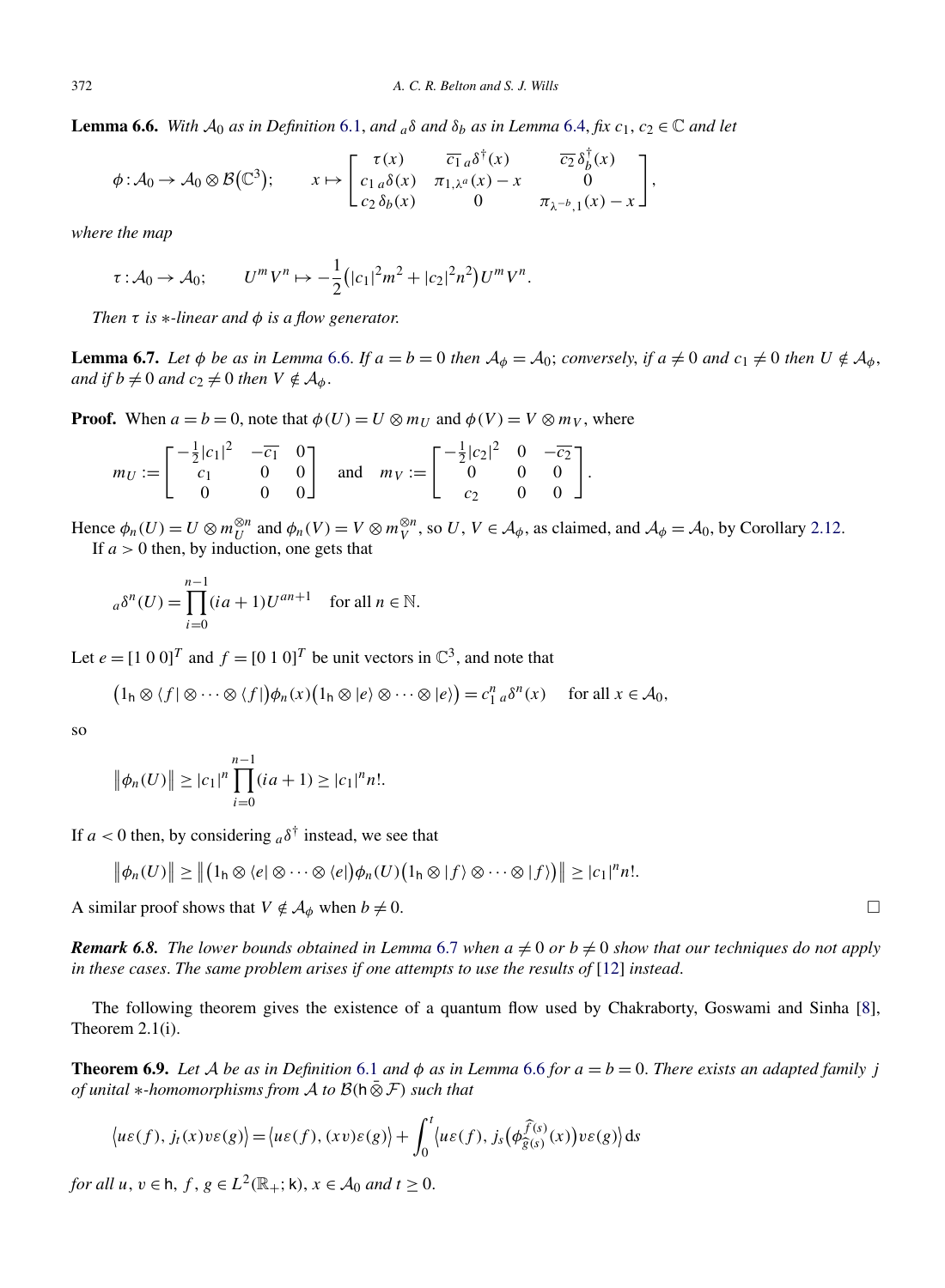<span id="page-23-0"></span>**Lemma 6.6.** *With*  $A_0$  *as in Definition* [6.1,](#page-22-0) *and*  $_a\delta$  *and*  $\delta_b$  *as in Lemma* [6.4,](#page-22-0) *fix*  $c_1$ ,  $c_2 \in \mathbb{C}$  *and let* 

$$
\phi: \mathcal{A}_0 \to \mathcal{A}_0 \otimes \mathcal{B}(\mathbb{C}^3); \qquad x \mapsto \begin{bmatrix} \tau(x) & \overline{c_1}_a \delta^\dagger(x) & \overline{c_2} \delta_b^\dagger(x) \\ c_1_a \delta(x) & \pi_{1,\lambda^a}(x) - x & 0 \\ c_2 \delta_b(x) & 0 & \pi_{\lambda^{-b},1}(x) - x \end{bmatrix},
$$

*where the map*

$$
\tau : A_0 \to A_0;
$$
  $U^m V^n \mapsto -\frac{1}{2} (|c_1|^2 m^2 + |c_2|^2 n^2) U^m V^n.$ 

*Then τ is* ∗*-linear and φ is a flow generator*.

**Lemma 6.7.** Let  $\phi$  be as in Lemma 6.6. If  $a = b = 0$  then  $\mathcal{A}_{\phi} = \mathcal{A}_0$ ; conversely, if  $a \neq 0$  and  $c_1 \neq 0$  then  $U \notin \mathcal{A}_{\phi}$ , *and if*  $b \neq 0$  *and*  $c_2 \neq 0$  *then*  $V \notin A_\phi$ .

**Proof.** When  $a = b = 0$ , note that  $\phi(U) = U \otimes m_U$  and  $\phi(V) = V \otimes m_V$ , where

$$
m_U := \begin{bmatrix} -\frac{1}{2}|c_1|^2 & -\overline{c_1} & 0 \\ c_1 & 0 & 0 \\ 0 & 0 & 0 \end{bmatrix} \text{ and } m_V := \begin{bmatrix} -\frac{1}{2}|c_2|^2 & 0 & -\overline{c_2} \\ 0 & 0 & 0 \\ c_2 & 0 & 0 \end{bmatrix}.
$$

Hence  $\phi_n(U) = U \otimes m_U^{\otimes n}$  and  $\phi_n(V) = V \otimes m_V^{\otimes n}$ , so  $U, V \in \mathcal{A}_{\phi}$ , as claimed, and  $\mathcal{A}_{\phi} = \mathcal{A}_0$ , by Corollary [2.12.](#page-6-0) If *a >* 0 then, by induction, one gets that

$$
a\delta^{n}(U) = \prod_{i=0}^{n-1} (ia+1)U^{an+1} \quad \text{for all } n \in \mathbb{N}.
$$

Let  $e = [1 \ 0 \ 0]^T$  and  $f = [0 \ 1 \ 0]^T$  be unit vectors in  $\mathbb{C}^3$ , and note that

$$
\big(1_{h} \otimes \langle f | \otimes \cdots \otimes \langle f | \big) \phi_{n}(x)\big(1_{h} \otimes \langle e \rangle \otimes \cdots \otimes \langle e \rangle\big) = c_{1}^{n}{}_{a} \delta^{n}(x) \quad \text{ for all } x \in \mathcal{A}_{0},
$$

so

$$
\|\phi_n(U)\| \ge |c_1|^n \prod_{i=0}^{n-1} (ia+1) \ge |c_1|^n n!.
$$

If  $a < 0$  then, by considering  $a\delta^{\dagger}$  instead, we see that

$$
\big\|\phi_n(U)\big\| \ge \big\|\big(1_h \otimes \langle e | \otimes \cdots \otimes \langle e | \big) \phi_n(U)\big(1_h \otimes |f\rangle \otimes \cdots \otimes |f\rangle\big)\big\| \ge |c_1|^n n!.
$$

A similar proof shows that  $V \notin A_\phi$  when  $b \neq 0$ .

*Remark 6.8. The lower bounds obtained in Lemma 6.7 when*  $a \neq 0$  *or*  $b \neq 0$  *show that our techniques do not apply in these cases*. *The same problem arises if one attempts to use the results of* [\[12\]](#page-26-0) *instead*.

The following theorem gives the existence of a quantum flow used by Chakraborty, Goswami and Sinha [\[8\]](#page-26-0), Theorem 2.1(i).

**Theorem 6.9.** *Let* A *be as in Definition* [6.1](#page-22-0) *and*  $\phi$  *as in Lemma* 6.6 *for*  $a = b = 0$ *. There exists an adapted family j of unital* <sup>∗</sup>*-homomorphisms from* <sup>A</sup> *to* <sup>B</sup>*(*<sup>h</sup> ⊗¯ <sup>F</sup>*) such that*

$$
\langle u\varepsilon(f), j_t(x)v\varepsilon(g)\rangle = \langle u\varepsilon(f), (xv)\varepsilon(g)\rangle + \int_0^t \langle u\varepsilon(f), j_s(\phi_{\widehat{g}(s)}^{\widehat{f}(s)}(x))v\varepsilon(g)\rangle ds
$$

*for all*  $u, v \in h$ ,  $f, g \in L^2(\mathbb{R}_+; \mathsf{k})$ ,  $x \in A_0$  *and*  $t \geq 0$ .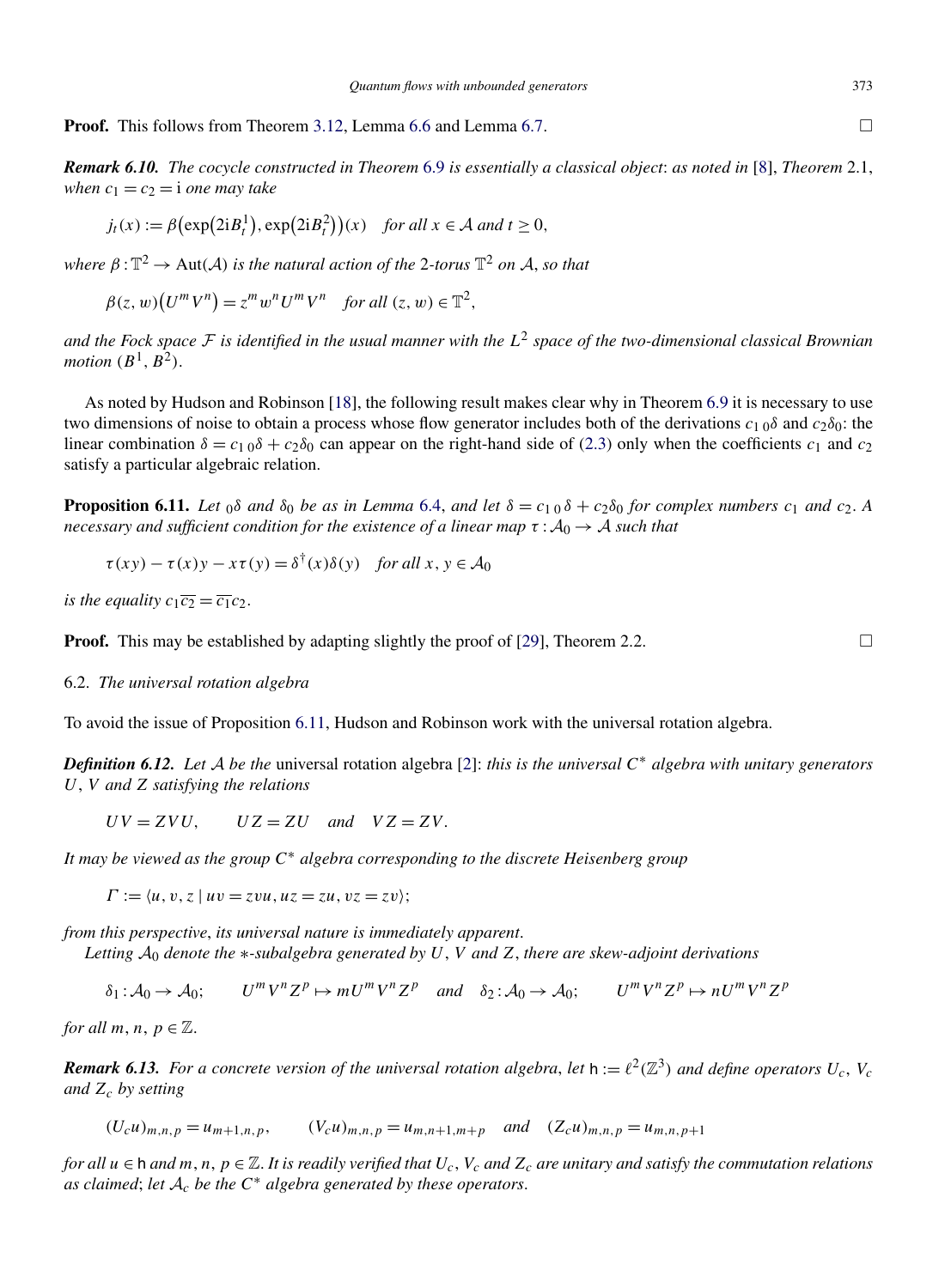<span id="page-24-0"></span>**Proof.** This follows from Theorem [3.12,](#page-11-0) Lemma [6.6](#page-23-0) and Lemma [6.7.](#page-23-0)  $\Box$ 

*Remark 6.10. The cocycle constructed in Theorem* [6.9](#page-23-0) *is essentially a classical object*: *as noted in* [\[8\]](#page-26-0), *Theorem* 2.1, *when*  $c_1 = c_2 = i$  *one may take* 

$$
j_t(x) := \beta \big(\exp(2iB_t^1), \exp(2iB_t^2)\big)(x) \quad \text{for all } x \in \mathcal{A} \text{ and } t \ge 0,
$$

*where*  $\beta : \mathbb{T}^2 \to \text{Aut}(A)$  *is the natural action of the* 2*-torus*  $\mathbb{T}^2$  *on* A, *so that* 

$$
\beta(z, w)(U^m V^n) = z^m w^n U^m V^n \quad \text{for all } (z, w) \in \mathbb{T}^2,
$$

*and the Fock space* <sup>F</sup> *is identified in the usual manner with the <sup>L</sup>*<sup>2</sup> *space of the two-dimensional classical Brownian motion*  $(B^1, B^2)$ .

As noted by Hudson and Robinson [\[18\]](#page-26-0), the following result makes clear why in Theorem [6.9](#page-23-0) it is necessary to use two dimensions of noise to obtain a process whose flow generator includes both of the derivations *c*1 0*δ* and *c*2*δ*0: the linear combination  $\delta = c_1 \delta + c_2 \delta_0$  can appear on the right-hand side of [\(2.3\)](#page-4-0) only when the coefficients  $c_1$  and  $c_2$ satisfy a particular algebraic relation.

**Proposition 6.11.** Let  $_0$   $\delta$  and  $\delta_0$  be as in Lemma [6.4,](#page-22-0) and let  $\delta = c_1 \delta + c_2 \delta_0$  for complex numbers  $c_1$  and  $c_2$ . A *necessary and sufficient condition for the existence of a linear map*  $\tau : A_0 \to A$  *such that* 

$$
\tau(xy) - \tau(x)y - x\tau(y) = \delta^{\dagger}(x)\delta(y) \quad \text{for all } x, y \in \mathcal{A}_0
$$

*is the equality*  $c_1 \overline{c_2} = \overline{c_1} c_2$ .

**Proof.** This may be established by adapting slightly the proof of [\[29\]](#page-26-0), Theorem 2.2.  $\Box$ 

#### 6.2. *The universal rotation algebra*

To avoid the issue of Proposition 6.11, Hudson and Robinson work with the universal rotation algebra.

*Definition 6.12. Let* <sup>A</sup> *be the* universal rotation algebra [\[2\]](#page-26-0): *this is the universal <sup>C</sup>*<sup>∗</sup> *algebra with unitary generators U*, *V and Z satisfying the relations*

 $UV = ZVU$ ,  $UZ = ZU$  *and*  $VZ = ZV$ .

*It may be viewed as the group C*<sup>∗</sup> *algebra corresponding to the discrete Heisenberg group*

 $\Gamma := \langle u, v, z \mid uv = zvu, uz = zu, vz = zv \rangle;$ 

*from this perspective*, *its universal nature is immediately apparent*.

*Letting* A<sup>0</sup> *denote the* ∗*-subalgebra generated by U*, *V and Z*, *there are skew-adjoint derivations*

 $\delta_1: A_0 \to A_0;$  *U*<sup>*m*</sup>V<sup>n</sup>Z<sup>p</sup>  $\mapsto mU^mV^nZ^p$  *and*  $\delta_2: A_0 \to A_0;$  *U*<sup>*m*</sup>V<sup>n</sup>Z<sup>p</sup>  $\mapsto nU^mV^nZ^p$ 

*for all*  $m, n, p \in \mathbb{Z}$ .

*Remark 6.13. For a concrete version of the universal rotation algebra, let*  $h := \ell^2(\mathbb{Z}^3)$  *and define operators*  $U_c$ ,  $V_c$ *and Zc by setting*

 $(U_c u)_{m,n,p} = u_{m+1,n,p},$   $(V_c u)_{m,n,p} = u_{m,n+1,m+p}$  *and*  $(Z_c u)_{m,n,p} = u_{m,n,p+1}$ 

*for all*  $u \in h$  *and*  $m, n, p \in \mathbb{Z}$ . It is readily verified that  $U_c$ ,  $V_c$  *and*  $Z_c$  *are unitary and satisfy the commutation relations as claimed*; *let* <sup>A</sup>*<sup>c</sup> be the <sup>C</sup>*<sup>∗</sup> *algebra generated by these operators*.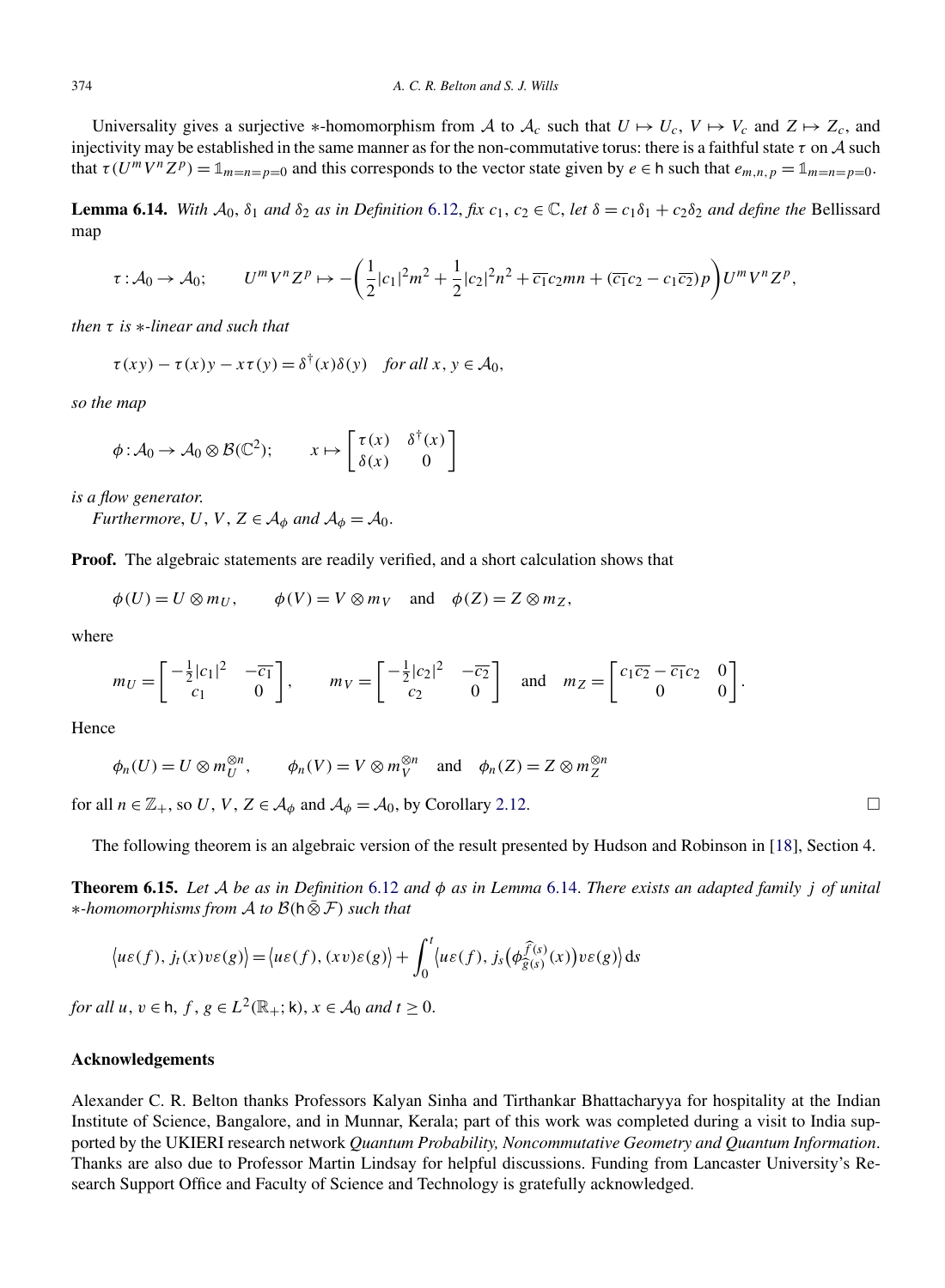Universality gives a surjective \*-homomorphism from A to  $A_c$  such that  $U \mapsto U_c$ ,  $V \mapsto V_c$  and  $Z \mapsto Z_c$ , and injectivity may be established in the same manner as for the non-commutative torus: there is a faithful state  $\tau$  on  $\mathcal A$  such that  $\tau(U^mV^nZ^p) = \mathbb{1}_{m=n=p=0}$  and this corresponds to the vector state given by  $e \in h$  such that  $e_{m,n,p} = \mathbb{1}_{m=n=p=0}$ .

**Lemma 6.14.** With  $A_0$ ,  $\delta_1$  and  $\delta_2$  as in Definition [6.12,](#page-24-0) fix  $c_1$ ,  $c_2 \in \mathbb{C}$ , let  $\delta = c_1 \delta_1 + c_2 \delta_2$  and define the Bellissard map

$$
\tau: \mathcal{A}_0 \to \mathcal{A}_0; \qquad U^m V^n Z^p \to -\left(\frac{1}{2}|c_1|^2 m^2 + \frac{1}{2}|c_2|^2 n^2 + \overline{c_1} c_2 mn + (\overline{c_1} c_2 - c_1 \overline{c_2}) p\right) U^m V^n Z^p,
$$

*then τ is* ∗*-linear and such that*

$$
\tau(xy) - \tau(x)y - x\tau(y) = \delta^{\dagger}(x)\delta(y) \quad \text{for all } x, y \in \mathcal{A}_0,
$$

*so the map*

$$
\phi: \mathcal{A}_0 \to \mathcal{A}_0 \otimes \mathcal{B}(\mathbb{C}^2); \qquad x \mapsto \begin{bmatrix} \tau(x) & \delta^{\dagger}(x) \\ \delta(x) & 0 \end{bmatrix}
$$

*is a flow generator*.

*Furthermore*, *U*, *V*,  $Z \in A_{\phi}$  *and*  $A_{\phi} = A_0$ .

**Proof.** The algebraic statements are readily verified, and a short calculation shows that

$$
\phi(U) = U \otimes m_U
$$
,  $\phi(V) = V \otimes m_V$  and  $\phi(Z) = Z \otimes m_Z$ ,

where

$$
m_U = \begin{bmatrix} -\frac{1}{2}|c_1|^2 & -\overline{c_1} \\ c_1 & 0 \end{bmatrix}, \qquad m_V = \begin{bmatrix} -\frac{1}{2}|c_2|^2 & -\overline{c_2} \\ c_2 & 0 \end{bmatrix} \quad \text{and} \quad m_Z = \begin{bmatrix} c_1 \overline{c_2} - \overline{c_1} c_2 & 0 \\ 0 & 0 \end{bmatrix}.
$$

Hence

 $\phi_n(U) = U \otimes m_U^{\otimes n}, \qquad \phi_n(V) = V \otimes m_V^{\otimes n} \text{ and } \phi_n(Z) = Z \otimes m_Z^{\otimes n}$ 

for all  $n \in \mathbb{Z}_+$ , so *U*, *V*,  $Z \in \mathcal{A}_{\phi}$  and  $\mathcal{A}_{\phi} = \mathcal{A}_0$ , by Corollary [2.12.](#page-6-0)

The following theorem is an algebraic version of the result presented by Hudson and Robinson in [\[18\]](#page-26-0), Section 4.

**Theorem 6.15.** *Let* A *be as in Definition* [6.12](#page-24-0) *and φ as in Lemma* 6.14. *There exists an adapted family j of unital* <sup>∗</sup>*-homomorphisms from* <sup>A</sup> *to* <sup>B</sup>*(*<sup>h</sup> ⊗¯ <sup>F</sup>*) such that*

$$
\langle u\varepsilon(f), j_t(x)v\varepsilon(g)\rangle = \langle u\varepsilon(f), (xv)\varepsilon(g)\rangle + \int_0^t \langle u\varepsilon(f), j_s(\phi_{\widehat{g}(s)}^{\widehat{f}(s)}(x))v\varepsilon(g)\rangle ds
$$

*for all*  $u, v \in h$ ,  $f, g \in L^2(\mathbb{R}_+; \mathsf{k})$ ,  $x \in A_0$  *and*  $t \geq 0$ .

#### **Acknowledgements**

Alexander C. R. Belton thanks Professors Kalyan Sinha and Tirthankar Bhattacharyya for hospitality at the Indian Institute of Science, Bangalore, and in Munnar, Kerala; part of this work was completed during a visit to India supported by the UKIERI research network *Quantum Probability, Noncommutative Geometry and Quantum Information*. Thanks are also due to Professor Martin Lindsay for helpful discussions. Funding from Lancaster University's Research Support Office and Faculty of Science and Technology is gratefully acknowledged.